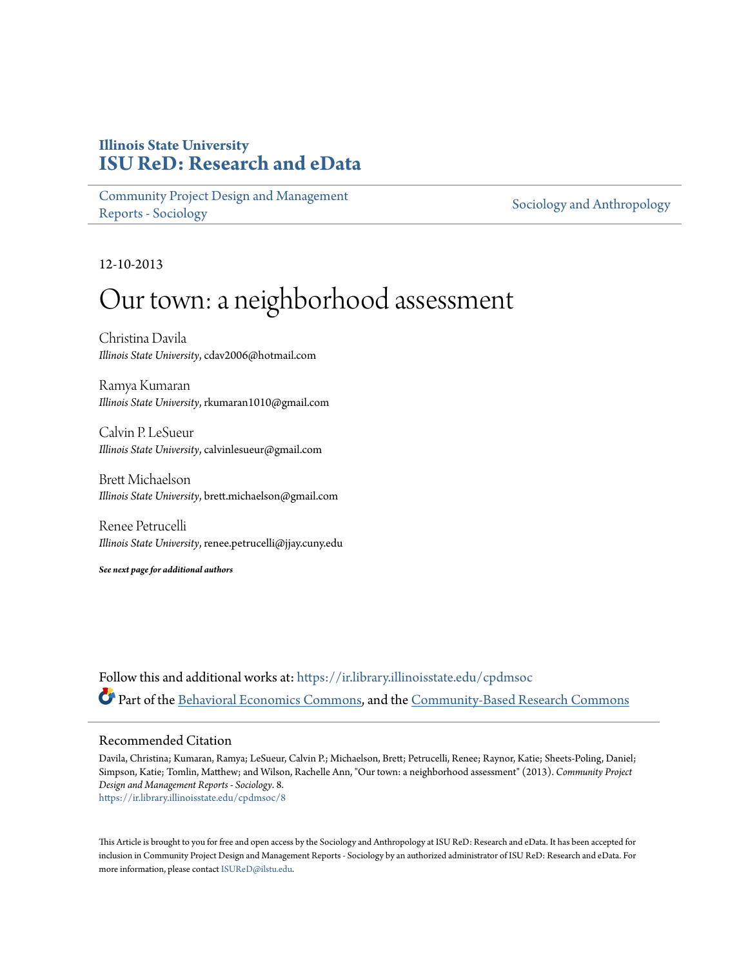## **Illinois State University [ISU ReD: Research and eData](https://ir.library.illinoisstate.edu?utm_source=ir.library.illinoisstate.edu%2Fcpdmsoc%2F8&utm_medium=PDF&utm_campaign=PDFCoverPages)**

[Community Project Design and Management](https://ir.library.illinoisstate.edu/cpdmsoc?utm_source=ir.library.illinoisstate.edu%2Fcpdmsoc%2F8&utm_medium=PDF&utm_campaign=PDFCoverPages) [Reports - Sociology](https://ir.library.illinoisstate.edu/cpdmsoc?utm_source=ir.library.illinoisstate.edu%2Fcpdmsoc%2F8&utm_medium=PDF&utm_campaign=PDFCoverPages)

[Sociology and Anthropology](https://ir.library.illinoisstate.edu/sa?utm_source=ir.library.illinoisstate.edu%2Fcpdmsoc%2F8&utm_medium=PDF&utm_campaign=PDFCoverPages)

12-10-2013

# Our town: a neighborhood assessment

Christina Davila *Illinois State University*, cdav2006@hotmail.com

Ramya Kumaran *Illinois State University*, rkumaran1010@gmail.com

Calvin P. LeSueur *Illinois State University*, calvinlesueur@gmail.com

Brett Michaelson *Illinois State University*, brett.michaelson@gmail.com

Renee Petrucelli *Illinois State University*, renee.petrucelli@jjay.cuny.edu

*See next page for additional authors*

Follow this and additional works at: [https://ir.library.illinoisstate.edu/cpdmsoc](https://ir.library.illinoisstate.edu/cpdmsoc?utm_source=ir.library.illinoisstate.edu%2Fcpdmsoc%2F8&utm_medium=PDF&utm_campaign=PDFCoverPages) Part of the [Behavioral Economics Commons](http://network.bepress.com/hgg/discipline/341?utm_source=ir.library.illinoisstate.edu%2Fcpdmsoc%2F8&utm_medium=PDF&utm_campaign=PDFCoverPages), and the [Community-Based Research Commons](http://network.bepress.com/hgg/discipline/1047?utm_source=ir.library.illinoisstate.edu%2Fcpdmsoc%2F8&utm_medium=PDF&utm_campaign=PDFCoverPages)

#### Recommended Citation

Davila, Christina; Kumaran, Ramya; LeSueur, Calvin P.; Michaelson, Brett; Petrucelli, Renee; Raynor, Katie; Sheets-Poling, Daniel; Simpson, Katie; Tomlin, Matthew; and Wilson, Rachelle Ann, "Our town: a neighborhood assessment" (2013). *Community Project Design and Management Reports - Sociology*. 8. [https://ir.library.illinoisstate.edu/cpdmsoc/8](https://ir.library.illinoisstate.edu/cpdmsoc/8?utm_source=ir.library.illinoisstate.edu%2Fcpdmsoc%2F8&utm_medium=PDF&utm_campaign=PDFCoverPages)

This Article is brought to you for free and open access by the Sociology and Anthropology at ISU ReD: Research and eData. It has been accepted for inclusion in Community Project Design and Management Reports - Sociology by an authorized administrator of ISU ReD: Research and eData. For more information, please contact [ISUReD@ilstu.edu](mailto:ISUReD@ilstu.edu).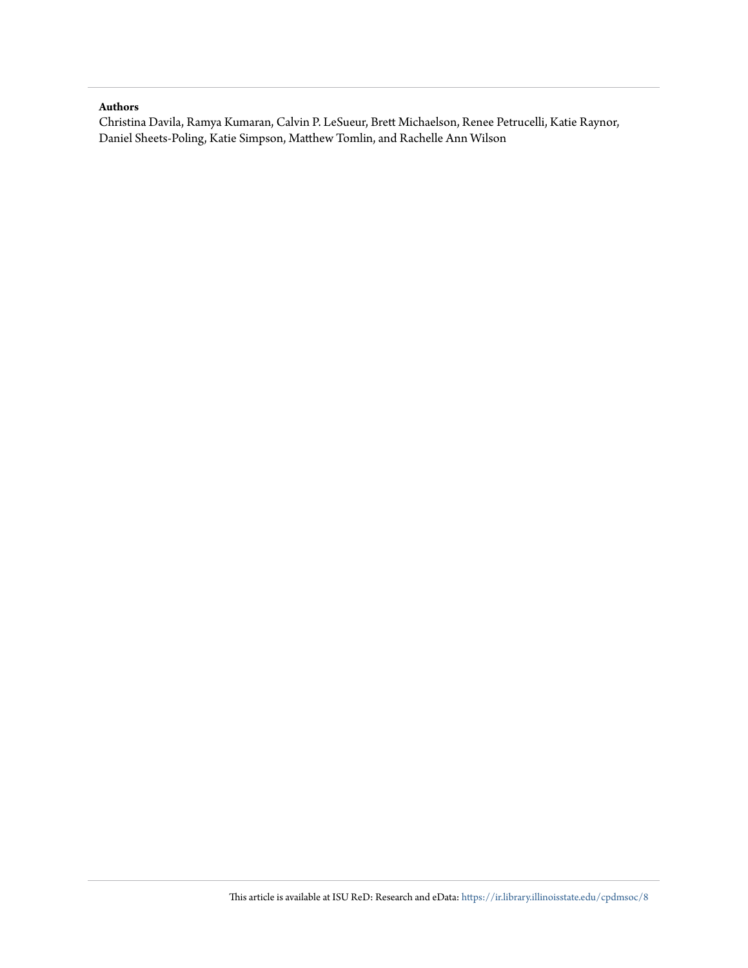#### **Authors**

Christina Davila, Ramya Kumaran, Calvin P. LeSueur, Brett Michaelson, Renee Petrucelli, Katie Raynor, Daniel Sheets-Poling, Katie Simpson, Matthew Tomlin, and Rachelle Ann Wilson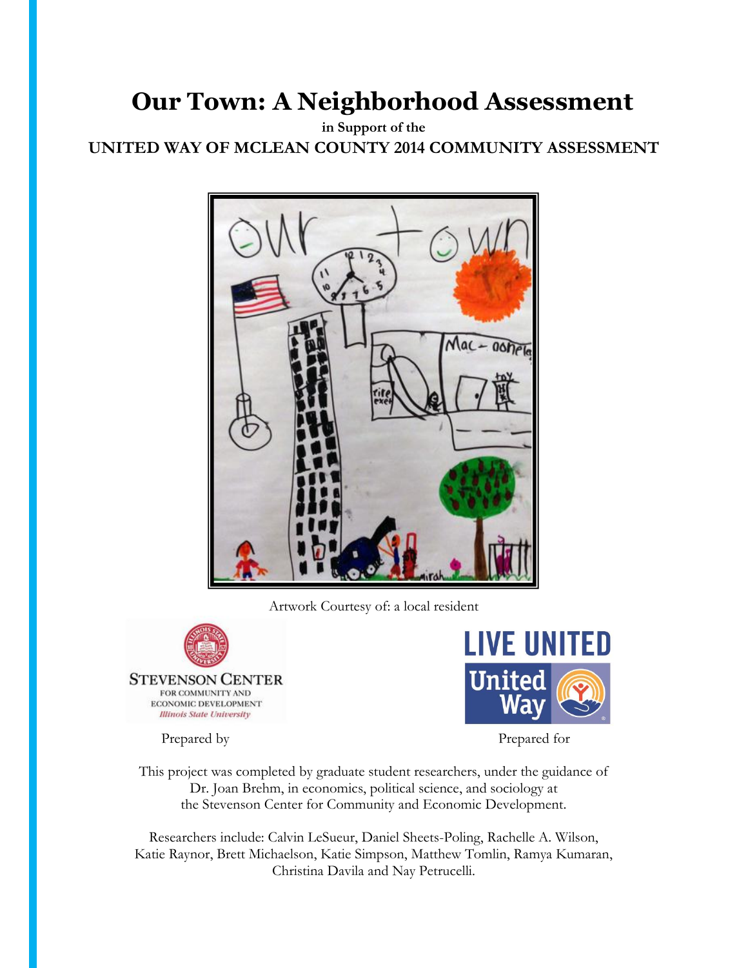**in Support of the UNITED WAY OF MCLEAN COUNTY 2014 COMMUNITY ASSESSMENT**



Artwork Courtesy of: a local resident



ECONOMIC DEVELOPMENT **Illinois State University** 



Prepared by Prepared for

This project was completed by graduate student researchers, under the guidance of Dr. Joan Brehm, in economics, political science, and sociology at the Stevenson Center for Community and Economic Development.

Researchers include: Calvin LeSueur, Daniel Sheets-Poling, Rachelle A. Wilson, Katie Raynor, Brett Michaelson, Katie Simpson, Matthew Tomlin, Ramya Kumaran, Christina Davila and Nay Petrucelli.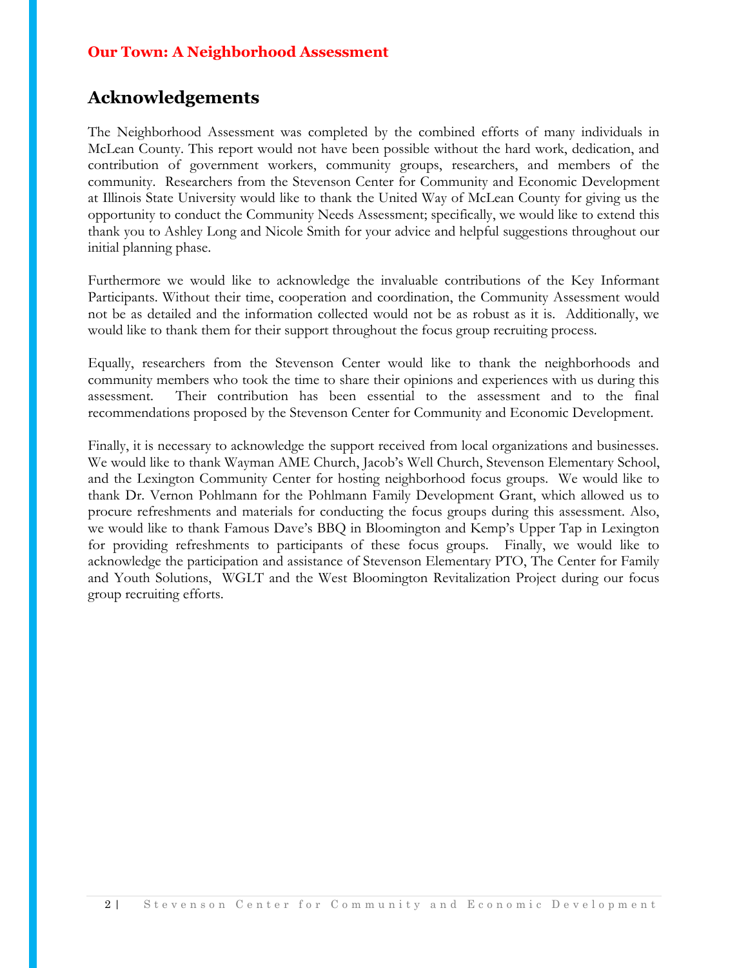## **Acknowledgements**

The Neighborhood Assessment was completed by the combined efforts of many individuals in McLean County. This report would not have been possible without the hard work, dedication, and contribution of government workers, community groups, researchers, and members of the community. Researchers from the Stevenson Center for Community and Economic Development at Illinois State University would like to thank the United Way of McLean County for giving us the opportunity to conduct the Community Needs Assessment; specifically, we would like to extend this thank you to Ashley Long and Nicole Smith for your advice and helpful suggestions throughout our initial planning phase.

Furthermore we would like to acknowledge the invaluable contributions of the Key Informant Participants. Without their time, cooperation and coordination, the Community Assessment would not be as detailed and the information collected would not be as robust as it is. Additionally, we would like to thank them for their support throughout the focus group recruiting process.

Equally, researchers from the Stevenson Center would like to thank the neighborhoods and community members who took the time to share their opinions and experiences with us during this assessment. Their contribution has been essential to the assessment and to the final recommendations proposed by the Stevenson Center for Community and Economic Development.

Finally, it is necessary to acknowledge the support received from local organizations and businesses. We would like to thank Wayman AME Church, Jacob's Well Church, Stevenson Elementary School, and the Lexington Community Center for hosting neighborhood focus groups. We would like to thank Dr. Vernon Pohlmann for the Pohlmann Family Development Grant, which allowed us to procure refreshments and materials for conducting the focus groups during this assessment. Also, we would like to thank Famous Dave's BBQ in Bloomington and Kemp's Upper Tap in Lexington for providing refreshments to participants of these focus groups. Finally, we would like to acknowledge the participation and assistance of Stevenson Elementary PTO, The Center for Family and Youth Solutions, WGLT and the West Bloomington Revitalization Project during our focus group recruiting efforts.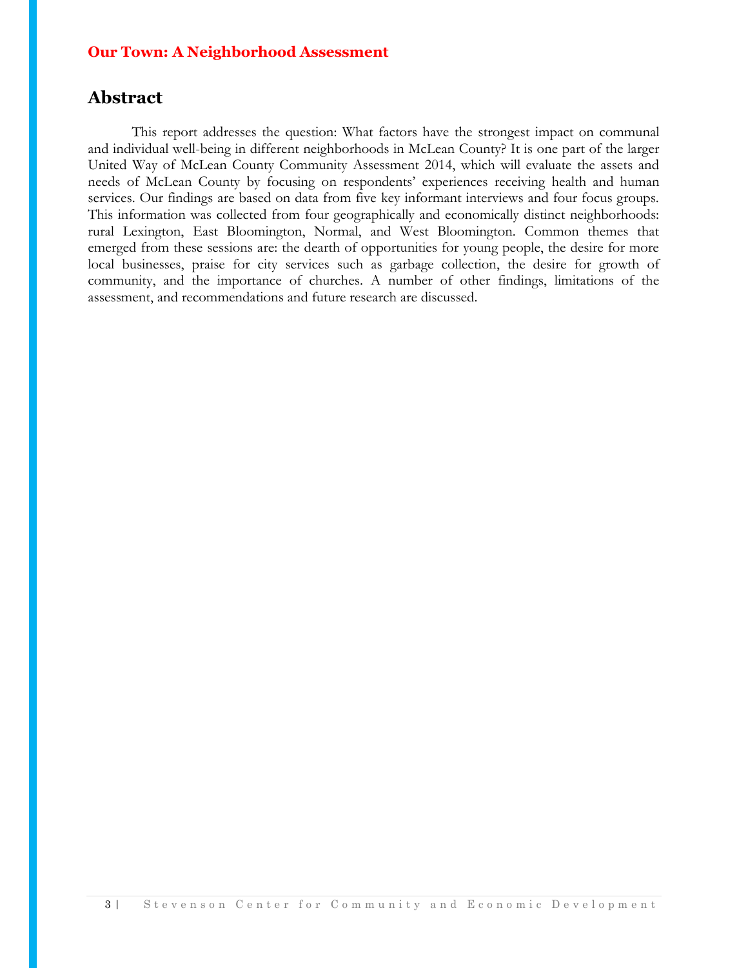## **Abstract**

This report addresses the question: What factors have the strongest impact on communal and individual well-being in different neighborhoods in McLean County? It is one part of the larger United Way of McLean County Community Assessment 2014, which will evaluate the assets and needs of McLean County by focusing on respondents' experiences receiving health and human services. Our findings are based on data from five key informant interviews and four focus groups. This information was collected from four geographically and economically distinct neighborhoods: rural Lexington, East Bloomington, Normal, and West Bloomington. Common themes that emerged from these sessions are: the dearth of opportunities for young people, the desire for more local businesses, praise for city services such as garbage collection, the desire for growth of community, and the importance of churches. A number of other findings, limitations of the assessment, and recommendations and future research are discussed.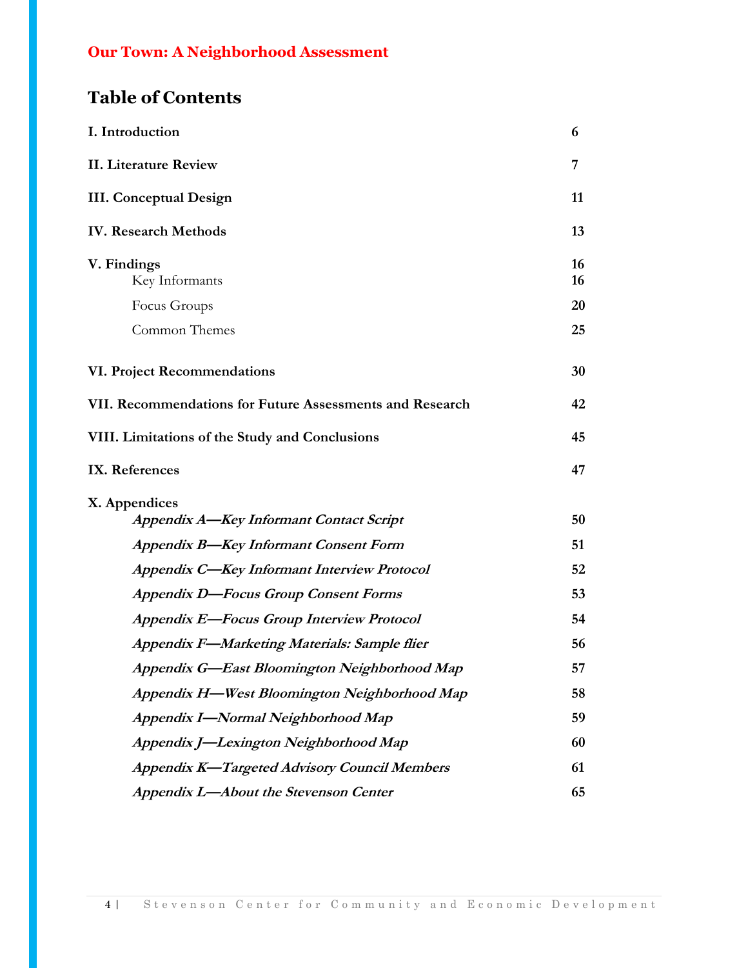## **Table of Contents**

| I. Introduction                                                 | 6        |
|-----------------------------------------------------------------|----------|
| <b>II. Literature Review</b>                                    | 7        |
| <b>III.</b> Conceptual Design                                   | 11       |
| <b>IV. Research Methods</b>                                     | 13       |
| V. Findings<br>Key Informants                                   | 16<br>16 |
| Focus Groups                                                    | 20       |
| Common Themes                                                   | 25       |
| VI. Project Recommendations                                     | 30       |
| VII. Recommendations for Future Assessments and Research        | 42       |
| VIII. Limitations of the Study and Conclusions                  | 45       |
| IX. References                                                  | 47       |
| X. Appendices<br><b>Appendix A-Key Informant Contact Script</b> | 50       |
| <b>Appendix B-Key Informant Consent Form</b>                    | 51       |
| <b>Appendix C-Key Informant Interview Protocol</b>              | 52       |
| <b>Appendix D-Focus Group Consent Forms</b>                     | 53       |
| <b>Appendix E-Focus Group Interview Protocol</b>                | 54       |
| Appendix F-Marketing Materials: Sample flier                    | 56       |
| Appendix G-East Bloomington Neighborhood Map                    | 57       |
| Appendix H-West Bloomington Neighborhood Map                    | 58       |
| Appendix I-Normal Neighborhood Map                              | 59       |
| Appendix J-Lexington Neighborhood Map                           | 60       |
| <b>Appendix K-Targeted Advisory Council Members</b>             | 61       |
| Appendix L-About the Stevenson Center                           | 65       |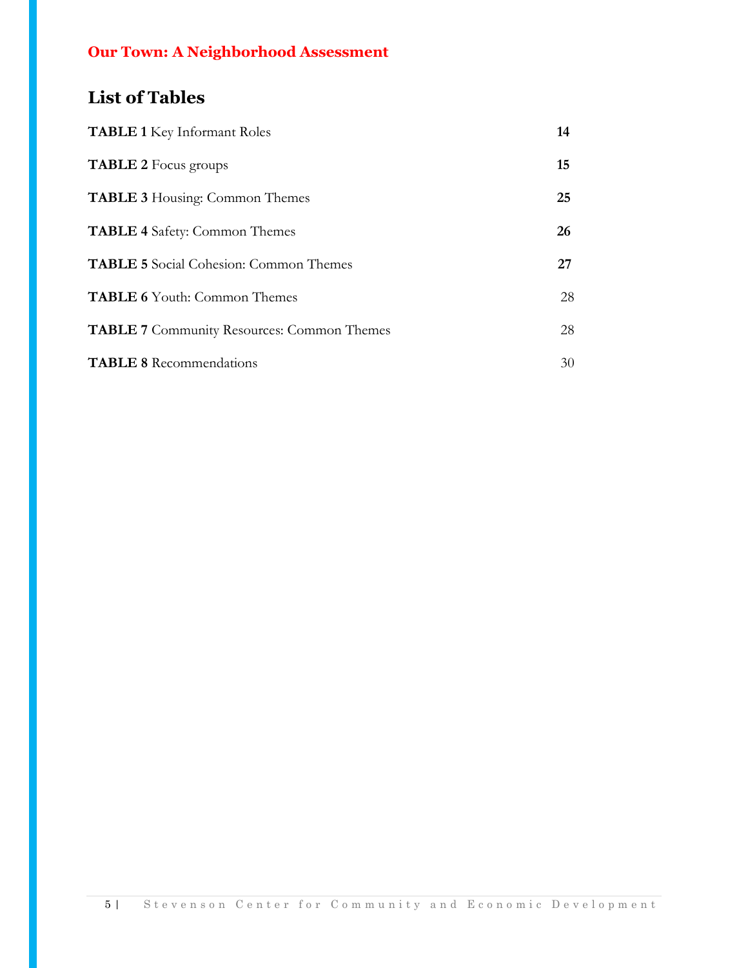## **List of Tables**

| <b>TABLE 1</b> Key Informant Roles                | 14 |
|---------------------------------------------------|----|
| <b>TABLE 2</b> Focus groups                       | 15 |
| <b>TABLE 3</b> Housing: Common Themes             | 25 |
| <b>TABLE 4</b> Safety: Common Themes              | 26 |
| <b>TABLE 5</b> Social Cohesion: Common Themes     | 27 |
| <b>TABLE 6</b> Youth: Common Themes               | 28 |
| <b>TABLE 7</b> Community Resources: Common Themes | 28 |
| <b>TABLE 8</b> Recommendations                    | 30 |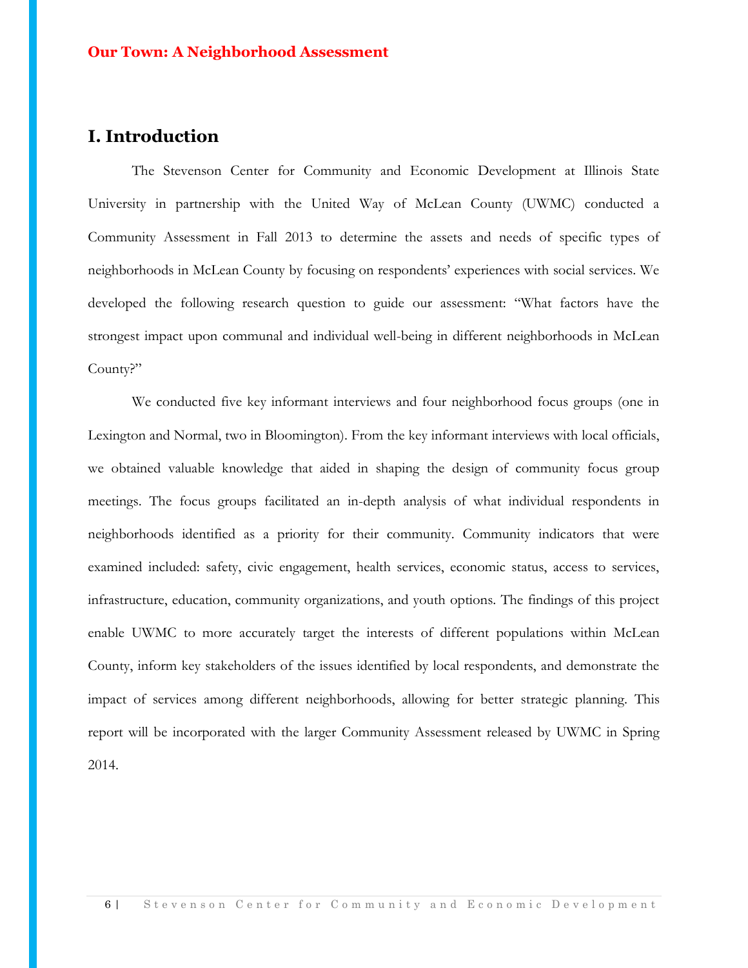## **I. Introduction**

The Stevenson Center for Community and Economic Development at Illinois State University in partnership with the United Way of McLean County (UWMC) conducted a Community Assessment in Fall 2013 to determine the assets and needs of specific types of neighborhoods in McLean County by focusing on respondents' experiences with social services. We developed the following research question to guide our assessment: "What factors have the strongest impact upon communal and individual well-being in different neighborhoods in McLean County?"

We conducted five key informant interviews and four neighborhood focus groups (one in Lexington and Normal, two in Bloomington). From the key informant interviews with local officials, we obtained valuable knowledge that aided in shaping the design of community focus group meetings. The focus groups facilitated an in-depth analysis of what individual respondents in neighborhoods identified as a priority for their community. Community indicators that were examined included: safety, civic engagement, health services, economic status, access to services, infrastructure, education, community organizations, and youth options. The findings of this project enable UWMC to more accurately target the interests of different populations within McLean County, inform key stakeholders of the issues identified by local respondents, and demonstrate the impact of services among different neighborhoods, allowing for better strategic planning. This report will be incorporated with the larger Community Assessment released by UWMC in Spring 2014.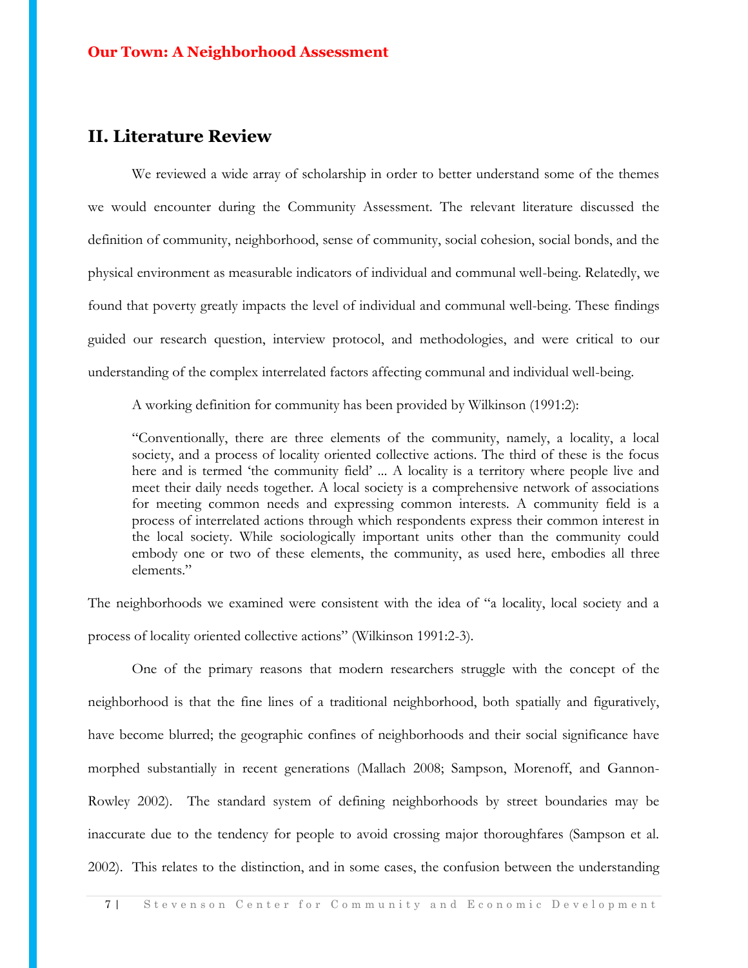## **II. Literature Review**

We reviewed a wide array of scholarship in order to better understand some of the themes we would encounter during the Community Assessment. The relevant literature discussed the definition of community, neighborhood, sense of community, social cohesion, social bonds, and the physical environment as measurable indicators of individual and communal well-being. Relatedly, we found that poverty greatly impacts the level of individual and communal well-being. These findings guided our research question, interview protocol, and methodologies, and were critical to our understanding of the complex interrelated factors affecting communal and individual well-being.

A working definition for community has been provided by Wilkinson (1991:2):

"Conventionally, there are three elements of the community, namely, a locality, a local society, and a process of locality oriented collective actions. The third of these is the focus here and is termed 'the community field' ... A locality is a territory where people live and meet their daily needs together. A local society is a comprehensive network of associations for meeting common needs and expressing common interests. A community field is a process of interrelated actions through which respondents express their common interest in the local society. While sociologically important units other than the community could embody one or two of these elements, the community, as used here, embodies all three elements."

The neighborhoods we examined were consistent with the idea of "a locality, local society and a process of locality oriented collective actions" (Wilkinson 1991:2-3).

One of the primary reasons that modern researchers struggle with the concept of the neighborhood is that the fine lines of a traditional neighborhood, both spatially and figuratively, have become blurred; the geographic confines of neighborhoods and their social significance have morphed substantially in recent generations (Mallach 2008; Sampson, Morenoff, and Gannon-Rowley 2002). The standard system of defining neighborhoods by street boundaries may be inaccurate due to the tendency for people to avoid crossing major thoroughfares (Sampson et al. 2002). This relates to the distinction, and in some cases, the confusion between the understanding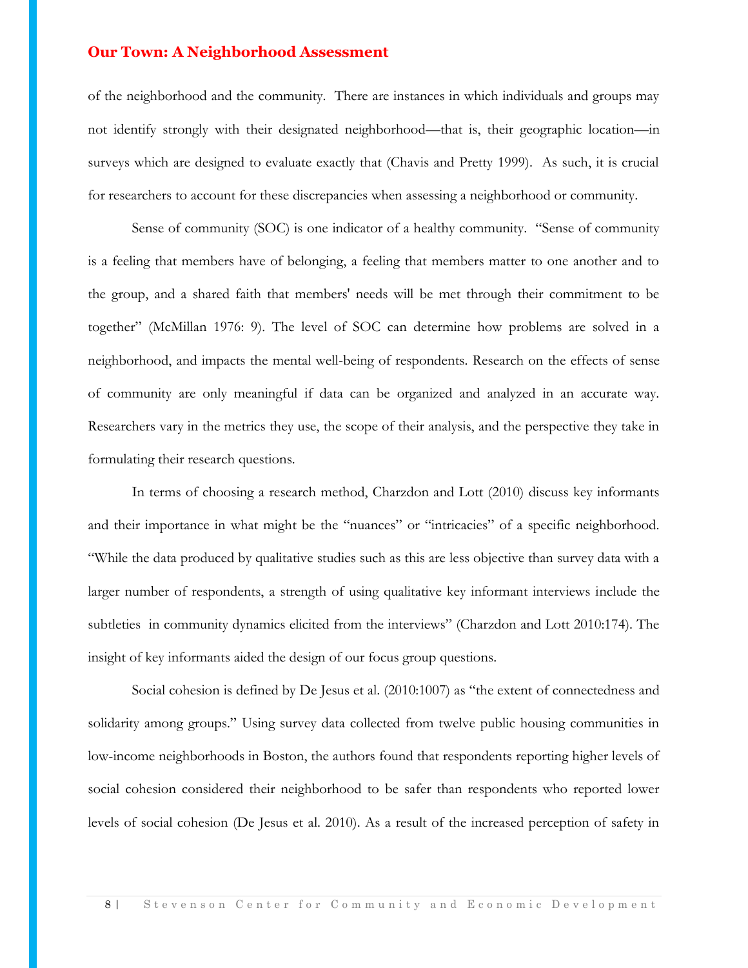of the neighborhood and the community. There are instances in which individuals and groups may not identify strongly with their designated neighborhood—that is, their geographic location—in surveys which are designed to evaluate exactly that (Chavis and Pretty 1999). As such, it is crucial for researchers to account for these discrepancies when assessing a neighborhood or community.

Sense of community (SOC) is one indicator of a healthy community. "Sense of community is a feeling that members have of belonging, a feeling that members matter to one another and to the group, and a shared faith that members' needs will be met through their commitment to be together" (McMillan 1976: 9). The level of SOC can determine how problems are solved in a neighborhood, and impacts the mental well-being of respondents. Research on the effects of sense of community are only meaningful if data can be organized and analyzed in an accurate way. Researchers vary in the metrics they use, the scope of their analysis, and the perspective they take in formulating their research questions.

In terms of choosing a research method, Charzdon and Lott (2010) discuss key informants and their importance in what might be the "nuances" or "intricacies" of a specific neighborhood. "While the data produced by qualitative studies such as this are less objective than survey data with a larger number of respondents, a strength of using qualitative key informant interviews include the subtleties in community dynamics elicited from the interviews" (Charzdon and Lott 2010:174). The insight of key informants aided the design of our focus group questions.

Social cohesion is defined by De Jesus et al. (2010:1007) as "the extent of connectedness and solidarity among groups." Using survey data collected from twelve public housing communities in low-income neighborhoods in Boston, the authors found that respondents reporting higher levels of social cohesion considered their neighborhood to be safer than respondents who reported lower levels of social cohesion (De Jesus et al. 2010). As a result of the increased perception of safety in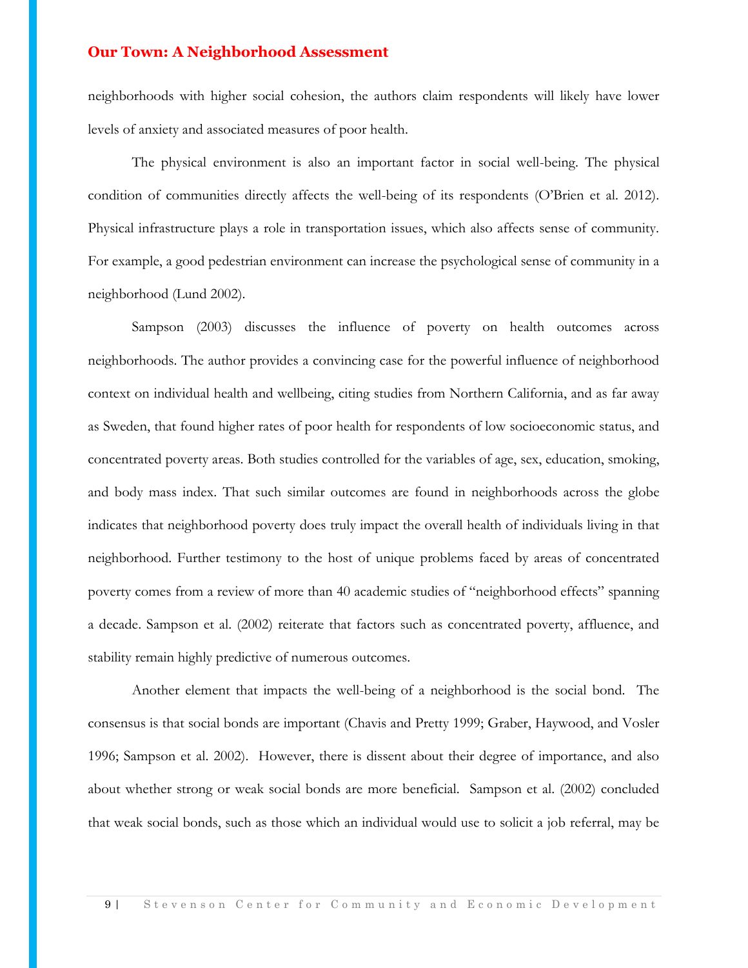neighborhoods with higher social cohesion, the authors claim respondents will likely have lower levels of anxiety and associated measures of poor health.

The physical environment is also an important factor in social well-being. The physical condition of communities directly affects the well-being of its respondents (O'Brien et al. 2012). Physical infrastructure plays a role in transportation issues, which also affects sense of community. For example, a good pedestrian environment can increase the psychological sense of community in a neighborhood (Lund 2002).

Sampson (2003) discusses the influence of poverty on health outcomes across neighborhoods. The author provides a convincing case for the powerful influence of neighborhood context on individual health and wellbeing, citing studies from Northern California, and as far away as Sweden, that found higher rates of poor health for respondents of low socioeconomic status, and concentrated poverty areas. Both studies controlled for the variables of age, sex, education, smoking, and body mass index. That such similar outcomes are found in neighborhoods across the globe indicates that neighborhood poverty does truly impact the overall health of individuals living in that neighborhood. Further testimony to the host of unique problems faced by areas of concentrated poverty comes from a review of more than 40 academic studies of "neighborhood effects" spanning a decade. Sampson et al. (2002) reiterate that factors such as concentrated poverty, affluence, and stability remain highly predictive of numerous outcomes.

Another element that impacts the well-being of a neighborhood is the social bond. The consensus is that social bonds are important (Chavis and Pretty 1999; Graber, Haywood, and Vosler 1996; Sampson et al. 2002). However, there is dissent about their degree of importance, and also about whether strong or weak social bonds are more beneficial. Sampson et al. (2002) concluded that weak social bonds, such as those which an individual would use to solicit a job referral, may be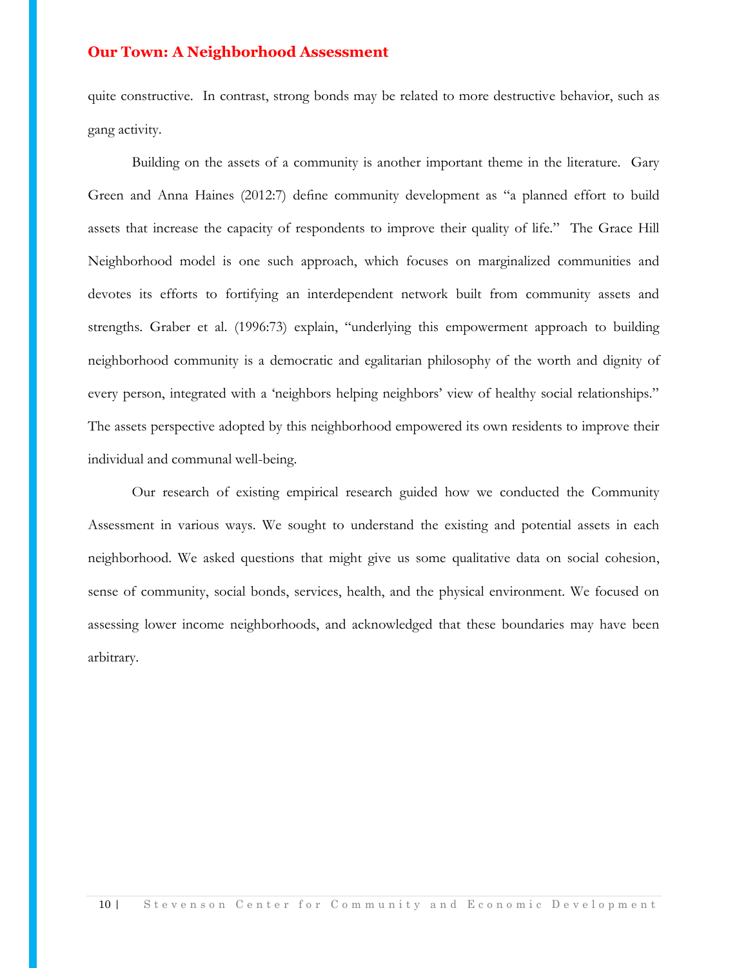quite constructive. In contrast, strong bonds may be related to more destructive behavior, such as gang activity.

Building on the assets of a community is another important theme in the literature. Gary Green and Anna Haines (2012:7) define community development as "a planned effort to build assets that increase the capacity of respondents to improve their quality of life." The Grace Hill Neighborhood model is one such approach, which focuses on marginalized communities and devotes its efforts to fortifying an interdependent network built from community assets and strengths. Graber et al. (1996:73) explain, "underlying this empowerment approach to building neighborhood community is a democratic and egalitarian philosophy of the worth and dignity of every person, integrated with a 'neighbors helping neighbors' view of healthy social relationships." The assets perspective adopted by this neighborhood empowered its own residents to improve their individual and communal well-being.

Our research of existing empirical research guided how we conducted the Community Assessment in various ways. We sought to understand the existing and potential assets in each neighborhood. We asked questions that might give us some qualitative data on social cohesion, sense of community, social bonds, services, health, and the physical environment. We focused on assessing lower income neighborhoods, and acknowledged that these boundaries may have been arbitrary.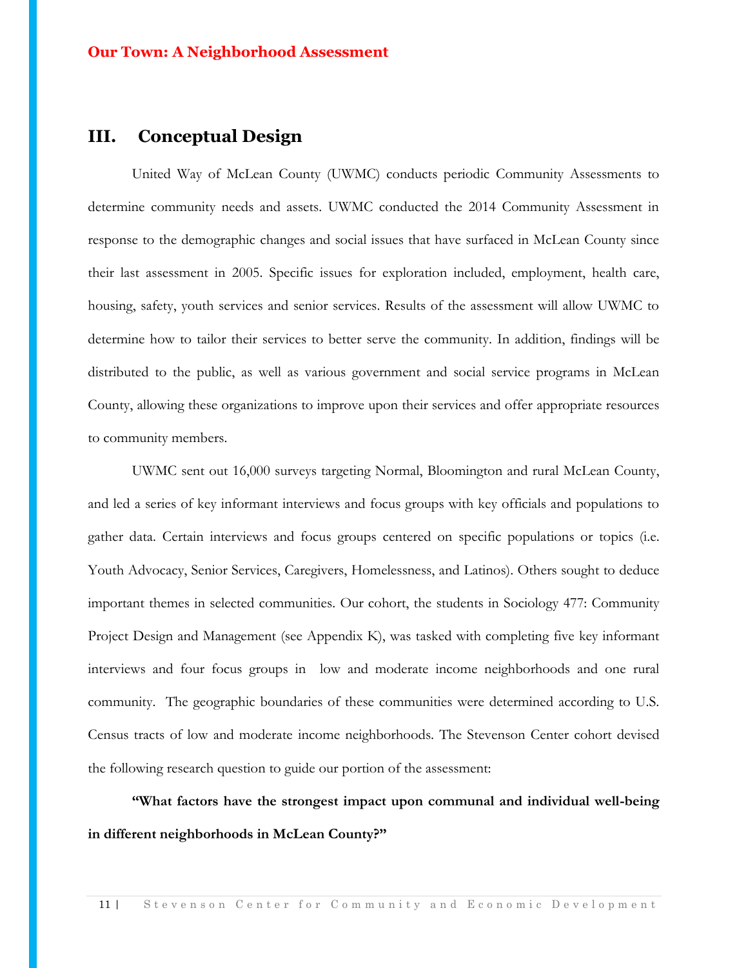## **III. Conceptual Design**

United Way of McLean County (UWMC) conducts periodic Community Assessments to determine community needs and assets. UWMC conducted the 2014 Community Assessment in response to the demographic changes and social issues that have surfaced in McLean County since their last assessment in 2005. Specific issues for exploration included, employment, health care, housing, safety, youth services and senior services. Results of the assessment will allow UWMC to determine how to tailor their services to better serve the community. In addition, findings will be distributed to the public, as well as various government and social service programs in McLean County, allowing these organizations to improve upon their services and offer appropriate resources to community members.

UWMC sent out 16,000 surveys targeting Normal, Bloomington and rural McLean County, and led a series of key informant interviews and focus groups with key officials and populations to gather data. Certain interviews and focus groups centered on specific populations or topics (i.e. Youth Advocacy, Senior Services, Caregivers, Homelessness, and Latinos). Others sought to deduce important themes in selected communities. Our cohort, the students in Sociology 477: Community Project Design and Management (see Appendix K), was tasked with completing five key informant interviews and four focus groups in low and moderate income neighborhoods and one rural community. The geographic boundaries of these communities were determined according to U.S. Census tracts of low and moderate income neighborhoods. The Stevenson Center cohort devised the following research question to guide our portion of the assessment:

**"What factors have the strongest impact upon communal and individual well-being in different neighborhoods in McLean County?"**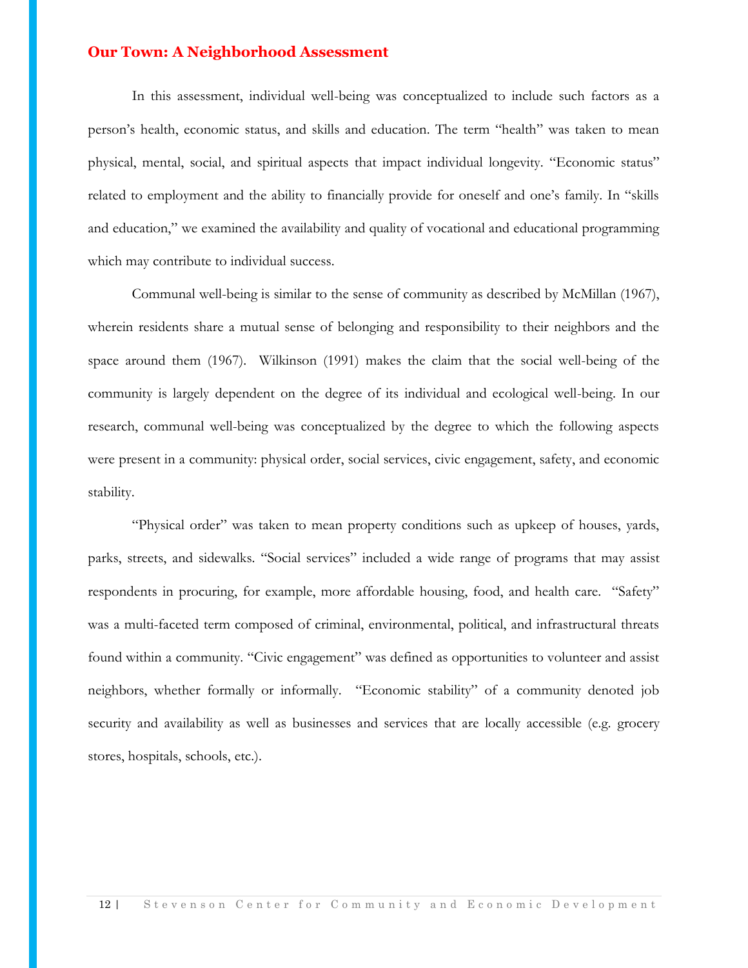In this assessment, individual well-being was conceptualized to include such factors as a person's health, economic status, and skills and education. The term "health" was taken to mean physical, mental, social, and spiritual aspects that impact individual longevity. "Economic status" related to employment and the ability to financially provide for oneself and one's family. In "skills and education," we examined the availability and quality of vocational and educational programming which may contribute to individual success.

Communal well-being is similar to the sense of community as described by McMillan (1967), wherein residents share a mutual sense of belonging and responsibility to their neighbors and the space around them (1967). Wilkinson (1991) makes the claim that the social well-being of the community is largely dependent on the degree of its individual and ecological well-being. In our research, communal well-being was conceptualized by the degree to which the following aspects were present in a community: physical order, social services, civic engagement, safety, and economic stability.

"Physical order" was taken to mean property conditions such as upkeep of houses, yards, parks, streets, and sidewalks. "Social services" included a wide range of programs that may assist respondents in procuring, for example, more affordable housing, food, and health care. "Safety" was a multi-faceted term composed of criminal, environmental, political, and infrastructural threats found within a community. "Civic engagement" was defined as opportunities to volunteer and assist neighbors, whether formally or informally. "Economic stability" of a community denoted job security and availability as well as businesses and services that are locally accessible (e.g. grocery stores, hospitals, schools, etc.).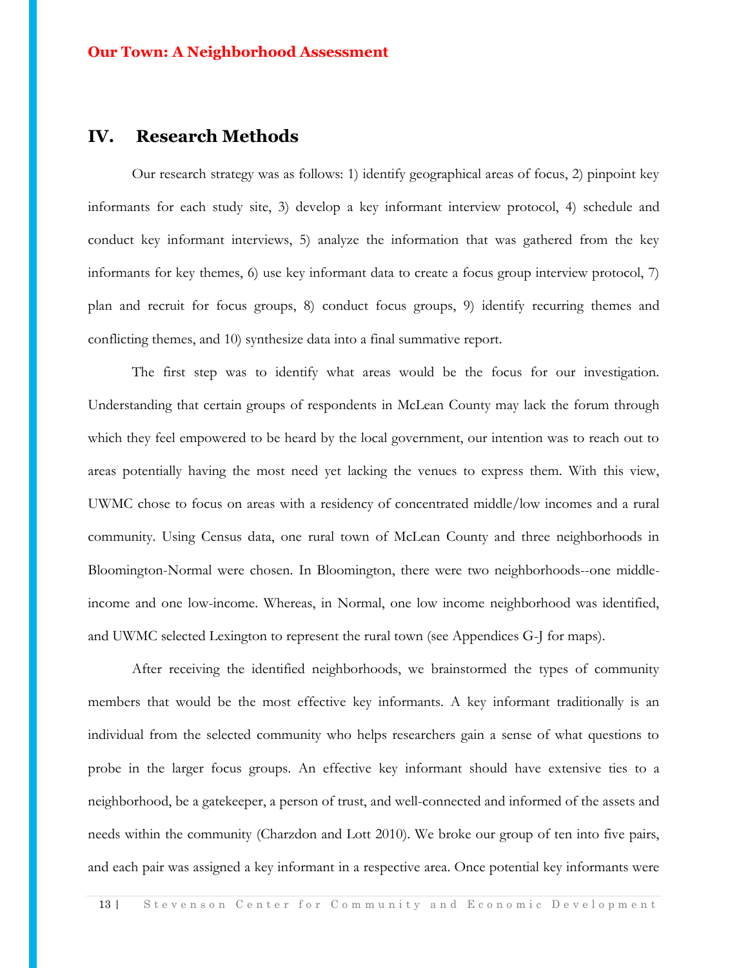## **IV. Research Methods**

Our research strategy was as follows: 1) identify geographical areas of focus, 2) pinpoint key informants for each study site, 3) develop a key informant interview protocol, 4) schedule and conduct key informant interviews, 5) analyze the information that was gathered from the key informants for key themes, 6) use key informant data to create a focus group interview protocol, 7) plan and recruit for focus groups, 8) conduct focus groups, 9) identify recurring themes and conflicting themes, and 10) synthesize data into a final summative report.

The first step was to identify what areas would be the focus for our investigation. Understanding that certain groups of respondents in McLean County may lack the forum through which they feel empowered to be heard by the local government, our intention was to reach out to areas potentially having the most need yet lacking the venues to express them. With this view, UWMC chose to focus on areas with a residency of concentrated middle/low incomes and a rural community. Using Census data, one rural town of McLean County and three neighborhoods in Bloomington-Normal were chosen. In Bloomington, there were two neighborhoods--one middleincome and one low-income. Whereas, in Normal, one low income neighborhood was identified, and UWMC selected Lexington to represent the rural town (see Appendices G-J for maps).

After receiving the identified neighborhoods, we brainstormed the types of community members that would be the most effective key informants. A key informant traditionally is an individual from the selected community who helps researchers gain a sense of what questions to probe in the larger focus groups. An effective key informant should have extensive ties to a neighborhood, be a gatekeeper, a person of trust, and well-connected and informed of the assets and needs within the community (Charzdon and Lott 2010). We broke our group of ten into five pairs, and each pair was assigned a key informant in a respective area. Once potential key informants were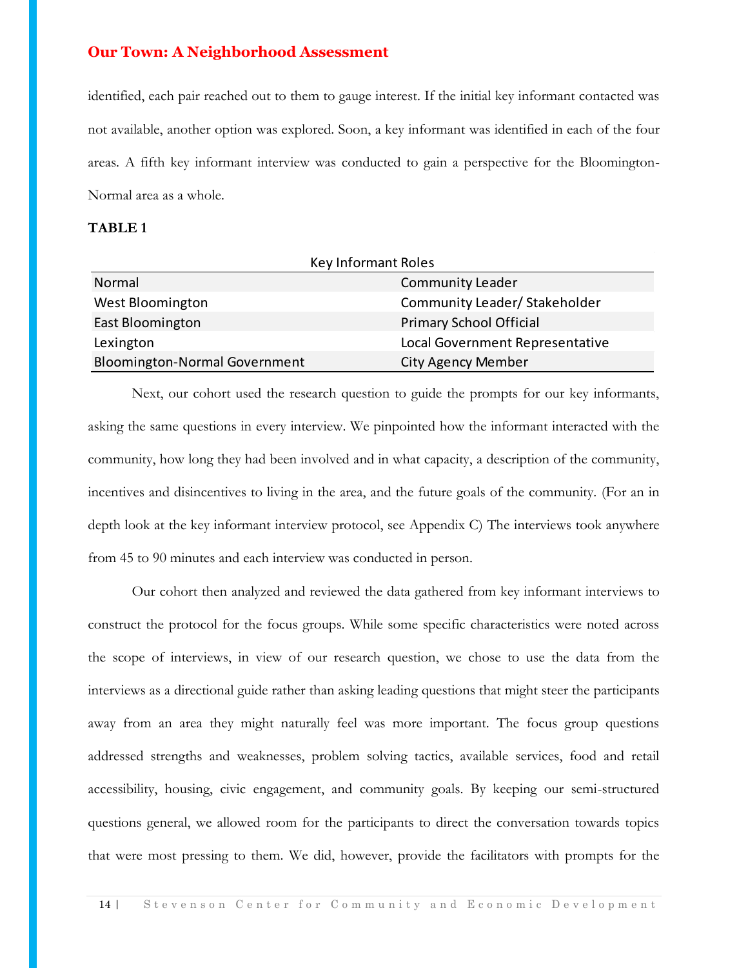identified, each pair reached out to them to gauge interest. If the initial key informant contacted was not available, another option was explored. Soon, a key informant was identified in each of the four areas. A fifth key informant interview was conducted to gain a perspective for the Bloomington-Normal area as a whole.

#### **TABLE 1**

| Key Informant Roles                  |                                 |  |  |  |
|--------------------------------------|---------------------------------|--|--|--|
| Normal                               | <b>Community Leader</b>         |  |  |  |
| West Bloomington                     | Community Leader/ Stakeholder   |  |  |  |
| East Bloomington                     | <b>Primary School Official</b>  |  |  |  |
| Lexington                            | Local Government Representative |  |  |  |
| <b>Bloomington-Normal Government</b> | <b>City Agency Member</b>       |  |  |  |

Next, our cohort used the research question to guide the prompts for our key informants, asking the same questions in every interview. We pinpointed how the informant interacted with the community, how long they had been involved and in what capacity, a description of the community, incentives and disincentives to living in the area, and the future goals of the community. (For an in depth look at the key informant interview protocol, see Appendix C) The interviews took anywhere from 45 to 90 minutes and each interview was conducted in person.

Our cohort then analyzed and reviewed the data gathered from key informant interviews to construct the protocol for the focus groups. While some specific characteristics were noted across the scope of interviews, in view of our research question, we chose to use the data from the interviews as a directional guide rather than asking leading questions that might steer the participants away from an area they might naturally feel was more important. The focus group questions addressed strengths and weaknesses, problem solving tactics, available services, food and retail accessibility, housing, civic engagement, and community goals. By keeping our semi-structured questions general, we allowed room for the participants to direct the conversation towards topics that were most pressing to them. We did, however, provide the facilitators with prompts for the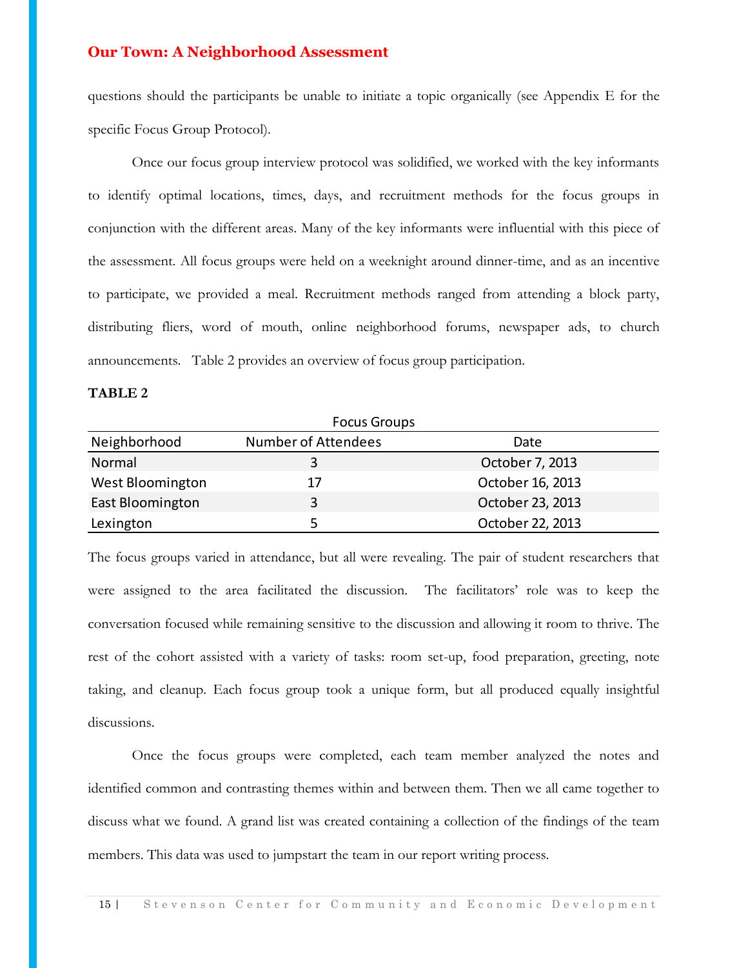questions should the participants be unable to initiate a topic organically (see Appendix E for the specific Focus Group Protocol).

Once our focus group interview protocol was solidified, we worked with the key informants to identify optimal locations, times, days, and recruitment methods for the focus groups in conjunction with the different areas. Many of the key informants were influential with this piece of the assessment. All focus groups were held on a weeknight around dinner-time, and as an incentive to participate, we provided a meal. Recruitment methods ranged from attending a block party, distributing fliers, word of mouth, online neighborhood forums, newspaper ads, to church announcements. Table 2 provides an overview of focus group participation.

#### **TABLE 2**

|                  | <b>Focus Groups</b> |                  |
|------------------|---------------------|------------------|
| Neighborhood     | Number of Attendees | Date             |
| Normal           |                     | October 7, 2013  |
| West Bloomington | 17                  | October 16, 2013 |
| East Bloomington | 3                   | October 23, 2013 |
| Lexington        |                     | October 22, 2013 |

Neighborhood Number of Attendees Date<br>
Next Bloomington 3 October 7, 2013<br>
East Bloomington 17 October 16, 2013<br>
Lexington 5 October 22, 2013<br>
The focus groups varied in attendance, but all were revealing. The pair of stud The focus groups varied in attendance, but all were revealing. The pair of student researchers that were assigned to the area facilitated the discussion. The facilitators' role was to keep the conversation focused while remaining sensitive to the discussion and allowing it room to thrive. The rest of the cohort assisted with a variety of tasks: room set-up, food preparation, greeting, note taking, and cleanup. Each focus group took a unique form, but all produced equally insightful discussions.

Once the focus groups were completed, each team member analyzed the notes and identified common and contrasting themes within and between them. Then we all came together to discuss what we found. A grand list was created containing a collection of the findings of the team members. This data was used to jumpstart the team in our report writing process.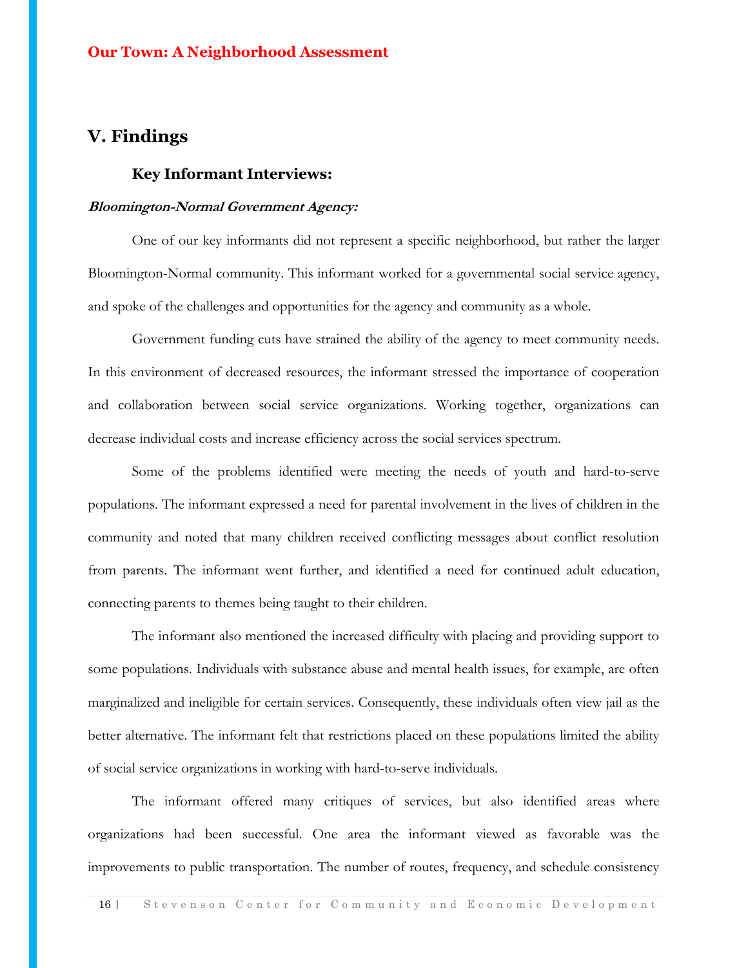## **V. Findings**

#### **Key Informant Interviews:**

#### **Bloomington-Normal Government Agency:**

One of our key informants did not represent a specific neighborhood, but rather the larger Bloomington-Normal community. This informant worked for a governmental social service agency, and spoke of the challenges and opportunities for the agency and community as a whole.

Government funding cuts have strained the ability of the agency to meet community needs. In this environment of decreased resources, the informant stressed the importance of cooperation and collaboration between social service organizations. Working together, organizations can decrease individual costs and increase efficiency across the social services spectrum.

Some of the problems identified were meeting the needs of youth and hard-to-serve populations. The informant expressed a need for parental involvement in the lives of children in the community and noted that many children received conflicting messages about conflict resolution from parents. The informant went further, and identified a need for continued adult education, connecting parents to themes being taught to their children.

The informant also mentioned the increased difficulty with placing and providing support to some populations. Individuals with substance abuse and mental health issues, for example, are often marginalized and ineligible for certain services. Consequently, these individuals often view jail as the better alternative. The informant felt that restrictions placed on these populations limited the ability of social service organizations in working with hard-to-serve individuals.

The informant offered many critiques of services, but also identified areas where organizations had been successful. One area the informant viewed as favorable was the improvements to public transportation. The number of routes, frequency, and schedule consistency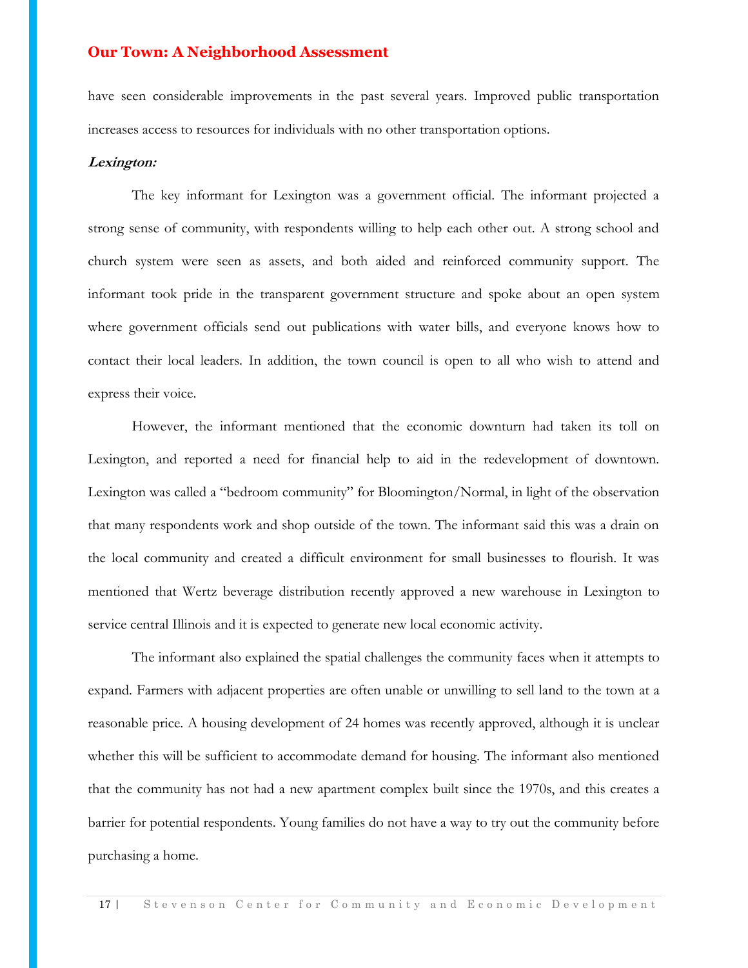have seen considerable improvements in the past several years. Improved public transportation increases access to resources for individuals with no other transportation options.

#### **Lexington:**

The key informant for Lexington was a government official. The informant projected a strong sense of community, with respondents willing to help each other out. A strong school and church system were seen as assets, and both aided and reinforced community support. The informant took pride in the transparent government structure and spoke about an open system where government officials send out publications with water bills, and everyone knows how to contact their local leaders. In addition, the town council is open to all who wish to attend and express their voice.

However, the informant mentioned that the economic downturn had taken its toll on Lexington, and reported a need for financial help to aid in the redevelopment of downtown. Lexington was called a "bedroom community" for Bloomington/Normal, in light of the observation that many respondents work and shop outside of the town. The informant said this was a drain on the local community and created a difficult environment for small businesses to flourish. It was mentioned that Wertz beverage distribution recently approved a new warehouse in Lexington to service central Illinois and it is expected to generate new local economic activity.

The informant also explained the spatial challenges the community faces when it attempts to expand. Farmers with adjacent properties are often unable or unwilling to sell land to the town at a reasonable price. A housing development of 24 homes was recently approved, although it is unclear whether this will be sufficient to accommodate demand for housing. The informant also mentioned that the community has not had a new apartment complex built since the 1970s, and this creates a barrier for potential respondents. Young families do not have a way to try out the community before purchasing a home.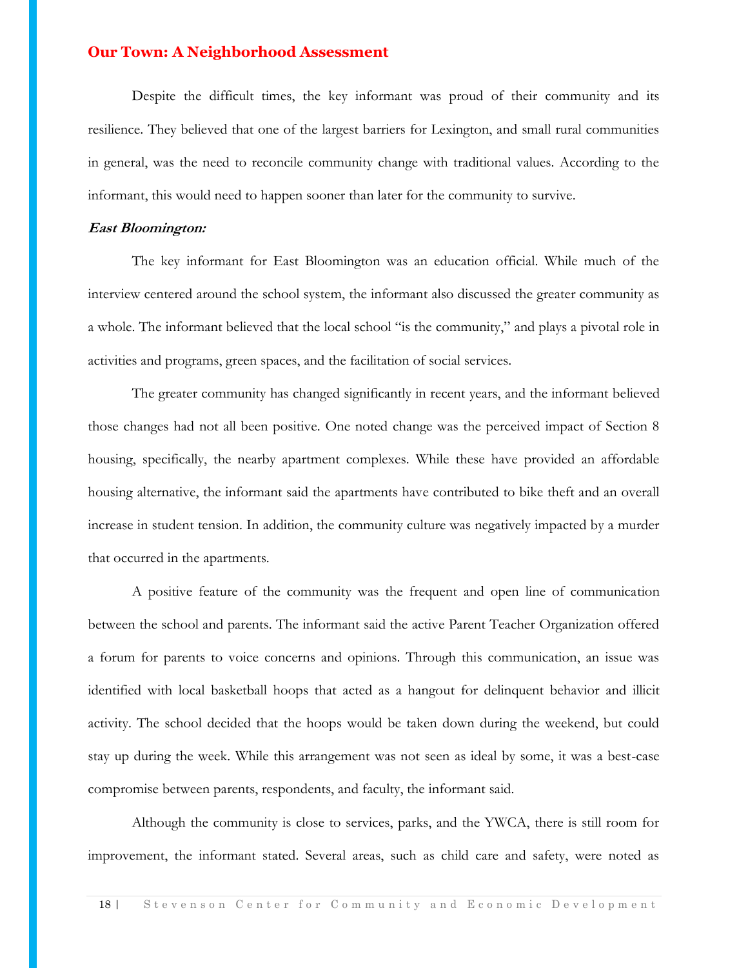Despite the difficult times, the key informant was proud of their community and its resilience. They believed that one of the largest barriers for Lexington, and small rural communities in general, was the need to reconcile community change with traditional values. According to the informant, this would need to happen sooner than later for the community to survive.

#### **East Bloomington:**

The key informant for East Bloomington was an education official. While much of the interview centered around the school system, the informant also discussed the greater community as a whole. The informant believed that the local school "is the community," and plays a pivotal role in activities and programs, green spaces, and the facilitation of social services.

The greater community has changed significantly in recent years, and the informant believed those changes had not all been positive. One noted change was the perceived impact of Section 8 housing, specifically, the nearby apartment complexes. While these have provided an affordable housing alternative, the informant said the apartments have contributed to bike theft and an overall increase in student tension. In addition, the community culture was negatively impacted by a murder that occurred in the apartments.

A positive feature of the community was the frequent and open line of communication between the school and parents. The informant said the active Parent Teacher Organization offered a forum for parents to voice concerns and opinions. Through this communication, an issue was identified with local basketball hoops that acted as a hangout for delinquent behavior and illicit activity. The school decided that the hoops would be taken down during the weekend, but could stay up during the week. While this arrangement was not seen as ideal by some, it was a best-case compromise between parents, respondents, and faculty, the informant said.

Although the community is close to services, parks, and the YWCA, there is still room for improvement, the informant stated. Several areas, such as child care and safety, were noted as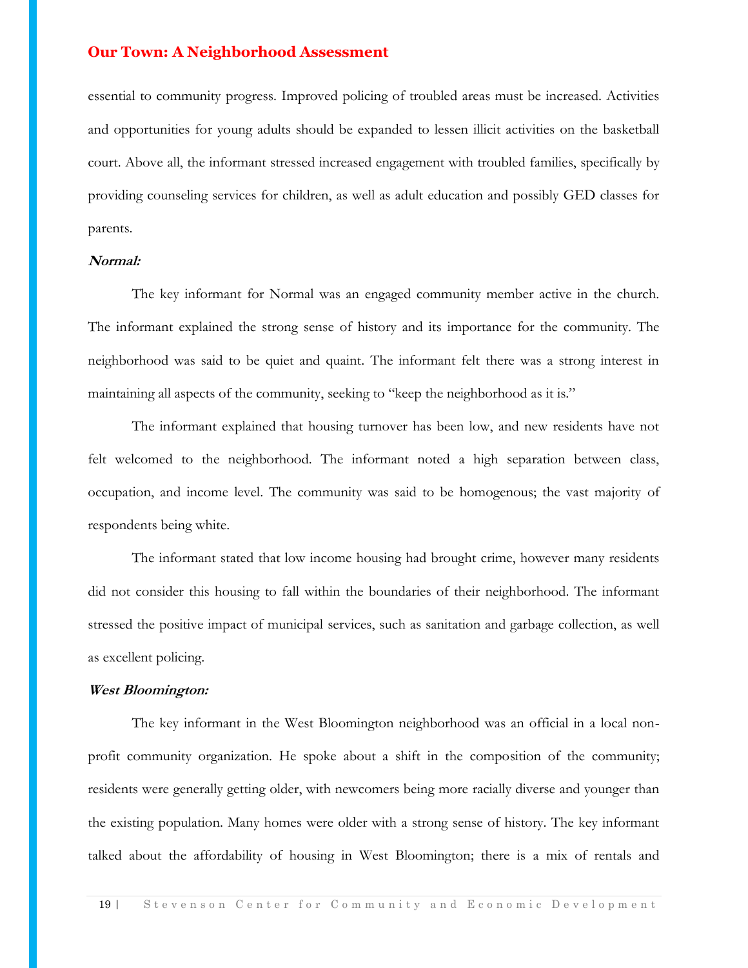essential to community progress. Improved policing of troubled areas must be increased. Activities and opportunities for young adults should be expanded to lessen illicit activities on the basketball court. Above all, the informant stressed increased engagement with troubled families, specifically by providing counseling services for children, as well as adult education and possibly GED classes for parents.

#### **Normal:**

The key informant for Normal was an engaged community member active in the church. The informant explained the strong sense of history and its importance for the community. The neighborhood was said to be quiet and quaint. The informant felt there was a strong interest in maintaining all aspects of the community, seeking to "keep the neighborhood as it is."

The informant explained that housing turnover has been low, and new residents have not felt welcomed to the neighborhood. The informant noted a high separation between class, occupation, and income level. The community was said to be homogenous; the vast majority of respondents being white.

The informant stated that low income housing had brought crime, however many residents did not consider this housing to fall within the boundaries of their neighborhood. The informant stressed the positive impact of municipal services, such as sanitation and garbage collection, as well as excellent policing.

#### **West Bloomington:**

The key informant in the West Bloomington neighborhood was an official in a local nonprofit community organization. He spoke about a shift in the composition of the community; residents were generally getting older, with newcomers being more racially diverse and younger than the existing population. Many homes were older with a strong sense of history. The key informant talked about the affordability of housing in West Bloomington; there is a mix of rentals and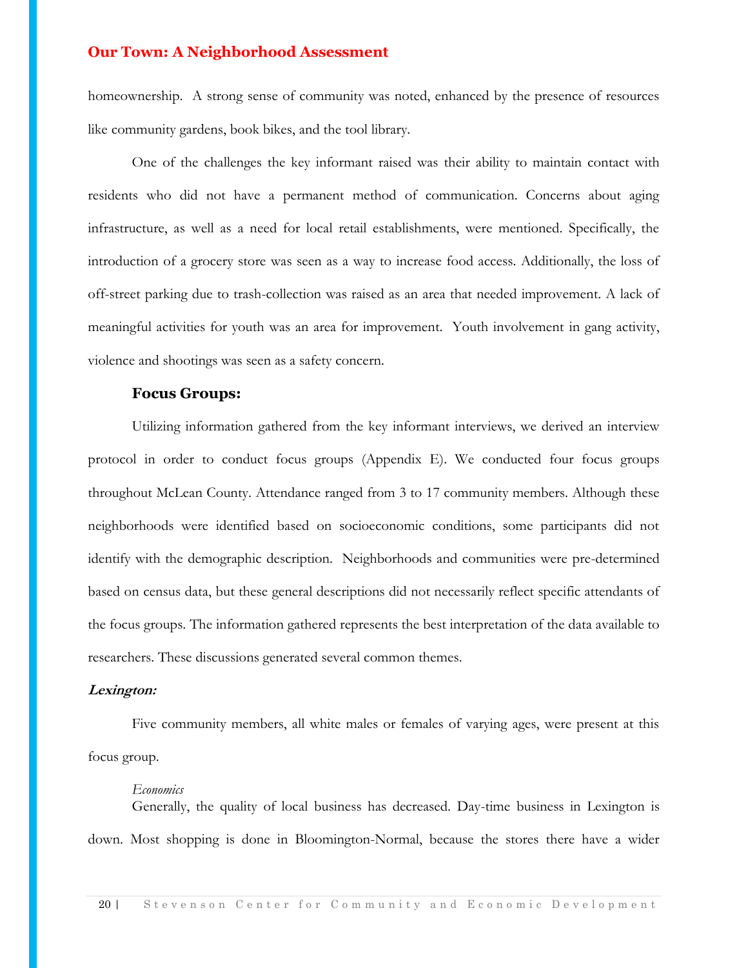homeownership. A strong sense of community was noted, enhanced by the presence of resources like community gardens, book bikes, and the tool library.

One of the challenges the key informant raised was their ability to maintain contact with residents who did not have a permanent method of communication. Concerns about aging infrastructure, as well as a need for local retail establishments, were mentioned. Specifically, the introduction of a grocery store was seen as a way to increase food access. Additionally, the loss of off-street parking due to trash-collection was raised as an area that needed improvement. A lack of meaningful activities for youth was an area for improvement. Youth involvement in gang activity, violence and shootings was seen as a safety concern.

#### **Focus Groups:**

Utilizing information gathered from the key informant interviews, we derived an interview protocol in order to conduct focus groups (Appendix E). We conducted four focus groups throughout McLean County. Attendance ranged from 3 to 17 community members. Although these neighborhoods were identified based on socioeconomic conditions, some participants did not identify with the demographic description. Neighborhoods and communities were pre-determined based on census data, but these general descriptions did not necessarily reflect specific attendants of the focus groups. The information gathered represents the best interpretation of the data available to researchers. These discussions generated several common themes.

#### **Lexington:**

Five community members, all white males or females of varying ages, were present at this focus group.

#### *Economics*

Generally, the quality of local business has decreased. Day-time business in Lexington is down. Most shopping is done in Bloomington-Normal, because the stores there have a wider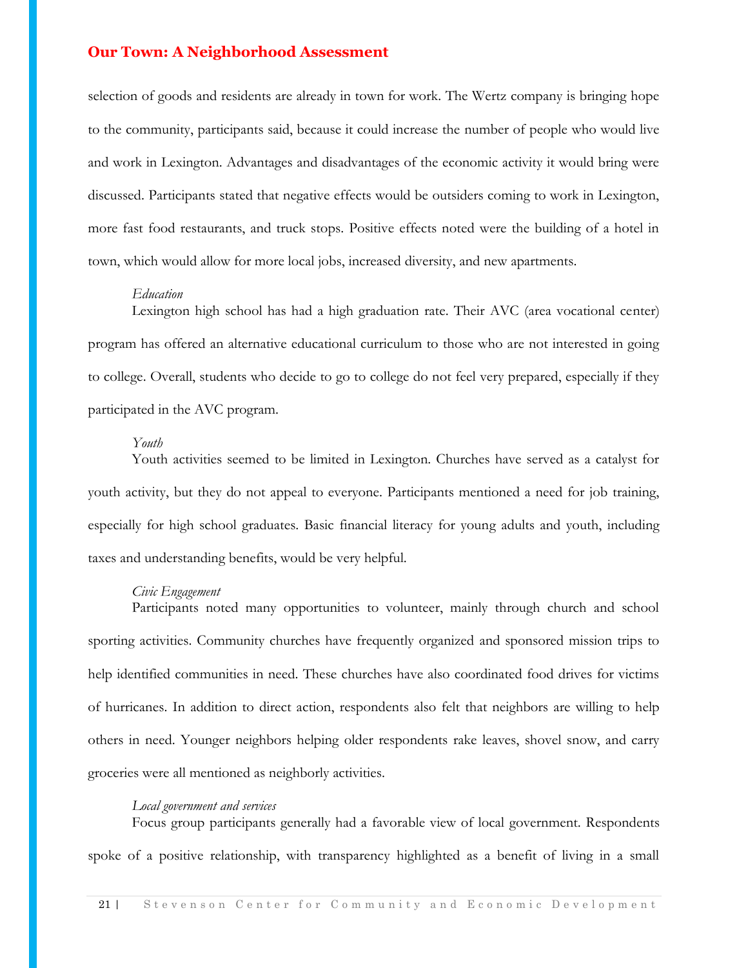selection of goods and residents are already in town for work. The Wertz company is bringing hope to the community, participants said, because it could increase the number of people who would live and work in Lexington. Advantages and disadvantages of the economic activity it would bring were discussed. Participants stated that negative effects would be outsiders coming to work in Lexington, more fast food restaurants, and truck stops. Positive effects noted were the building of a hotel in town, which would allow for more local jobs, increased diversity, and new apartments.

#### *Education*

Lexington high school has had a high graduation rate. Their AVC (area vocational center) program has offered an alternative educational curriculum to those who are not interested in going to college. Overall, students who decide to go to college do not feel very prepared, especially if they participated in the AVC program.

#### *Youth*

Youth activities seemed to be limited in Lexington. Churches have served as a catalyst for youth activity, but they do not appeal to everyone. Participants mentioned a need for job training, especially for high school graduates. Basic financial literacy for young adults and youth, including taxes and understanding benefits, would be very helpful.

#### *Civic Engagement*

Participants noted many opportunities to volunteer, mainly through church and school sporting activities. Community churches have frequently organized and sponsored mission trips to help identified communities in need. These churches have also coordinated food drives for victims of hurricanes. In addition to direct action, respondents also felt that neighbors are willing to help others in need. Younger neighbors helping older respondents rake leaves, shovel snow, and carry groceries were all mentioned as neighborly activities.

#### *Local government and services*

Focus group participants generally had a favorable view of local government. Respondents spoke of a positive relationship, with transparency highlighted as a benefit of living in a small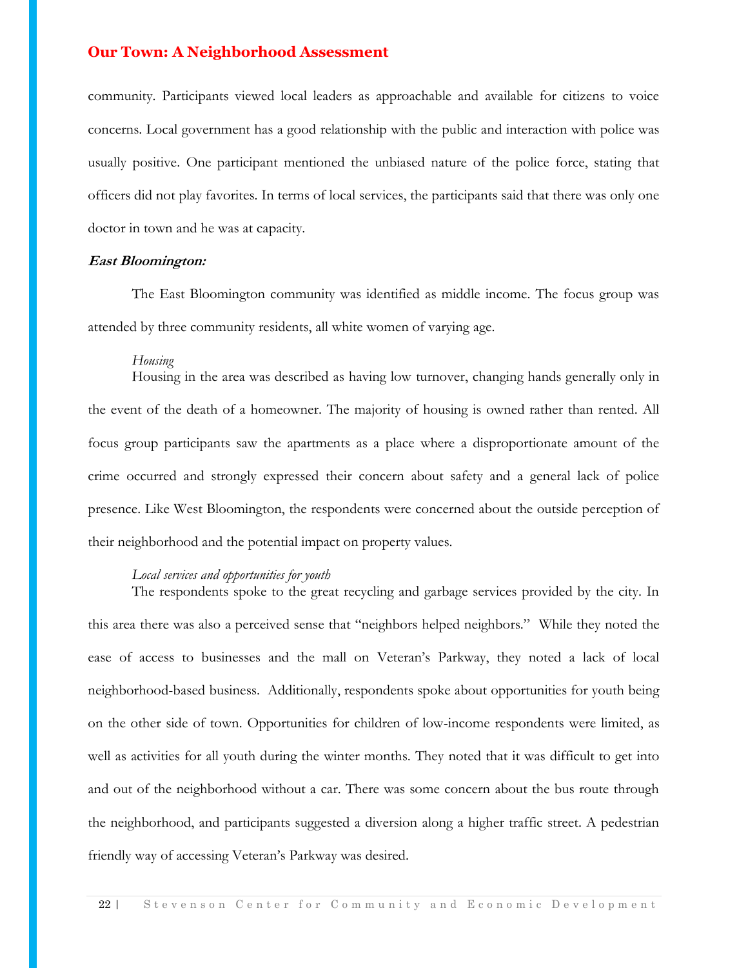community. Participants viewed local leaders as approachable and available for citizens to voice concerns. Local government has a good relationship with the public and interaction with police was usually positive. One participant mentioned the unbiased nature of the police force, stating that officers did not play favorites. In terms of local services, the participants said that there was only one doctor in town and he was at capacity.

#### **East Bloomington:**

The East Bloomington community was identified as middle income. The focus group was attended by three community residents, all white women of varying age.

#### *Housing*

Housing in the area was described as having low turnover, changing hands generally only in the event of the death of a homeowner. The majority of housing is owned rather than rented. All focus group participants saw the apartments as a place where a disproportionate amount of the crime occurred and strongly expressed their concern about safety and a general lack of police presence. Like West Bloomington, the respondents were concerned about the outside perception of their neighborhood and the potential impact on property values.

#### *Local services and opportunities for youth*

The respondents spoke to the great recycling and garbage services provided by the city. In this area there was also a perceived sense that "neighbors helped neighbors." While they noted the ease of access to businesses and the mall on Veteran's Parkway, they noted a lack of local neighborhood-based business. Additionally, respondents spoke about opportunities for youth being on the other side of town. Opportunities for children of low-income respondents were limited, as well as activities for all youth during the winter months. They noted that it was difficult to get into and out of the neighborhood without a car. There was some concern about the bus route through the neighborhood, and participants suggested a diversion along a higher traffic street. A pedestrian friendly way of accessing Veteran's Parkway was desired.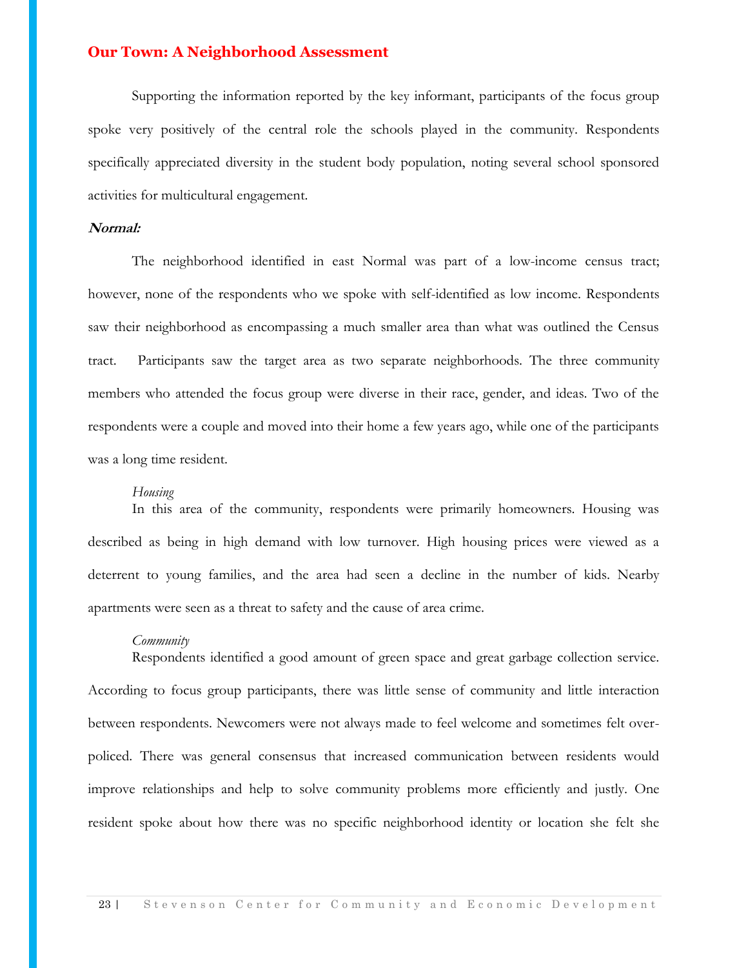Supporting the information reported by the key informant, participants of the focus group spoke very positively of the central role the schools played in the community. Respondents specifically appreciated diversity in the student body population, noting several school sponsored activities for multicultural engagement.

#### **Normal:**

The neighborhood identified in east Normal was part of a low-income census tract; however, none of the respondents who we spoke with self-identified as low income. Respondents saw their neighborhood as encompassing a much smaller area than what was outlined the Census tract. Participants saw the target area as two separate neighborhoods. The three community members who attended the focus group were diverse in their race, gender, and ideas. Two of the respondents were a couple and moved into their home a few years ago, while one of the participants was a long time resident.

#### *Housing*

In this area of the community, respondents were primarily homeowners. Housing was described as being in high demand with low turnover. High housing prices were viewed as a deterrent to young families, and the area had seen a decline in the number of kids. Nearby apartments were seen as a threat to safety and the cause of area crime.

#### *Community*

Respondents identified a good amount of green space and great garbage collection service. According to focus group participants, there was little sense of community and little interaction between respondents. Newcomers were not always made to feel welcome and sometimes felt overpoliced. There was general consensus that increased communication between residents would improve relationships and help to solve community problems more efficiently and justly. One resident spoke about how there was no specific neighborhood identity or location she felt she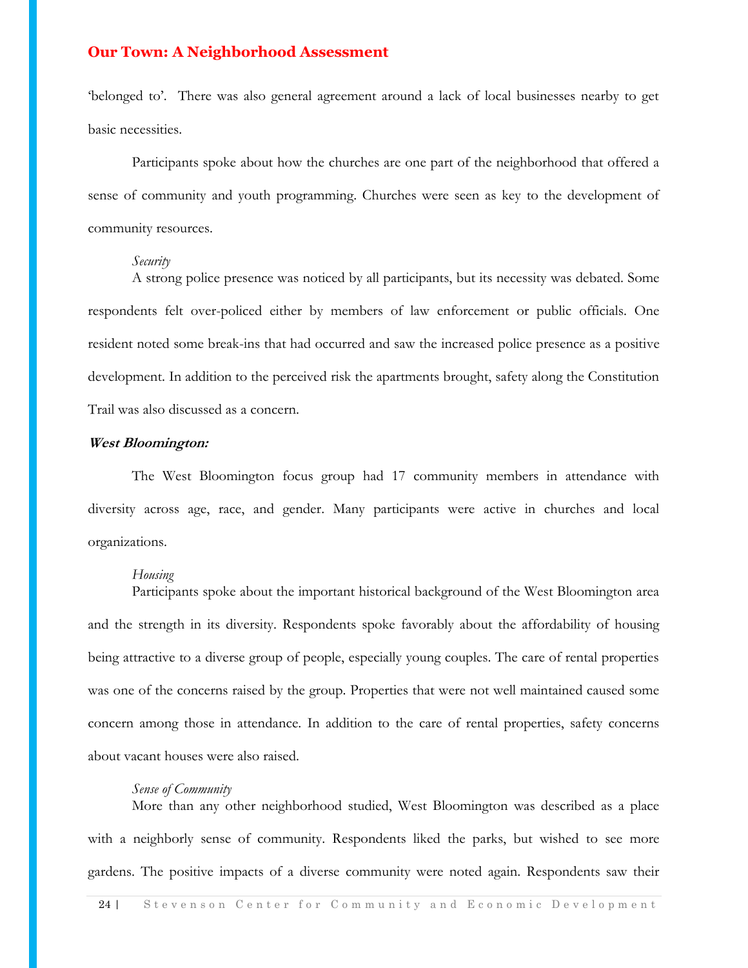'belonged to'. There was also general agreement around a lack of local businesses nearby to get basic necessities.

Participants spoke about how the churches are one part of the neighborhood that offered a sense of community and youth programming. Churches were seen as key to the development of community resources.

#### *Security*

A strong police presence was noticed by all participants, but its necessity was debated. Some respondents felt over-policed either by members of law enforcement or public officials. One resident noted some break-ins that had occurred and saw the increased police presence as a positive development. In addition to the perceived risk the apartments brought, safety along the Constitution Trail was also discussed as a concern.

#### **West Bloomington:**

The West Bloomington focus group had 17 community members in attendance with diversity across age, race, and gender. Many participants were active in churches and local organizations.

#### *Housing*

Participants spoke about the important historical background of the West Bloomington area and the strength in its diversity. Respondents spoke favorably about the affordability of housing being attractive to a diverse group of people, especially young couples. The care of rental properties was one of the concerns raised by the group. Properties that were not well maintained caused some concern among those in attendance. In addition to the care of rental properties, safety concerns about vacant houses were also raised.

#### *Sense of Community*

More than any other neighborhood studied, West Bloomington was described as a place with a neighborly sense of community. Respondents liked the parks, but wished to see more gardens. The positive impacts of a diverse community were noted again. Respondents saw their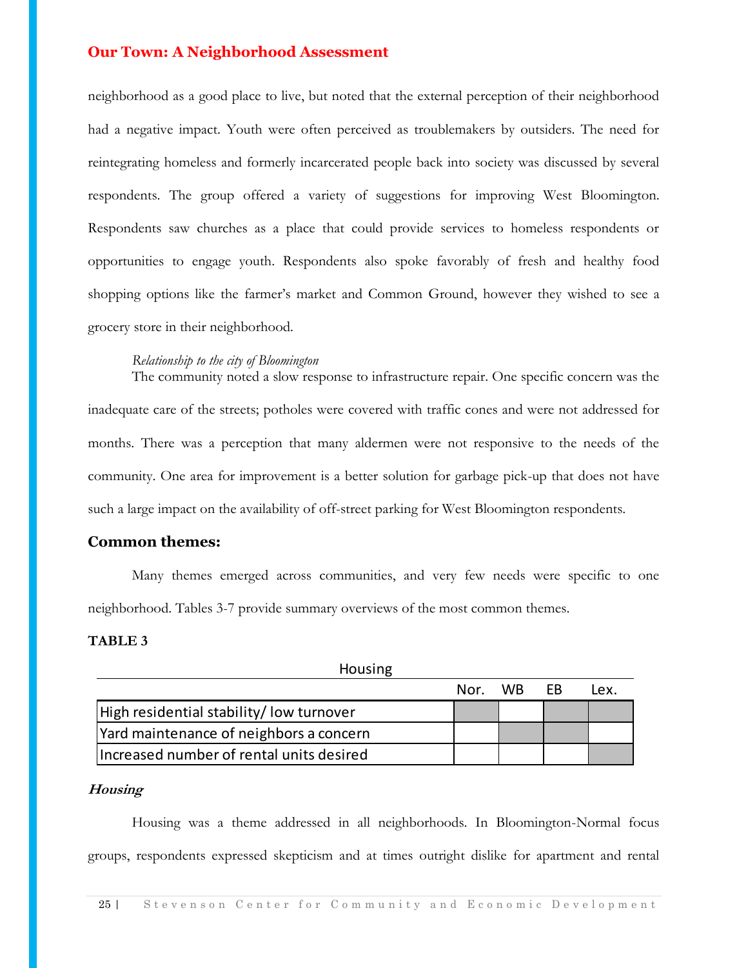neighborhood as a good place to live, but noted that the external perception of their neighborhood had a negative impact. Youth were often perceived as troublemakers by outsiders. The need for reintegrating homeless and formerly incarcerated people back into society was discussed by several respondents. The group offered a variety of suggestions for improving West Bloomington. Respondents saw churches as a place that could provide services to homeless respondents or opportunities to engage youth. Respondents also spoke favorably of fresh and healthy food shopping options like the farmer's market and Common Ground, however they wished to see a grocery store in their neighborhood.

#### *Relationship to the city of Bloomington*

The community noted a slow response to infrastructure repair. One specific concern was the inadequate care of the streets; potholes were covered with traffic cones and were not addressed for months. There was a perception that many aldermen were not responsive to the needs of the community. One area for improvement is a better solution for garbage pick-up that does not have such a large impact on the availability of off-street parking for West Bloomington respondents.

#### **Common themes:**

Many themes emerged across communities, and very few needs were specific to one neighborhood. Tables 3-7 provide summary overviews of the most common themes.

#### **TABLE 3**

| Housing                                                                                        |      |           |    |      |
|------------------------------------------------------------------------------------------------|------|-----------|----|------|
|                                                                                                | Nor. | <b>WB</b> | EB | Lex. |
| High residential stability/low turnover                                                        |      |           |    |      |
| Yard maintenance of neighbors a concern                                                        |      |           |    |      |
| Increased number of rental units desired                                                       |      |           |    |      |
| Housing<br>Housing was a theme addressed in all neighborhoods. In Bloomington-Normal focus     |      |           |    |      |
| roups, respondents expressed skepticism and at times outright dislike for apartment and rental |      |           |    |      |
| 25 <sup>1</sup><br>Stevenson Center for Community and Economic Development                     |      |           |    |      |

#### **Housing**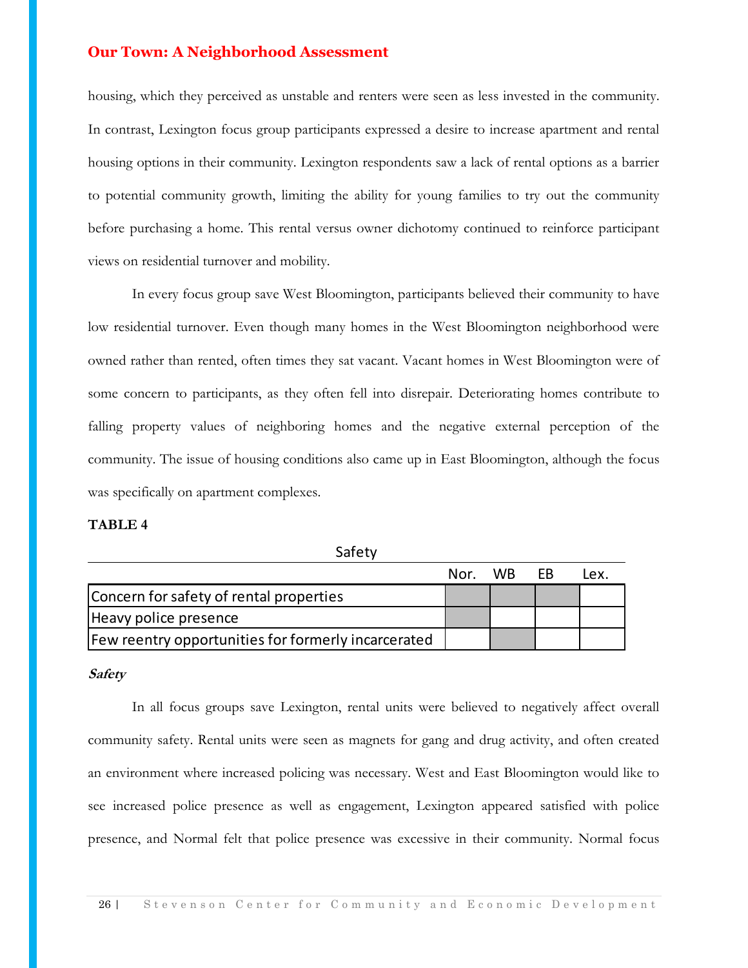housing, which they perceived as unstable and renters were seen as less invested in the community. In contrast, Lexington focus group participants expressed a desire to increase apartment and rental housing options in their community. Lexington respondents saw a lack of rental options as a barrier to potential community growth, limiting the ability for young families to try out the community before purchasing a home. This rental versus owner dichotomy continued to reinforce participant views on residential turnover and mobility.

In every focus group save West Bloomington, participants believed their community to have low residential turnover. Even though many homes in the West Bloomington neighborhood were owned rather than rented, often times they sat vacant. Vacant homes in West Bloomington were of some concern to participants, as they often fell into disrepair. Deteriorating homes contribute to falling property values of neighboring homes and the negative external perception of the community. The issue of housing conditions also came up in East Bloomington, although the focus was specifically on apartment complexes.

#### **TABLE 4**

|                                                     | Nor. WB FB | Iex. |
|-----------------------------------------------------|------------|------|
| Concern for safety of rental properties             |            |      |
| Heavy police presence                               |            |      |
| Few reentry opportunities for formerly incarcerated |            |      |

Safety

#### **Safety**

Nor. WB EB Lex.<br>
Deavy police presence<br>
Every poportunities for formerly incarcerated<br>
Mery<br>
In all focus groups save Lexington, rental units were believed to negatively affect overall<br>
Deavenument where increased policing In all focus groups save Lexington, rental units were believed to negatively affect overall community safety. Rental units were seen as magnets for gang and drug activity, and often created an environment where increased policing was necessary. West and East Bloomington would like to see increased police presence as well as engagement, Lexington appeared satisfied with police presence, and Normal felt that police presence was excessive in their community. Normal focus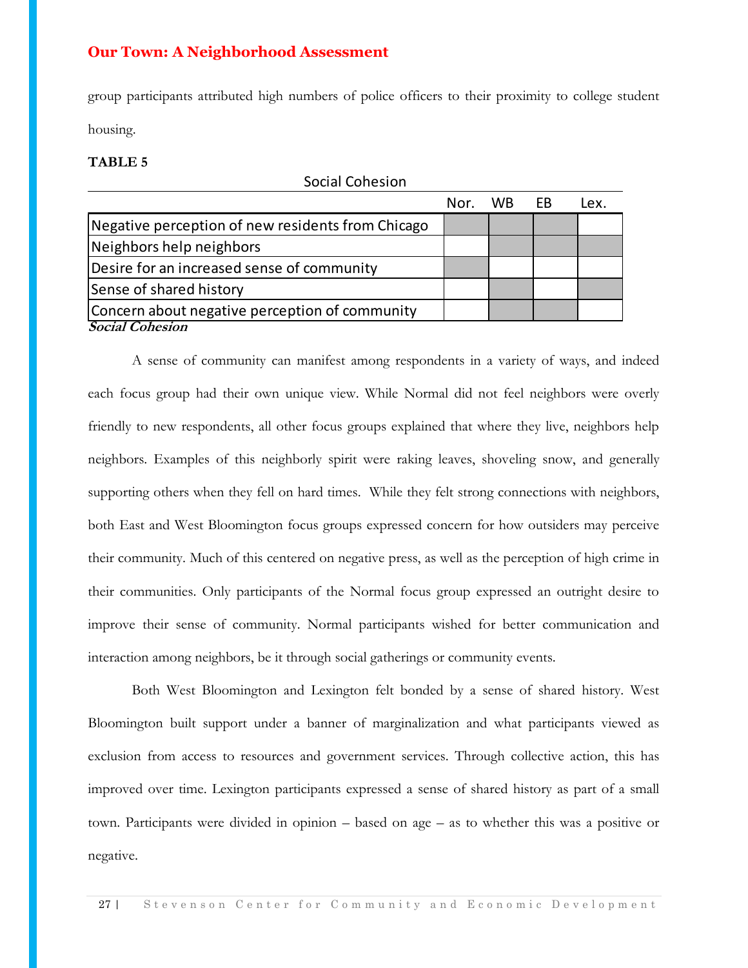group participants attributed high numbers of police officers to their proximity to college student housing.

#### **TABLE 5**

| Social Cohesion                                   |      |     |           |      |  |
|---------------------------------------------------|------|-----|-----------|------|--|
|                                                   | Nor. | WB. | <b>FB</b> | Lex. |  |
| Negative perception of new residents from Chicago |      |     |           |      |  |
| Neighbors help neighbors                          |      |     |           |      |  |
| Desire for an increased sense of community        |      |     |           |      |  |
| Sense of shared history                           |      |     |           |      |  |
| Concern about negative perception of community    |      |     |           |      |  |
| <b>Social Cohesion</b>                            |      |     |           |      |  |

**Example the procedure of real metallers and metallers Note that the vertex degelbors the presidents of an increased sense of community**<br> **Example of an increased sense of community**<br> **Example of an increased sense of co** A sense of community can manifest among respondents in a variety of ways, and indeed each focus group had their own unique view. While Normal did not feel neighbors were overly friendly to new respondents, all other focus groups explained that where they live, neighbors help neighbors. Examples of this neighborly spirit were raking leaves, shoveling snow, and generally supporting others when they fell on hard times. While they felt strong connections with neighbors, both East and West Bloomington focus groups expressed concern for how outsiders may perceive their community. Much of this centered on negative press, as well as the perception of high crime in their communities. Only participants of the Normal focus group expressed an outright desire to improve their sense of community. Normal participants wished for better communication and interaction among neighbors, be it through social gatherings or community events.

Both West Bloomington and Lexington felt bonded by a sense of shared history. West Bloomington built support under a banner of marginalization and what participants viewed as exclusion from access to resources and government services. Through collective action, this has improved over time. Lexington participants expressed a sense of shared history as part of a small town. Participants were divided in opinion – based on age – as to whether this was a positive or negative.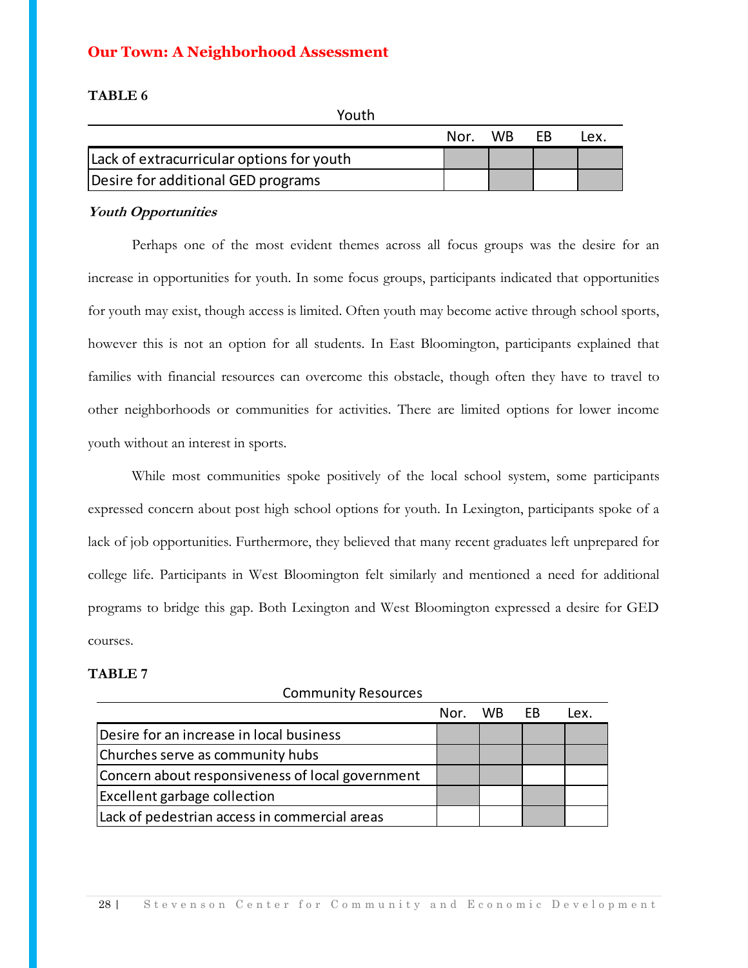#### **TABLE 6**

| TUULII                                    |      |     |     |      |
|-------------------------------------------|------|-----|-----|------|
|                                           | Nor. | WB. | FR. | IPX. |
| Lack of extracurricular options for youth |      |     |     |      |
| Desire for additional GED programs        |      |     |     |      |

 $V_0$ uth

#### **Youth Opportunities**

Perhaps one of the most evident themes across all focus groups was the desire for an increase in opportunities for youth. In some focus groups, participants indicated that opportunities for youth may exist, though access is limited. Often youth may become active through school sports, however this is not an option for all students. In East Bloomington, participants explained that families with financial resources can overcome this obstacle, though often they have to travel to other neighborhoods or communities for activities. There are limited options for lower income youth without an interest in sports.

While most communities spoke positively of the local school system, some participants expressed concern about post high school options for youth. In Lexington, participants spoke of a lack of job opportunities. Furthermore, they believed that many recent graduates left unprepared for college life. Participants in West Bloomington felt similarly and mentioned a need for additional programs to bridge this gap. Both Lexington and West Bloomington expressed a desire for GED courses.

#### **TABLE 7**

Community Resources

|                                                               | Nor. | <b>WB</b> | <b>FB</b> | Lex. |
|---------------------------------------------------------------|------|-----------|-----------|------|
| Desire for an increase in local business                      |      |           |           |      |
| Churches serve as community hubs                              |      |           |           |      |
| Concern about responsiveness of local government              |      |           |           |      |
| <b>Excellent garbage collection</b>                           |      |           |           |      |
| Lack of pedestrian access in commercial areas                 |      |           |           |      |
|                                                               |      |           |           |      |
|                                                               |      |           |           |      |
|                                                               |      |           |           |      |
| Stevenson Center for Community and Economic Development<br>28 |      |           |           |      |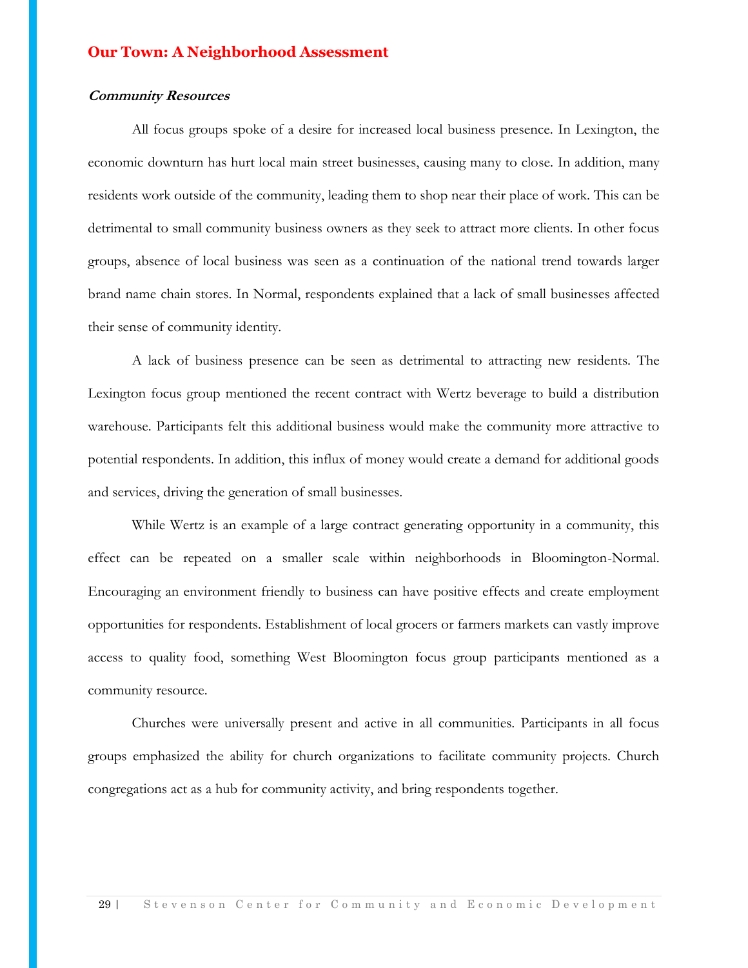#### **Community Resources**

All focus groups spoke of a desire for increased local business presence. In Lexington, the economic downturn has hurt local main street businesses, causing many to close. In addition, many residents work outside of the community, leading them to shop near their place of work. This can be detrimental to small community business owners as they seek to attract more clients. In other focus groups, absence of local business was seen as a continuation of the national trend towards larger brand name chain stores. In Normal, respondents explained that a lack of small businesses affected their sense of community identity.

A lack of business presence can be seen as detrimental to attracting new residents. The Lexington focus group mentioned the recent contract with Wertz beverage to build a distribution warehouse. Participants felt this additional business would make the community more attractive to potential respondents. In addition, this influx of money would create a demand for additional goods and services, driving the generation of small businesses.

While Wertz is an example of a large contract generating opportunity in a community, this effect can be repeated on a smaller scale within neighborhoods in Bloomington-Normal. Encouraging an environment friendly to business can have positive effects and create employment opportunities for respondents. Establishment of local grocers or farmers markets can vastly improve access to quality food, something West Bloomington focus group participants mentioned as a community resource.

Churches were universally present and active in all communities. Participants in all focus groups emphasized the ability for church organizations to facilitate community projects. Church congregations act as a hub for community activity, and bring respondents together.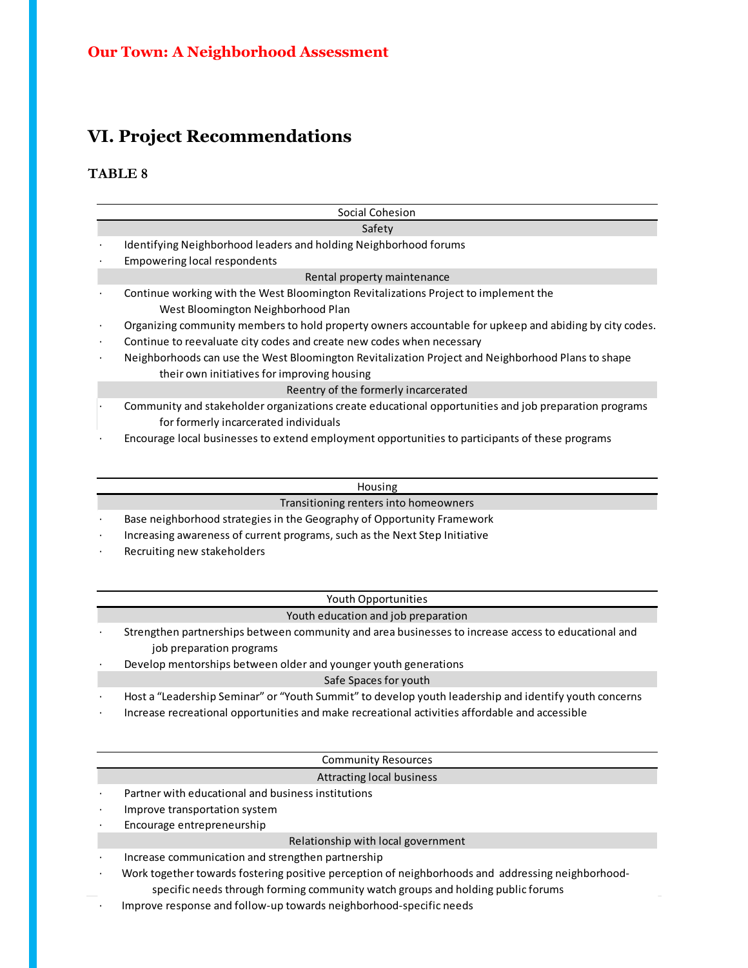## **VI. Project Recommendations**

### **TABLE 8**

|           | Social Cohesion                                                                                                                                  |
|-----------|--------------------------------------------------------------------------------------------------------------------------------------------------|
|           | Safety                                                                                                                                           |
|           | Identifying Neighborhood leaders and holding Neighborhood forums                                                                                 |
|           | <b>Empowering local respondents</b>                                                                                                              |
|           | Rental property maintenance                                                                                                                      |
|           | Continue working with the West Bloomington Revitalizations Project to implement the<br>West Bloomington Neighborhood Plan                        |
| $\bullet$ | Organizing community members to hold property owners accountable for upkeep and abiding by city codes.                                           |
| $\bullet$ | Continue to reevaluate city codes and create new codes when necessary                                                                            |
| $\bullet$ | Neighborhoods can use the West Bloomington Revitalization Project and Neighborhood Plans to shape<br>their own initiatives for improving housing |
|           | Reentry of the formerly incarcerated                                                                                                             |
|           | Community and stakeholder organizations create educational opportunities and job preparation programs<br>for formerly incarcerated individuals   |
|           |                                                                                                                                                  |

· Encourage local businesses to extend employment opportunities to participants of these programs

#### Housing

Transitioning renters into homeowners

· Base neighborhood strategies in the Geography of Opportunity Framework

Increasing awareness of current programs, such as the Next Step Initiative

Recruiting new stakeholders

#### Youth Opportunities

#### Youth education and job preparation

- · Strengthen partnerships between community and area businesses to increase access to educational and job preparation programs
- Develop mentorships between older and younger youth generations

Safe Spaces for youth

- · Host a "Leadership Seminar" or "Youth Summit" to develop youth leadership and identify youth concerns
- · Increase recreational opportunities and make recreational activities affordable and accessible

#### Community Resources

#### Attracting local business

- Partner with educational and business institutions
- · Improve transportation system
- Encourage entrepreneurship

#### Relationship with local government

- Increase communication and strengthen partnership
- · Work together towards fostering positive perception of neighborhoods and addressing neighborhood
	- specific needs through forming community watch groups and holding public forums
- $\cdot$  Improve response and follow-up towards neighborhood-specific needs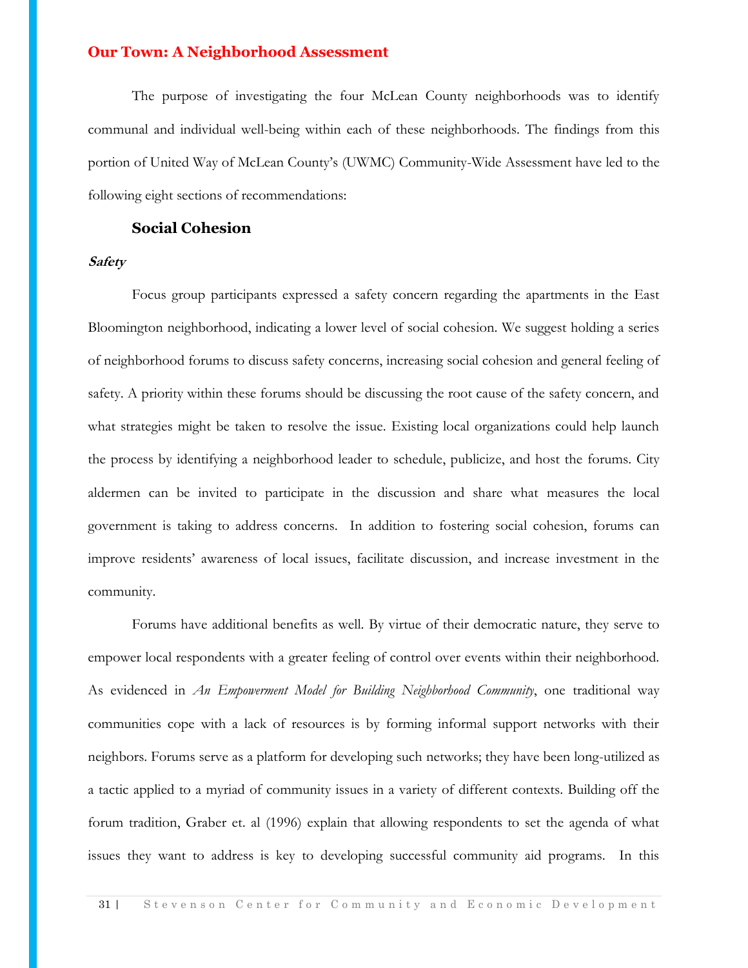The purpose of investigating the four McLean County neighborhoods was to identify communal and individual well-being within each of these neighborhoods. The findings from this portion of United Way of McLean County's (UWMC) Community-Wide Assessment have led to the following eight sections of recommendations:

#### **Social Cohesion**

#### **Safety**

Focus group participants expressed a safety concern regarding the apartments in the East Bloomington neighborhood, indicating a lower level of social cohesion. We suggest holding a series of neighborhood forums to discuss safety concerns, increasing social cohesion and general feeling of safety. A priority within these forums should be discussing the root cause of the safety concern, and what strategies might be taken to resolve the issue. Existing local organizations could help launch the process by identifying a neighborhood leader to schedule, publicize, and host the forums. City aldermen can be invited to participate in the discussion and share what measures the local government is taking to address concerns. In addition to fostering social cohesion, forums can improve residents' awareness of local issues, facilitate discussion, and increase investment in the community.

Forums have additional benefits as well. By virtue of their democratic nature, they serve to empower local respondents with a greater feeling of control over events within their neighborhood. As evidenced in *An Empowerment Model for Building Neighborhood Community*, one traditional way communities cope with a lack of resources is by forming informal support networks with their neighbors. Forums serve as a platform for developing such networks; they have been long-utilized as a tactic applied to a myriad of community issues in a variety of different contexts. Building off the forum tradition, Graber et. al (1996) explain that allowing respondents to set the agenda of what issues they want to address is key to developing successful community aid programs. In this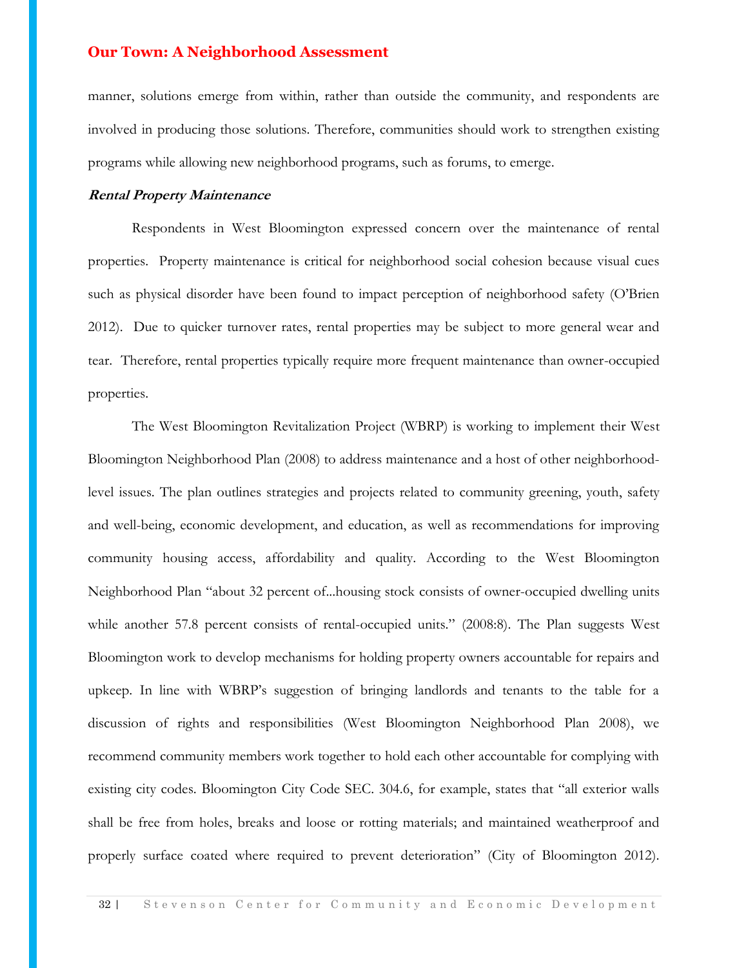manner, solutions emerge from within, rather than outside the community, and respondents are involved in producing those solutions. Therefore, communities should work to strengthen existing programs while allowing new neighborhood programs, such as forums, to emerge.

#### **Rental Property Maintenance**

Respondents in West Bloomington expressed concern over the maintenance of rental properties. Property maintenance is critical for neighborhood social cohesion because visual cues such as physical disorder have been found to impact perception of neighborhood safety (O'Brien 2012). Due to quicker turnover rates, rental properties may be subject to more general wear and tear. Therefore, rental properties typically require more frequent maintenance than owner-occupied properties.

The West Bloomington Revitalization Project (WBRP) is working to implement their West Bloomington Neighborhood Plan (2008) to address maintenance and a host of other neighborhoodlevel issues. The plan outlines strategies and projects related to community greening, youth, safety and well-being, economic development, and education, as well as recommendations for improving community housing access, affordability and quality. According to the West Bloomington Neighborhood Plan "about 32 percent of...housing stock consists of owner-occupied dwelling units while another 57.8 percent consists of rental-occupied units." (2008:8). The Plan suggests West Bloomington work to develop mechanisms for holding property owners accountable for repairs and upkeep. In line with WBRP's suggestion of bringing landlords and tenants to the table for a discussion of rights and responsibilities (West Bloomington Neighborhood Plan 2008), we recommend community members work together to hold each other accountable for complying with existing city codes. Bloomington City Code SEC. 304.6, for example, states that "all exterior walls shall be free from holes, breaks and loose or rotting materials; and maintained weatherproof and properly surface coated where required to prevent deterioration" (City of Bloomington 2012).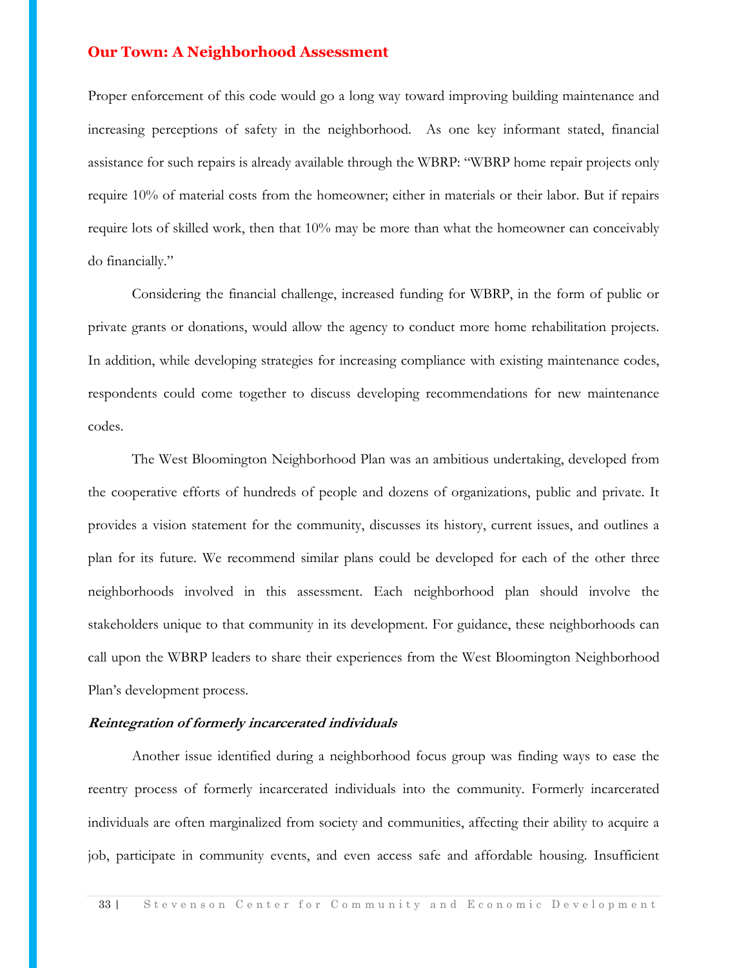Proper enforcement of this code would go a long way toward improving building maintenance and increasing perceptions of safety in the neighborhood. As one key informant stated, financial assistance for such repairs is already available through the WBRP: "WBRP home repair projects only require 10% of material costs from the homeowner; either in materials or their labor. But if repairs require lots of skilled work, then that 10% may be more than what the homeowner can conceivably do financially."

Considering the financial challenge, increased funding for WBRP, in the form of public or private grants or donations, would allow the agency to conduct more home rehabilitation projects. In addition, while developing strategies for increasing compliance with existing maintenance codes, respondents could come together to discuss developing recommendations for new maintenance codes.

The West Bloomington Neighborhood Plan was an ambitious undertaking, developed from the cooperative efforts of hundreds of people and dozens of organizations, public and private. It provides a vision statement for the community, discusses its history, current issues, and outlines a plan for its future. We recommend similar plans could be developed for each of the other three neighborhoods involved in this assessment. Each neighborhood plan should involve the stakeholders unique to that community in its development. For guidance, these neighborhoods can call upon the WBRP leaders to share their experiences from the West Bloomington Neighborhood Plan's development process.

#### **Reintegration of formerly incarcerated individuals**

Another issue identified during a neighborhood focus group was finding ways to ease the reentry process of formerly incarcerated individuals into the community. Formerly incarcerated individuals are often marginalized from society and communities, affecting their ability to acquire a job, participate in community events, and even access safe and affordable housing. Insufficient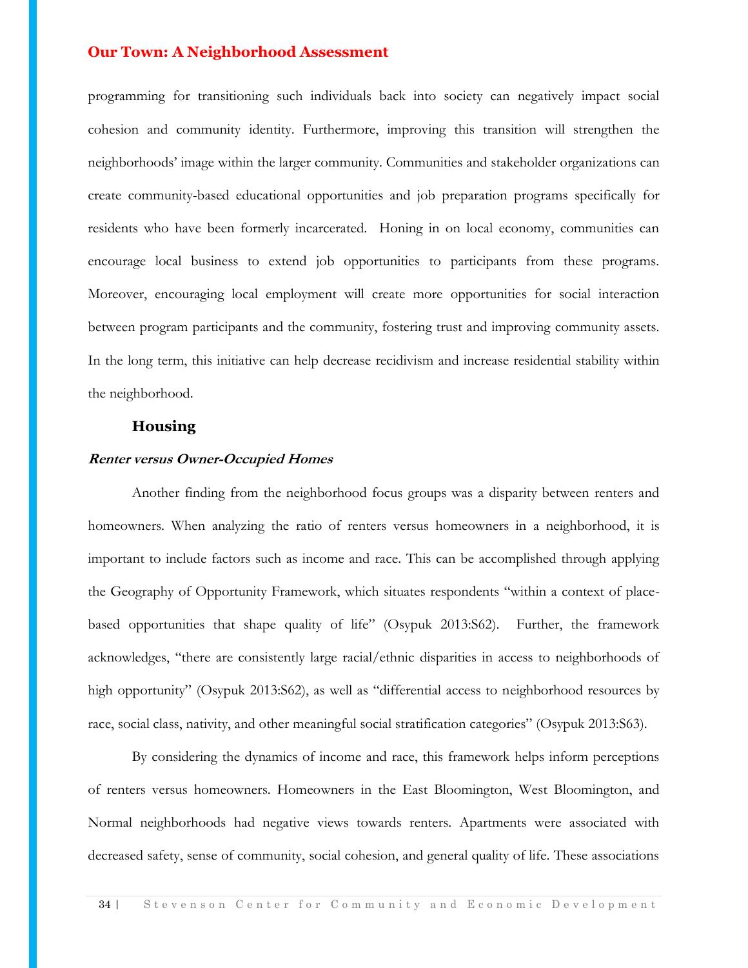programming for transitioning such individuals back into society can negatively impact social cohesion and community identity. Furthermore, improving this transition will strengthen the neighborhoods' image within the larger community. Communities and stakeholder organizations can create community-based educational opportunities and job preparation programs specifically for residents who have been formerly incarcerated. Honing in on local economy, communities can encourage local business to extend job opportunities to participants from these programs. Moreover, encouraging local employment will create more opportunities for social interaction between program participants and the community, fostering trust and improving community assets. In the long term, this initiative can help decrease recidivism and increase residential stability within the neighborhood.

## **Housing**

#### **Renter versus Owner-Occupied Homes**

Another finding from the neighborhood focus groups was a disparity between renters and homeowners. When analyzing the ratio of renters versus homeowners in a neighborhood, it is important to include factors such as income and race. This can be accomplished through applying the Geography of Opportunity Framework, which situates respondents "within a context of placebased opportunities that shape quality of life" (Osypuk 2013:S62). Further, the framework acknowledges, "there are consistently large racial/ethnic disparities in access to neighborhoods of high opportunity" (Osypuk 2013:S62), as well as "differential access to neighborhood resources by race, social class, nativity, and other meaningful social stratification categories" (Osypuk 2013:S63).

By considering the dynamics of income and race, this framework helps inform perceptions of renters versus homeowners. Homeowners in the East Bloomington, West Bloomington, and Normal neighborhoods had negative views towards renters. Apartments were associated with decreased safety, sense of community, social cohesion, and general quality of life. These associations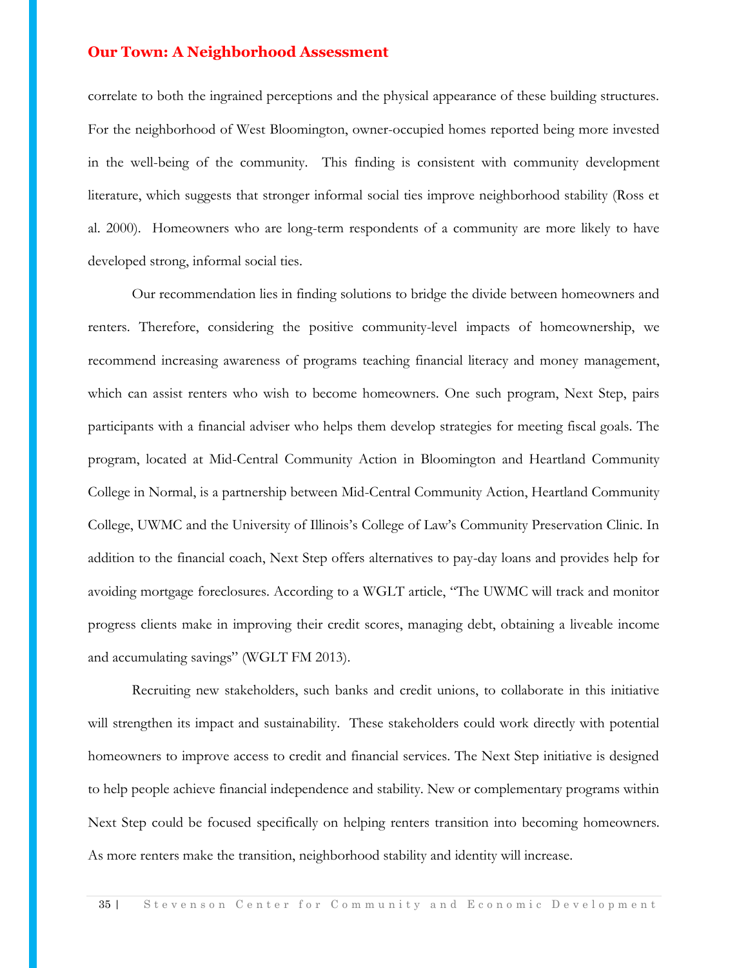correlate to both the ingrained perceptions and the physical appearance of these building structures. For the neighborhood of West Bloomington, owner-occupied homes reported being more invested in the well-being of the community. This finding is consistent with community development literature, which suggests that stronger informal social ties improve neighborhood stability (Ross et al. 2000). Homeowners who are long-term respondents of a community are more likely to have developed strong, informal social ties.

Our recommendation lies in finding solutions to bridge the divide between homeowners and renters. Therefore, considering the positive community-level impacts of homeownership, we recommend increasing awareness of programs teaching financial literacy and money management, which can assist renters who wish to become homeowners. One such program, Next Step, pairs participants with a financial adviser who helps them develop strategies for meeting fiscal goals. The program, located at Mid-Central Community Action in Bloomington and Heartland Community College in Normal, is a partnership between Mid-Central Community Action, Heartland Community College, UWMC and the University of Illinois's College of Law's Community Preservation Clinic. In addition to the financial coach, Next Step offers alternatives to pay-day loans and provides help for avoiding mortgage foreclosures. According to a WGLT article, "The UWMC will track and monitor progress clients make in improving their credit scores, managing debt, obtaining a liveable income and accumulating savings" (WGLT FM 2013).

Recruiting new stakeholders, such banks and credit unions, to collaborate in this initiative will strengthen its impact and sustainability. These stakeholders could work directly with potential homeowners to improve access to credit and financial services. The Next Step initiative is designed to help people achieve financial independence and stability. New or complementary programs within Next Step could be focused specifically on helping renters transition into becoming homeowners. As more renters make the transition, neighborhood stability and identity will increase.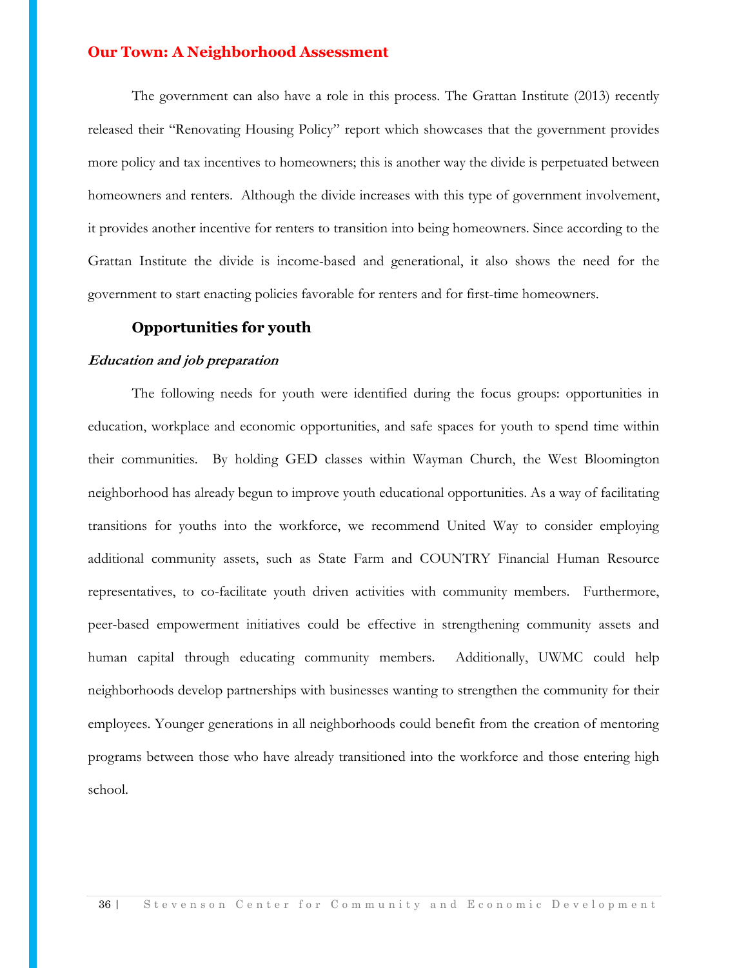The government can also have a role in this process. The Grattan Institute (2013) recently released their "Renovating Housing Policy" report which showcases that the government provides more policy and tax incentives to homeowners; this is another way the divide is perpetuated between homeowners and renters. Although the divide increases with this type of government involvement, it provides another incentive for renters to transition into being homeowners. Since according to the Grattan Institute the divide is income-based and generational, it also shows the need for the government to start enacting policies favorable for renters and for first-time homeowners.

#### **Opportunities for youth**

#### **Education and job preparation**

The following needs for youth were identified during the focus groups: opportunities in education, workplace and economic opportunities, and safe spaces for youth to spend time within their communities. By holding GED classes within Wayman Church, the West Bloomington neighborhood has already begun to improve youth educational opportunities. As a way of facilitating transitions for youths into the workforce, we recommend United Way to consider employing additional community assets, such as State Farm and COUNTRY Financial Human Resource representatives, to co-facilitate youth driven activities with community members. Furthermore, peer-based empowerment initiatives could be effective in strengthening community assets and human capital through educating community members. Additionally, UWMC could help neighborhoods develop partnerships with businesses wanting to strengthen the community for their employees. Younger generations in all neighborhoods could benefit from the creation of mentoring programs between those who have already transitioned into the workforce and those entering high school.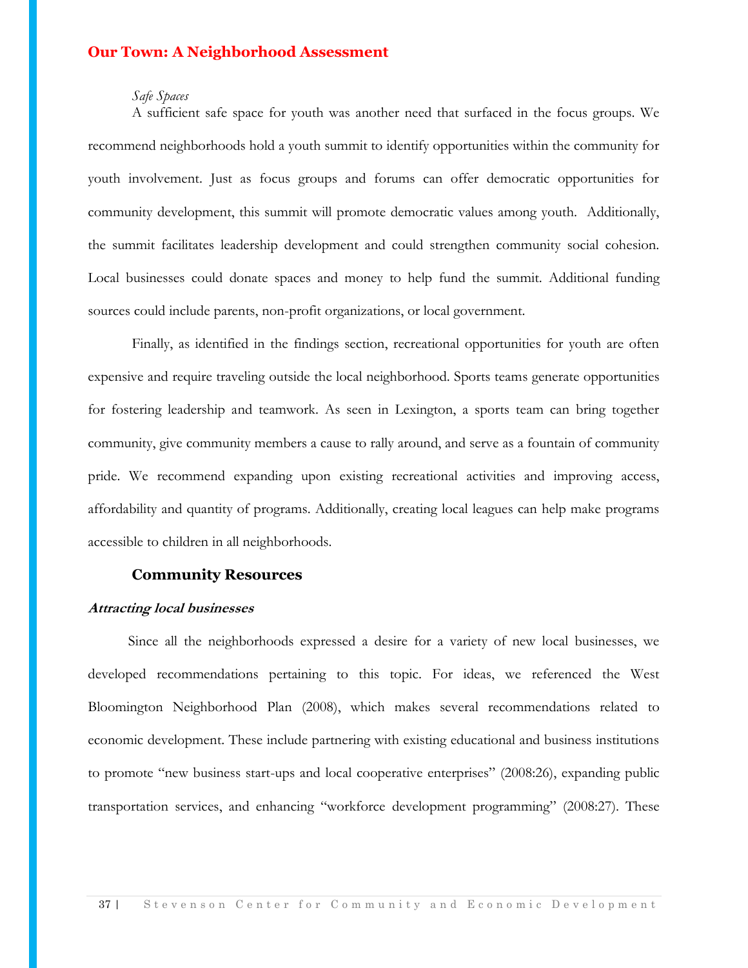#### *Safe Spaces*

A sufficient safe space for youth was another need that surfaced in the focus groups. We recommend neighborhoods hold a youth summit to identify opportunities within the community for youth involvement. Just as focus groups and forums can offer democratic opportunities for community development, this summit will promote democratic values among youth. Additionally, the summit facilitates leadership development and could strengthen community social cohesion. Local businesses could donate spaces and money to help fund the summit. Additional funding sources could include parents, non-profit organizations, or local government.

Finally, as identified in the findings section, recreational opportunities for youth are often expensive and require traveling outside the local neighborhood. Sports teams generate opportunities for fostering leadership and teamwork. As seen in Lexington, a sports team can bring together community, give community members a cause to rally around, and serve as a fountain of community pride. We recommend expanding upon existing recreational activities and improving access, affordability and quantity of programs. Additionally, creating local leagues can help make programs accessible to children in all neighborhoods.

#### **Community Resources**

#### **Attracting local businesses**

 Since all the neighborhoods expressed a desire for a variety of new local businesses, we developed recommendations pertaining to this topic. For ideas, we referenced the West Bloomington Neighborhood Plan (2008), which makes several recommendations related to economic development. These include partnering with existing educational and business institutions to promote "new business start-ups and local cooperative enterprises" (2008:26), expanding public transportation services, and enhancing "workforce development programming" (2008:27). These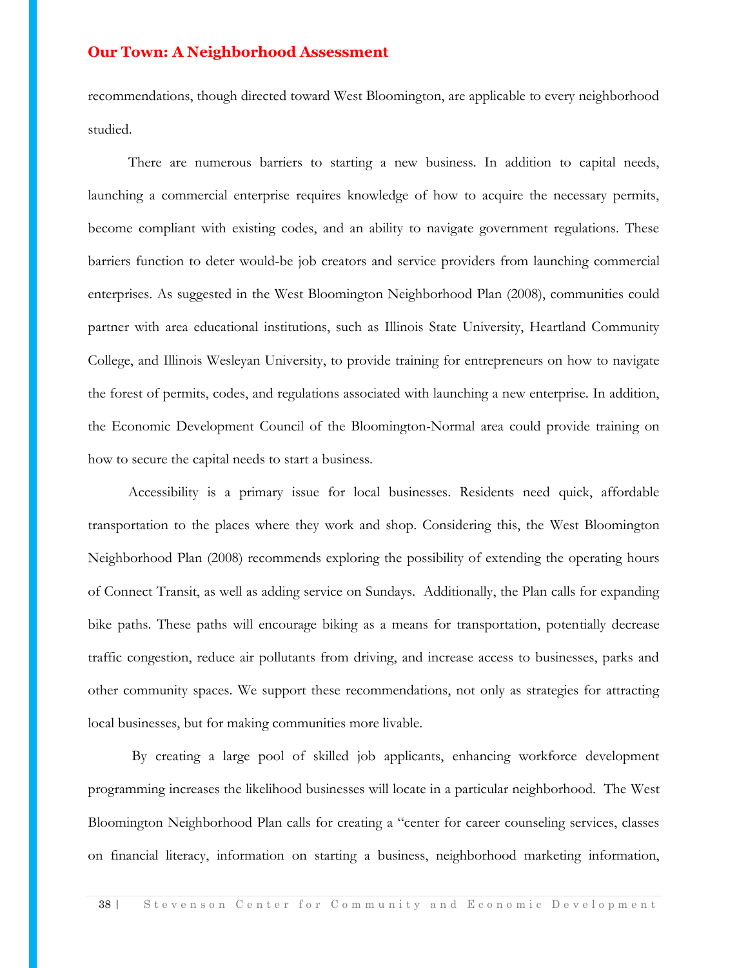recommendations, though directed toward West Bloomington, are applicable to every neighborhood studied.

 There are numerous barriers to starting a new business. In addition to capital needs, launching a commercial enterprise requires knowledge of how to acquire the necessary permits, become compliant with existing codes, and an ability to navigate government regulations. These barriers function to deter would-be job creators and service providers from launching commercial enterprises. As suggested in the West Bloomington Neighborhood Plan (2008), communities could partner with area educational institutions, such as Illinois State University, Heartland Community College, and Illinois Wesleyan University, to provide training for entrepreneurs on how to navigate the forest of permits, codes, and regulations associated with launching a new enterprise. In addition, the Economic Development Council of the Bloomington-Normal area could provide training on how to secure the capital needs to start a business.

 Accessibility is a primary issue for local businesses. Residents need quick, affordable transportation to the places where they work and shop. Considering this, the West Bloomington Neighborhood Plan (2008) recommends exploring the possibility of extending the operating hours of Connect Transit, as well as adding service on Sundays. Additionally, the Plan calls for expanding bike paths. These paths will encourage biking as a means for transportation, potentially decrease traffic congestion, reduce air pollutants from driving, and increase access to businesses, parks and other community spaces. We support these recommendations, not only as strategies for attracting local businesses, but for making communities more livable.

By creating a large pool of skilled job applicants, enhancing workforce development programming increases the likelihood businesses will locate in a particular neighborhood. The West Bloomington Neighborhood Plan calls for creating a "center for career counseling services, classes on financial literacy, information on starting a business, neighborhood marketing information,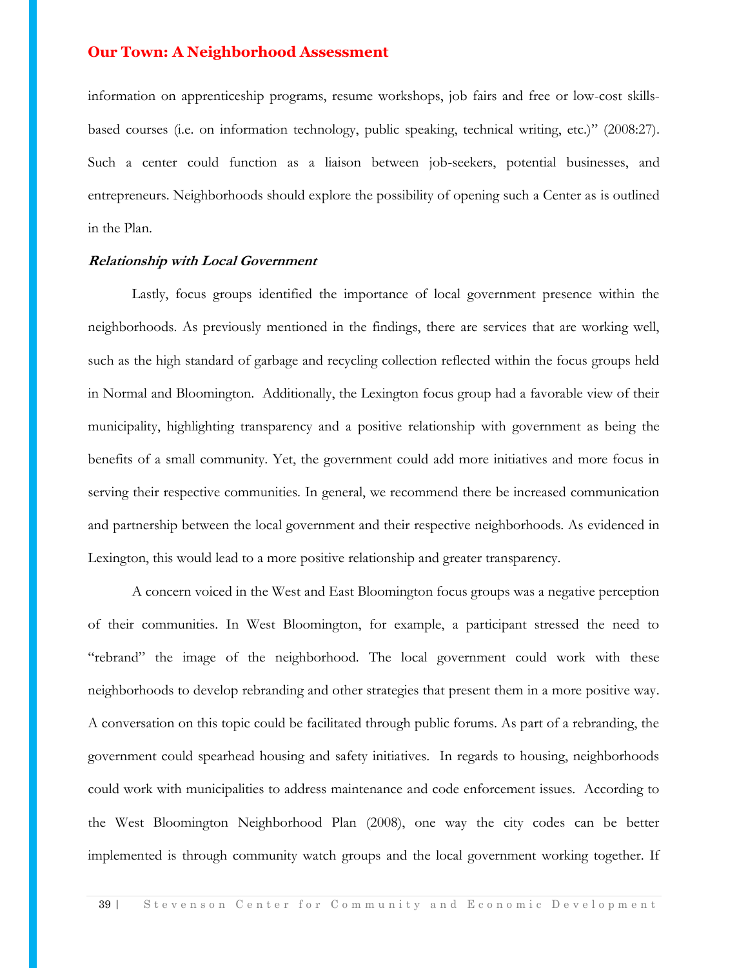information on apprenticeship programs, resume workshops, job fairs and free or low-cost skillsbased courses (i.e. on information technology, public speaking, technical writing, etc.)" (2008:27). Such a center could function as a liaison between job-seekers, potential businesses, and entrepreneurs. Neighborhoods should explore the possibility of opening such a Center as is outlined in the Plan.

#### **Relationship with Local Government**

Lastly, focus groups identified the importance of local government presence within the neighborhoods. As previously mentioned in the findings, there are services that are working well, such as the high standard of garbage and recycling collection reflected within the focus groups held in Normal and Bloomington. Additionally, the Lexington focus group had a favorable view of their municipality, highlighting transparency and a positive relationship with government as being the benefits of a small community. Yet, the government could add more initiatives and more focus in serving their respective communities. In general, we recommend there be increased communication and partnership between the local government and their respective neighborhoods. As evidenced in Lexington, this would lead to a more positive relationship and greater transparency.

A concern voiced in the West and East Bloomington focus groups was a negative perception of their communities. In West Bloomington, for example, a participant stressed the need to "rebrand" the image of the neighborhood. The local government could work with these neighborhoods to develop rebranding and other strategies that present them in a more positive way. A conversation on this topic could be facilitated through public forums. As part of a rebranding, the government could spearhead housing and safety initiatives. In regards to housing, neighborhoods could work with municipalities to address maintenance and code enforcement issues. According to the West Bloomington Neighborhood Plan (2008), one way the city codes can be better implemented is through community watch groups and the local government working together. If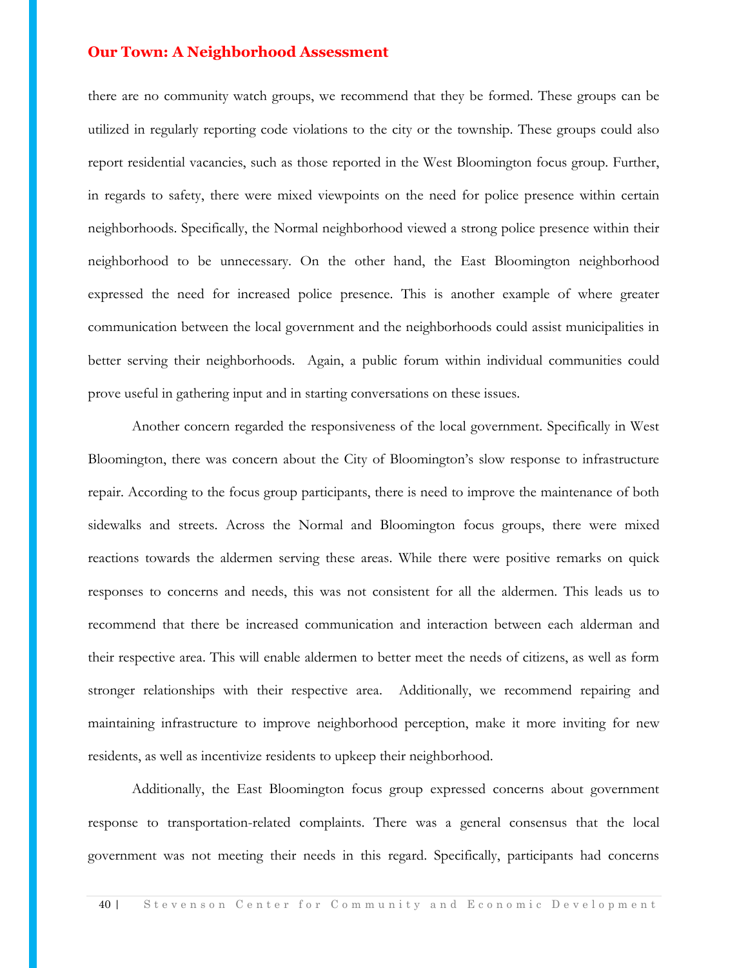there are no community watch groups, we recommend that they be formed. These groups can be utilized in regularly reporting code violations to the city or the township. These groups could also report residential vacancies, such as those reported in the West Bloomington focus group. Further, in regards to safety, there were mixed viewpoints on the need for police presence within certain neighborhoods. Specifically, the Normal neighborhood viewed a strong police presence within their neighborhood to be unnecessary. On the other hand, the East Bloomington neighborhood expressed the need for increased police presence. This is another example of where greater communication between the local government and the neighborhoods could assist municipalities in better serving their neighborhoods. Again, a public forum within individual communities could prove useful in gathering input and in starting conversations on these issues.

Another concern regarded the responsiveness of the local government. Specifically in West Bloomington, there was concern about the City of Bloomington's slow response to infrastructure repair. According to the focus group participants, there is need to improve the maintenance of both sidewalks and streets. Across the Normal and Bloomington focus groups, there were mixed reactions towards the aldermen serving these areas. While there were positive remarks on quick responses to concerns and needs, this was not consistent for all the aldermen. This leads us to recommend that there be increased communication and interaction between each alderman and their respective area. This will enable aldermen to better meet the needs of citizens, as well as form stronger relationships with their respective area. Additionally, we recommend repairing and maintaining infrastructure to improve neighborhood perception, make it more inviting for new residents, as well as incentivize residents to upkeep their neighborhood.

Additionally, the East Bloomington focus group expressed concerns about government response to transportation-related complaints. There was a general consensus that the local government was not meeting their needs in this regard. Specifically, participants had concerns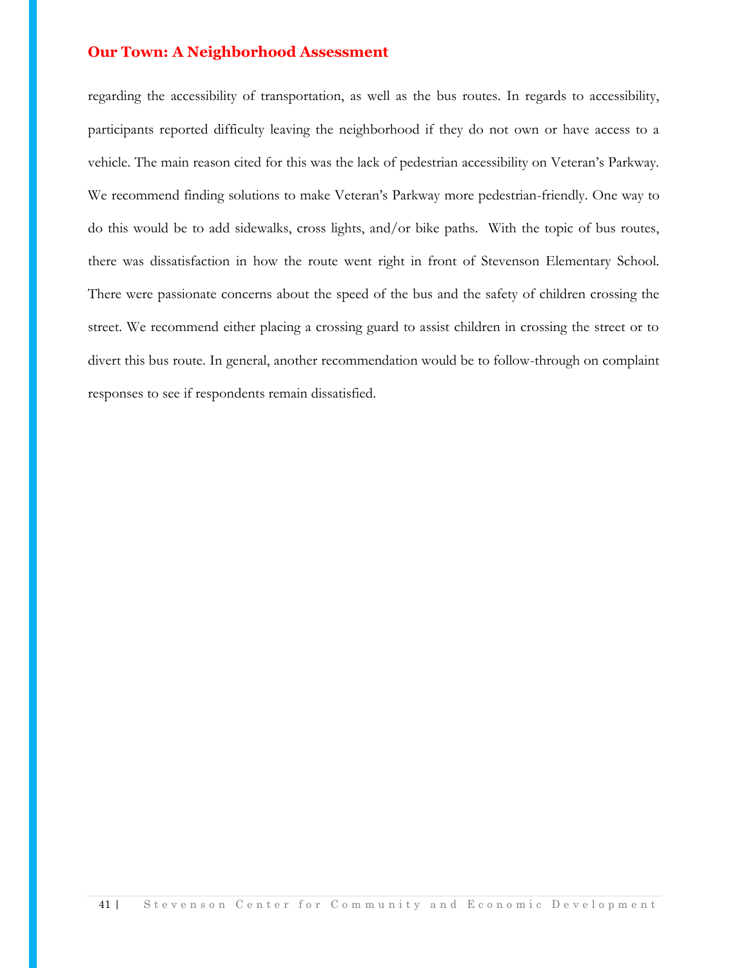regarding the accessibility of transportation, as well as the bus routes. In regards to accessibility, participants reported difficulty leaving the neighborhood if they do not own or have access to a vehicle. The main reason cited for this was the lack of pedestrian accessibility on Veteran's Parkway. We recommend finding solutions to make Veteran's Parkway more pedestrian-friendly. One way to do this would be to add sidewalks, cross lights, and/or bike paths. With the topic of bus routes, there was dissatisfaction in how the route went right in front of Stevenson Elementary School. There were passionate concerns about the speed of the bus and the safety of children crossing the street. We recommend either placing a crossing guard to assist children in crossing the street or to divert this bus route. In general, another recommendation would be to follow-through on complaint responses to see if respondents remain dissatisfied.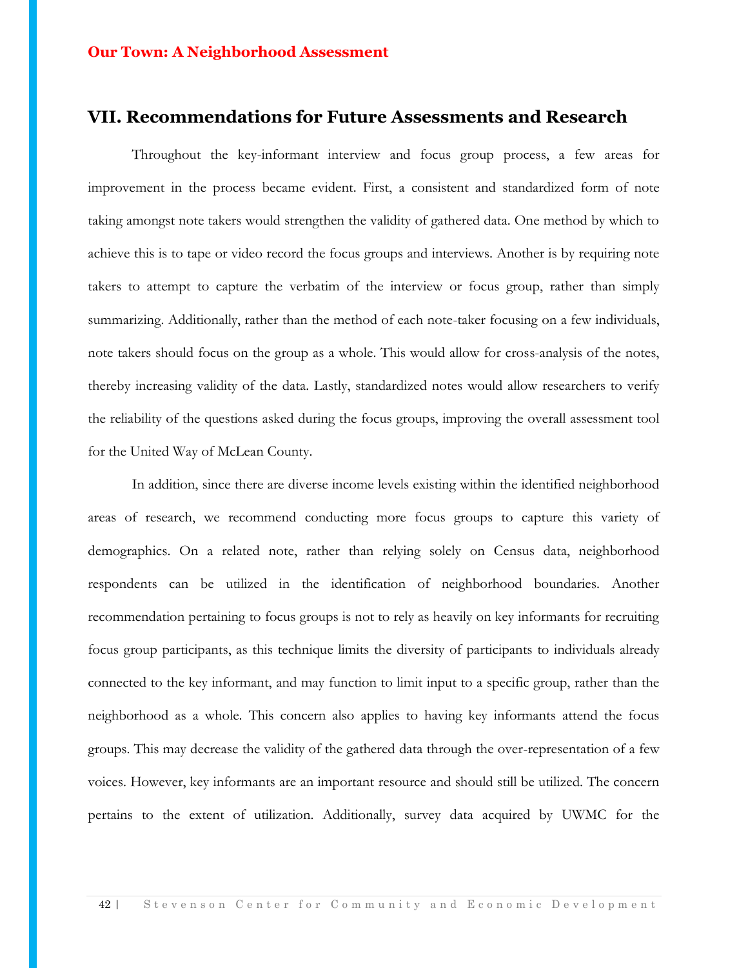## **VII. Recommendations for Future Assessments and Research**

Throughout the key-informant interview and focus group process, a few areas for improvement in the process became evident. First, a consistent and standardized form of note taking amongst note takers would strengthen the validity of gathered data. One method by which to achieve this is to tape or video record the focus groups and interviews. Another is by requiring note takers to attempt to capture the verbatim of the interview or focus group, rather than simply summarizing. Additionally, rather than the method of each note-taker focusing on a few individuals, note takers should focus on the group as a whole. This would allow for cross-analysis of the notes, thereby increasing validity of the data. Lastly, standardized notes would allow researchers to verify the reliability of the questions asked during the focus groups, improving the overall assessment tool for the United Way of McLean County.

In addition, since there are diverse income levels existing within the identified neighborhood areas of research, we recommend conducting more focus groups to capture this variety of demographics. On a related note, rather than relying solely on Census data, neighborhood respondents can be utilized in the identification of neighborhood boundaries. Another recommendation pertaining to focus groups is not to rely as heavily on key informants for recruiting focus group participants, as this technique limits the diversity of participants to individuals already connected to the key informant, and may function to limit input to a specific group, rather than the neighborhood as a whole. This concern also applies to having key informants attend the focus groups. This may decrease the validity of the gathered data through the over-representation of a few voices. However, key informants are an important resource and should still be utilized. The concern pertains to the extent of utilization. Additionally, survey data acquired by UWMC for the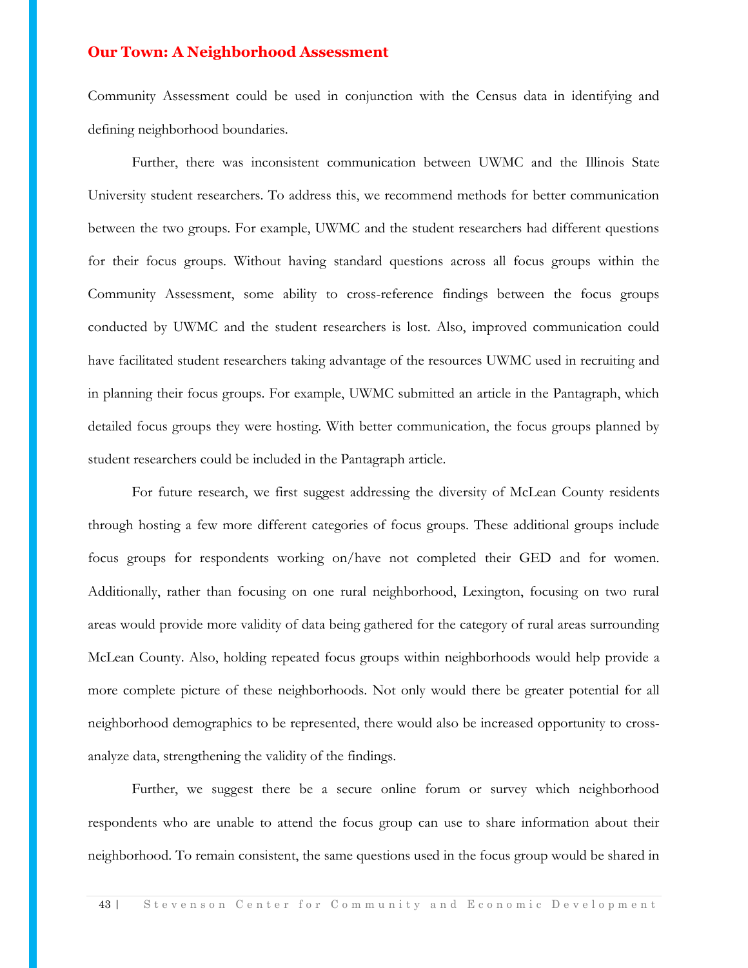Community Assessment could be used in conjunction with the Census data in identifying and defining neighborhood boundaries.

Further, there was inconsistent communication between UWMC and the Illinois State University student researchers. To address this, we recommend methods for better communication between the two groups. For example, UWMC and the student researchers had different questions for their focus groups. Without having standard questions across all focus groups within the Community Assessment, some ability to cross-reference findings between the focus groups conducted by UWMC and the student researchers is lost. Also, improved communication could have facilitated student researchers taking advantage of the resources UWMC used in recruiting and in planning their focus groups. For example, UWMC submitted an article in the Pantagraph, which detailed focus groups they were hosting. With better communication, the focus groups planned by student researchers could be included in the Pantagraph article.

For future research, we first suggest addressing the diversity of McLean County residents through hosting a few more different categories of focus groups. These additional groups include focus groups for respondents working on/have not completed their GED and for women. Additionally, rather than focusing on one rural neighborhood, Lexington, focusing on two rural areas would provide more validity of data being gathered for the category of rural areas surrounding McLean County. Also, holding repeated focus groups within neighborhoods would help provide a more complete picture of these neighborhoods. Not only would there be greater potential for all neighborhood demographics to be represented, there would also be increased opportunity to crossanalyze data, strengthening the validity of the findings.

Further, we suggest there be a secure online forum or survey which neighborhood respondents who are unable to attend the focus group can use to share information about their neighborhood. To remain consistent, the same questions used in the focus group would be shared in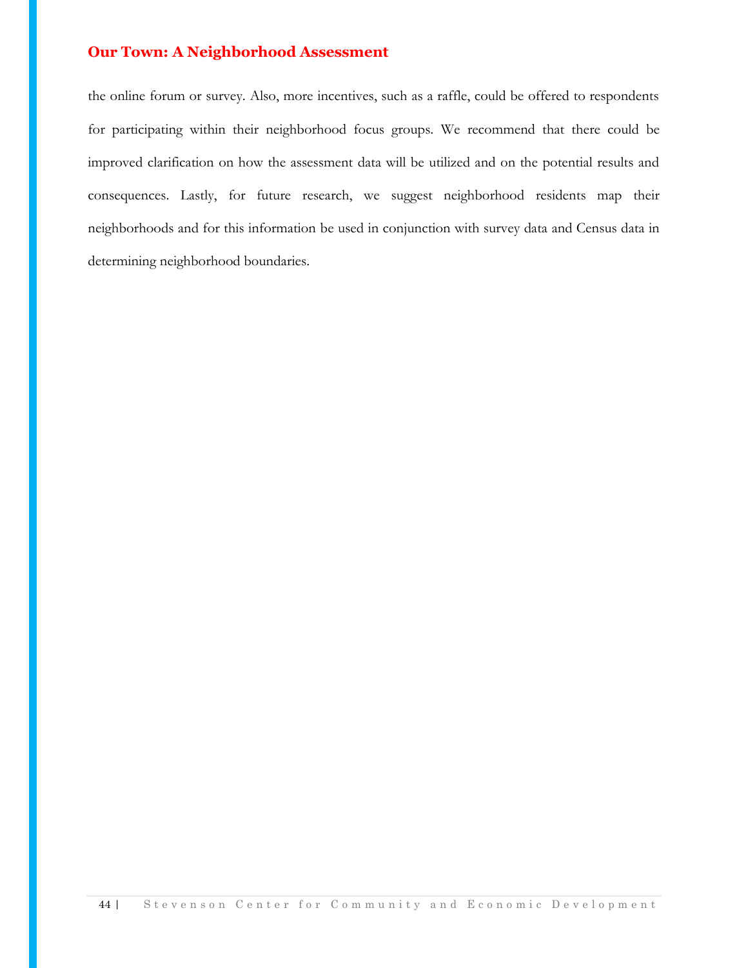the online forum or survey. Also, more incentives, such as a raffle, could be offered to respondents for participating within their neighborhood focus groups. We recommend that there could be improved clarification on how the assessment data will be utilized and on the potential results and consequences. Lastly, for future research, we suggest neighborhood residents map their neighborhoods and for this information be used in conjunction with survey data and Census data in determining neighborhood boundaries.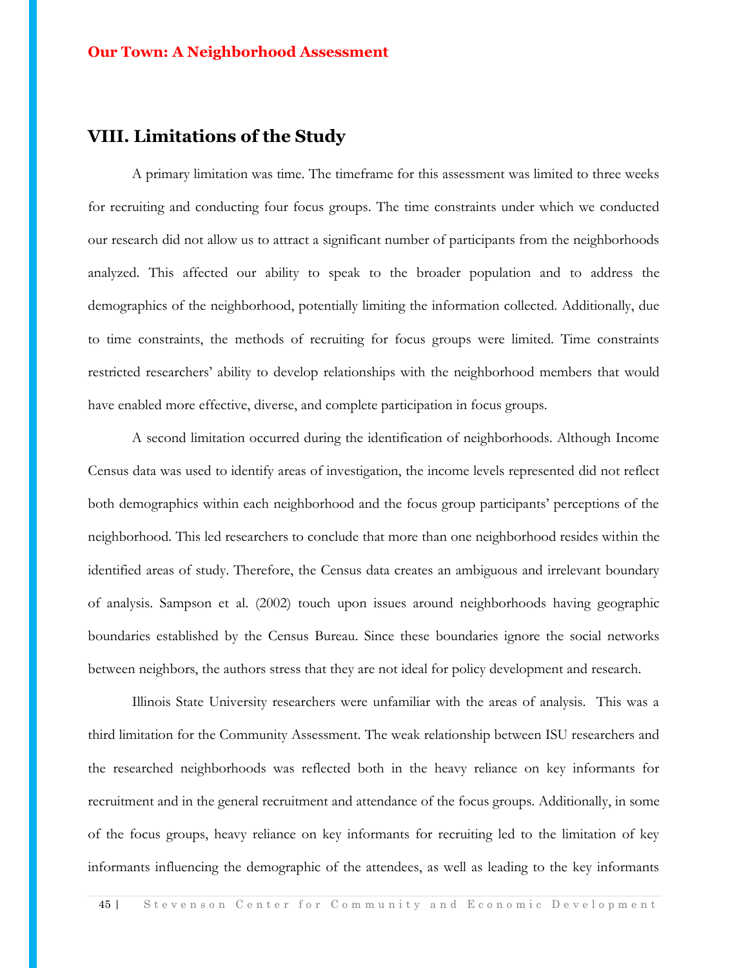## **VIII. Limitations of the Study**

A primary limitation was time. The timeframe for this assessment was limited to three weeks for recruiting and conducting four focus groups. The time constraints under which we conducted our research did not allow us to attract a significant number of participants from the neighborhoods analyzed. This affected our ability to speak to the broader population and to address the demographics of the neighborhood, potentially limiting the information collected. Additionally, due to time constraints, the methods of recruiting for focus groups were limited. Time constraints restricted researchers' ability to develop relationships with the neighborhood members that would have enabled more effective, diverse, and complete participation in focus groups.

A second limitation occurred during the identification of neighborhoods. Although Income Census data was used to identify areas of investigation, the income levels represented did not reflect both demographics within each neighborhood and the focus group participants' perceptions of the neighborhood. This led researchers to conclude that more than one neighborhood resides within the identified areas of study. Therefore, the Census data creates an ambiguous and irrelevant boundary of analysis. Sampson et al. (2002) touch upon issues around neighborhoods having geographic boundaries established by the Census Bureau. Since these boundaries ignore the social networks between neighbors, the authors stress that they are not ideal for policy development and research.

Illinois State University researchers were unfamiliar with the areas of analysis. This was a third limitation for the Community Assessment. The weak relationship between ISU researchers and the researched neighborhoods was reflected both in the heavy reliance on key informants for recruitment and in the general recruitment and attendance of the focus groups. Additionally, in some of the focus groups, heavy reliance on key informants for recruiting led to the limitation of key informants influencing the demographic of the attendees, as well as leading to the key informants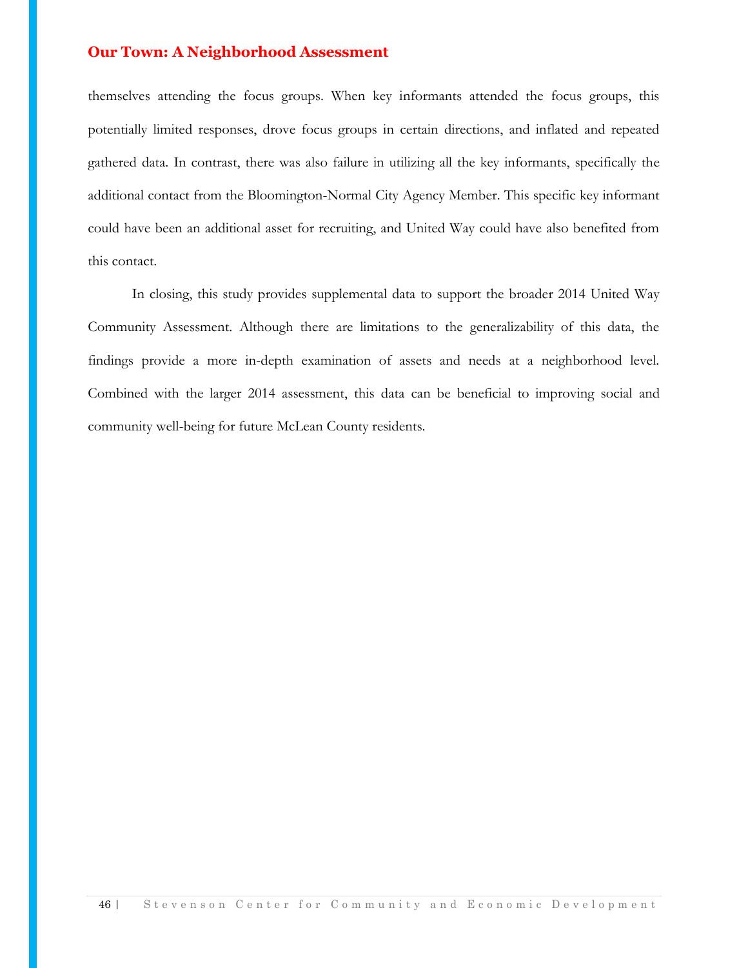themselves attending the focus groups. When key informants attended the focus groups, this potentially limited responses, drove focus groups in certain directions, and inflated and repeated gathered data. In contrast, there was also failure in utilizing all the key informants, specifically the additional contact from the Bloomington-Normal City Agency Member. This specific key informant could have been an additional asset for recruiting, and United Way could have also benefited from this contact.

In closing, this study provides supplemental data to support the broader 2014 United Way Community Assessment. Although there are limitations to the generalizability of this data, the findings provide a more in-depth examination of assets and needs at a neighborhood level. Combined with the larger 2014 assessment, this data can be beneficial to improving social and community well-being for future McLean County residents.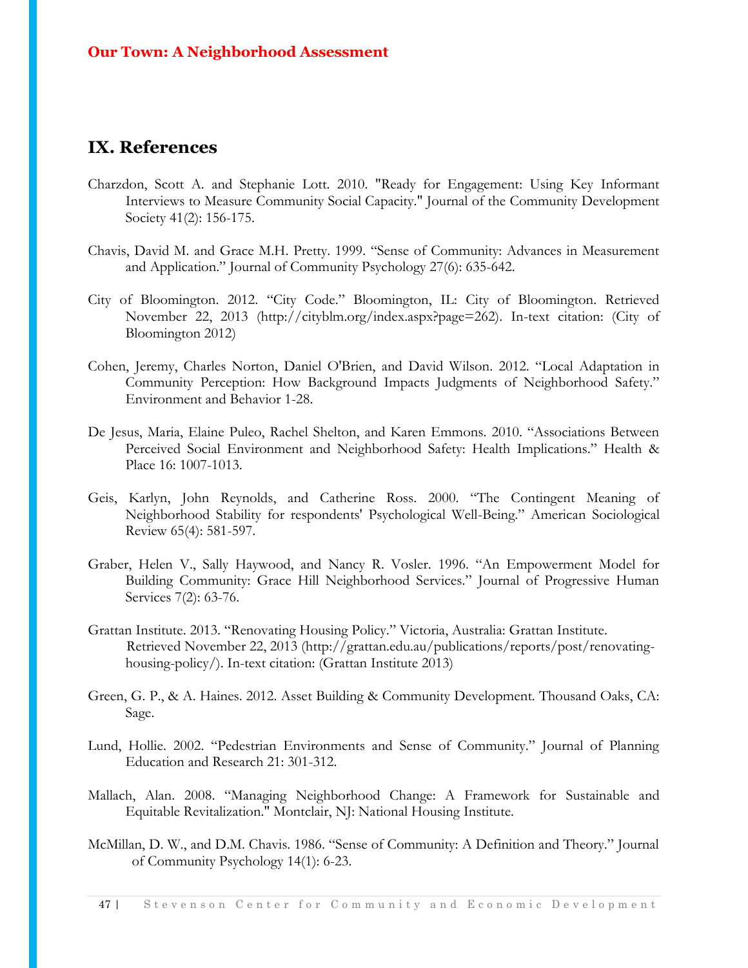## **IX. References**

- Charzdon, Scott A. and Stephanie Lott. 2010. "Ready for Engagement: Using Key Informant Interviews to Measure Community Social Capacity." Journal of the Community Development Society 41(2): 156-175.
- Chavis, David M. and Grace M.H. Pretty. 1999. "Sense of Community: Advances in Measurement and Application." Journal of Community Psychology 27(6): 635-642.
- City of Bloomington. 2012. "City Code." Bloomington, IL: City of Bloomington. Retrieved November 22, 2013 (http://cityblm.org/index.aspx?page=262). In-text citation: (City of Bloomington 2012)
- Cohen, Jeremy, Charles Norton, Daniel O'Brien, and David Wilson. 2012. "Local Adaptation in Community Perception: How Background Impacts Judgments of Neighborhood Safety." Environment and Behavior 1-28.
- De Jesus, Maria, Elaine Puleo, Rachel Shelton, and Karen Emmons. 2010. "Associations Between Perceived Social Environment and Neighborhood Safety: Health Implications." Health & Place 16: 1007-1013.
- Geis, Karlyn, John Reynolds, and Catherine Ross. 2000. "The Contingent Meaning of Neighborhood Stability for respondents' Psychological Well-Being." American Sociological Review 65(4): 581-597.
- Graber, Helen V., Sally Haywood, and Nancy R. Vosler. 1996. "An Empowerment Model for Building Community: Grace Hill Neighborhood Services." Journal of Progressive Human Services 7(2): 63-76.
- Grattan Institute. 2013. "Renovating Housing Policy." Victoria, Australia: Grattan Institute. Retrieved November 22, 2013 (http://grattan.edu.au/publications/reports/post/renovatinghousing-policy/). In-text citation: (Grattan Institute 2013)
- Green, G. P., & A. Haines. 2012. Asset Building & Community Development. Thousand Oaks, CA: Sage.
- Lund, Hollie. 2002. "Pedestrian Environments and Sense of Community." Journal of Planning Education and Research 21: 301-312.
- Mallach, Alan. 2008. "Managing Neighborhood Change: A Framework for Sustainable and Equitable Revitalization." Montclair, NJ: National Housing Institute.
- McMillan, D. W., and D.M. Chavis. 1986. "Sense of Community: A Definition and Theory." Journal of Community Psychology 14(1): 6-23.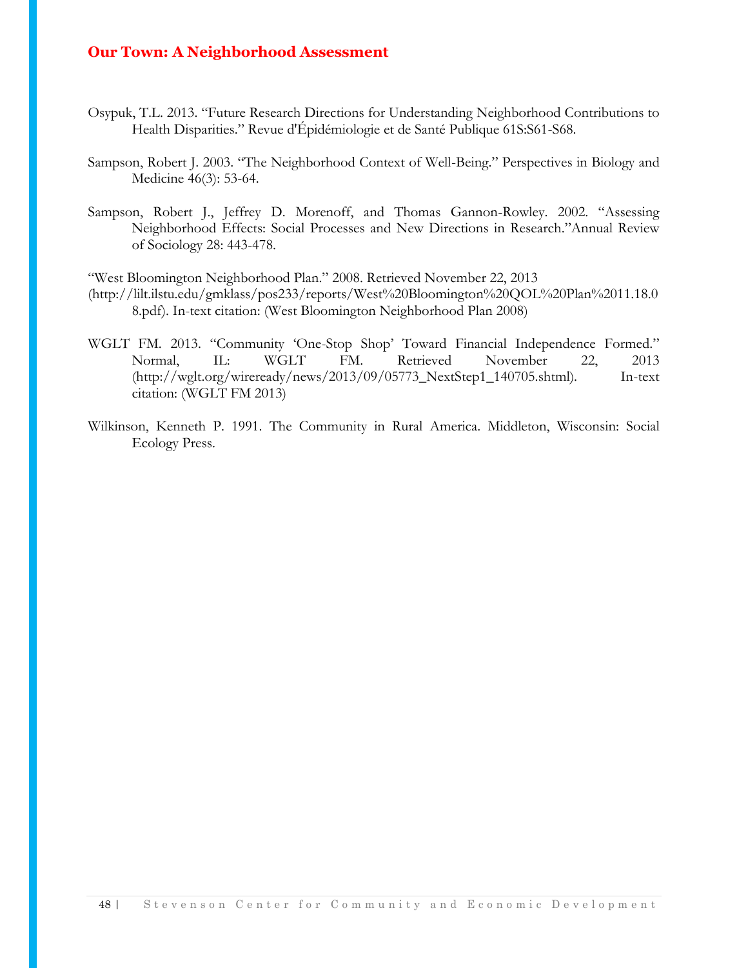- Osypuk, T.L. 2013. "Future Research Directions for Understanding Neighborhood Contributions to Health Disparities." Revue d'Épidémiologie et de Santé Publique 61S:S61-S68.
- Sampson, Robert J. 2003. "The Neighborhood Context of Well-Being." Perspectives in Biology and Medicine 46(3): 53-64.
- Sampson, Robert J., Jeffrey D. Morenoff, and Thomas Gannon-Rowley. 2002. "Assessing Neighborhood Effects: Social Processes and New Directions in Research."Annual Review of Sociology 28: 443-478.

"West Bloomington Neighborhood Plan." 2008. Retrieved November 22, 2013 (http://lilt.ilstu.edu/gmklass/pos233/reports/West%20Bloomington%20QOL%20Plan%2011.18.0 8.pdf). In-text citation: (West Bloomington Neighborhood Plan 2008)

- WGLT FM. 2013. "Community 'One-Stop Shop' Toward Financial Independence Formed." Normal, IL: WGLT FM. Retrieved November 22, 2013 (http://wglt.org/wireready/news/2013/09/05773\_NextStep1\_140705.shtml). In-text citation: (WGLT FM 2013)
- Wilkinson, Kenneth P. 1991. The Community in Rural America. Middleton, Wisconsin: Social Ecology Press.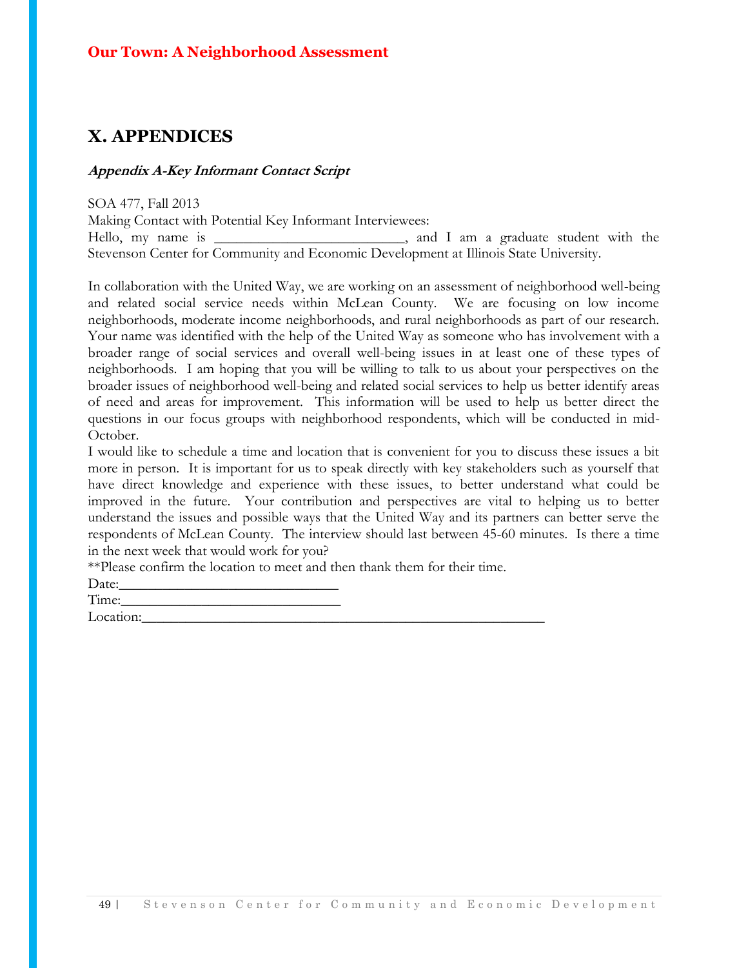## **X. APPENDICES**

#### **Appendix A-Key Informant Contact Script**

SOA 477, Fall 2013 Making Contact with Potential Key Informant Interviewees: Hello, my name is \_\_\_\_\_\_\_\_\_\_\_\_\_\_\_\_\_\_\_\_\_\_\_\_\_\_, and I am a graduate student with the Stevenson Center for Community and Economic Development at Illinois State University.

In collaboration with the United Way, we are working on an assessment of neighborhood well-being and related social service needs within McLean County. We are focusing on low income neighborhoods, moderate income neighborhoods, and rural neighborhoods as part of our research. Your name was identified with the help of the United Way as someone who has involvement with a broader range of social services and overall well-being issues in at least one of these types of neighborhoods. I am hoping that you will be willing to talk to us about your perspectives on the broader issues of neighborhood well-being and related social services to help us better identify areas of need and areas for improvement. This information will be used to help us better direct the questions in our focus groups with neighborhood respondents, which will be conducted in mid-October.

I would like to schedule a time and location that is convenient for you to discuss these issues a bit more in person. It is important for us to speak directly with key stakeholders such as yourself that have direct knowledge and experience with these issues, to better understand what could be improved in the future. Your contribution and perspectives are vital to helping us to better understand the issues and possible ways that the United Way and its partners can better serve the respondents of McLean County. The interview should last between 45-60 minutes. Is there a time in the next week that would work for you?

\*\*Please confirm the location to meet and then thank them for their time.

Date:

Time:

Location:\_\_\_\_\_\_\_\_\_\_\_\_\_\_\_\_\_\_\_\_\_\_\_\_\_\_\_\_\_\_\_\_\_\_\_\_\_\_\_\_\_\_\_\_\_\_\_\_\_\_\_\_\_\_\_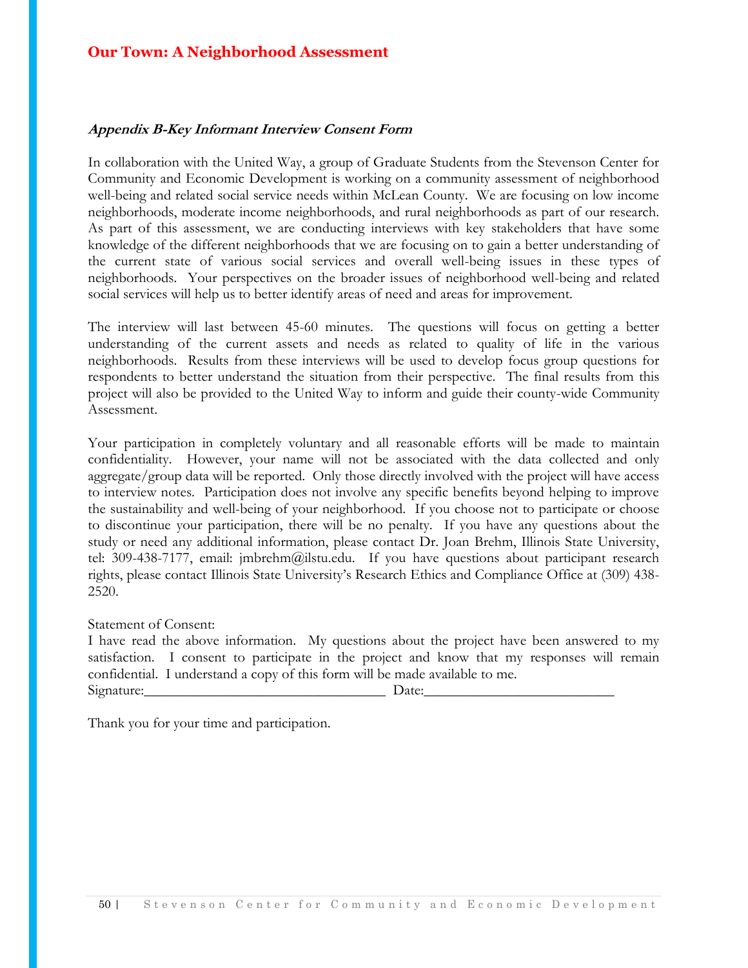#### **Appendix B-Key Informant Interview Consent Form**

In collaboration with the United Way, a group of Graduate Students from the Stevenson Center for Community and Economic Development is working on a community assessment of neighborhood well-being and related social service needs within McLean County. We are focusing on low income neighborhoods, moderate income neighborhoods, and rural neighborhoods as part of our research. As part of this assessment, we are conducting interviews with key stakeholders that have some knowledge of the different neighborhoods that we are focusing on to gain a better understanding of the current state of various social services and overall well-being issues in these types of neighborhoods. Your perspectives on the broader issues of neighborhood well-being and related social services will help us to better identify areas of need and areas for improvement.

The interview will last between 45-60 minutes. The questions will focus on getting a better understanding of the current assets and needs as related to quality of life in the various neighborhoods. Results from these interviews will be used to develop focus group questions for respondents to better understand the situation from their perspective. The final results from this project will also be provided to the United Way to inform and guide their county-wide Community Assessment.

Your participation in completely voluntary and all reasonable efforts will be made to maintain confidentiality. However, your name will not be associated with the data collected and only aggregate/group data will be reported. Only those directly involved with the project will have access to interview notes. Participation does not involve any specific benefits beyond helping to improve the sustainability and well-being of your neighborhood. If you choose not to participate or choose to discontinue your participation, there will be no penalty. If you have any questions about the study or need any additional information, please contact Dr. Joan Brehm, Illinois State University, tel: 309-438-7177, email: jmbrehm@ilstu.edu. If you have questions about participant research rights, please contact Illinois State University's Research Ethics and Compliance Office at (309) 438- 2520.

#### Statement of Consent:

I have read the above information. My questions about the project have been answered to my satisfaction. I consent to participate in the project and know that my responses will remain confidential. I understand a copy of this form will be made available to me. Signature:\_\_\_\_\_\_\_\_\_\_\_\_\_\_\_\_\_\_\_\_\_\_\_\_\_\_\_\_\_\_\_\_\_ Date:\_\_\_\_\_\_\_\_\_\_\_\_\_\_\_\_\_\_\_\_\_\_\_\_\_\_

Thank you for your time and participation.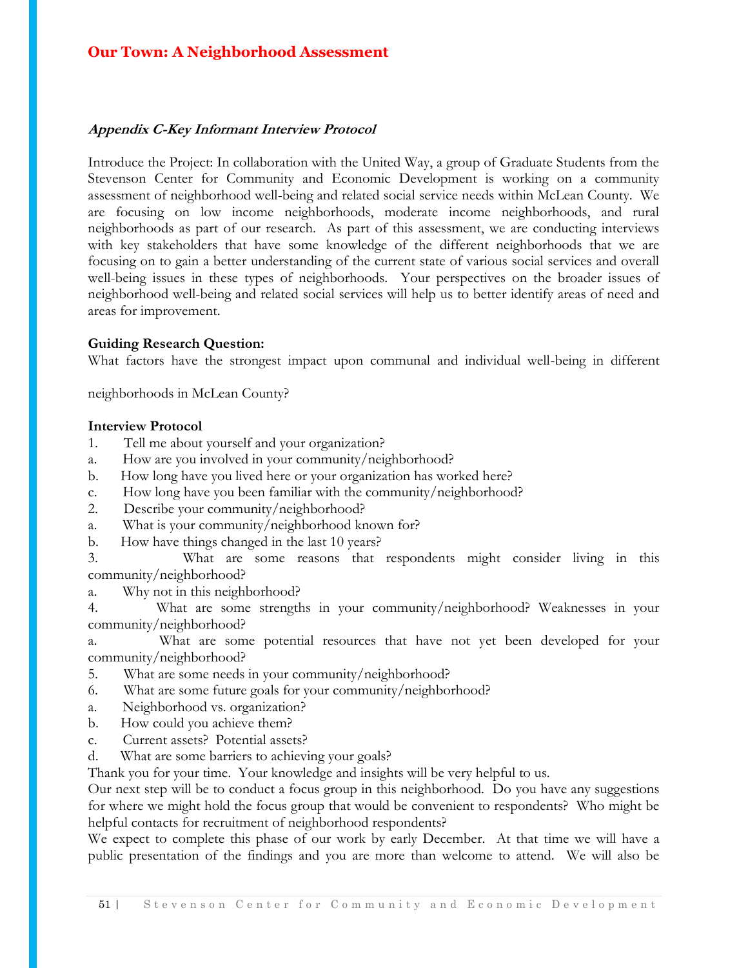#### **Appendix C-Key Informant Interview Protocol**

Introduce the Project: In collaboration with the United Way, a group of Graduate Students from the Stevenson Center for Community and Economic Development is working on a community assessment of neighborhood well-being and related social service needs within McLean County. We are focusing on low income neighborhoods, moderate income neighborhoods, and rural neighborhoods as part of our research. As part of this assessment, we are conducting interviews with key stakeholders that have some knowledge of the different neighborhoods that we are focusing on to gain a better understanding of the current state of various social services and overall well-being issues in these types of neighborhoods. Your perspectives on the broader issues of neighborhood well-being and related social services will help us to better identify areas of need and areas for improvement.

#### **Guiding Research Question:**

What factors have the strongest impact upon communal and individual well-being in different

neighborhoods in McLean County?

#### **Interview Protocol**

- 1. Tell me about yourself and your organization?
- a. How are you involved in your community/neighborhood?
- b. How long have you lived here or your organization has worked here?
- c. How long have you been familiar with the community/neighborhood?
- 2. Describe your community/neighborhood?
- a. What is your community/neighborhood known for?
- b. How have things changed in the last 10 years?

3. What are some reasons that respondents might consider living in this community/neighborhood?

a. Why not in this neighborhood?

4. What are some strengths in your community/neighborhood? Weaknesses in your community/neighborhood?

a. What are some potential resources that have not yet been developed for your community/neighborhood?

- 5. What are some needs in your community/neighborhood?
- 6. What are some future goals for your community/neighborhood?
- a. Neighborhood vs. organization?
- b. How could you achieve them?
- c. Current assets? Potential assets?
- d. What are some barriers to achieving your goals?

Thank you for your time. Your knowledge and insights will be very helpful to us.

Our next step will be to conduct a focus group in this neighborhood. Do you have any suggestions for where we might hold the focus group that would be convenient to respondents? Who might be helpful contacts for recruitment of neighborhood respondents?

We expect to complete this phase of our work by early December. At that time we will have a public presentation of the findings and you are more than welcome to attend. We will also be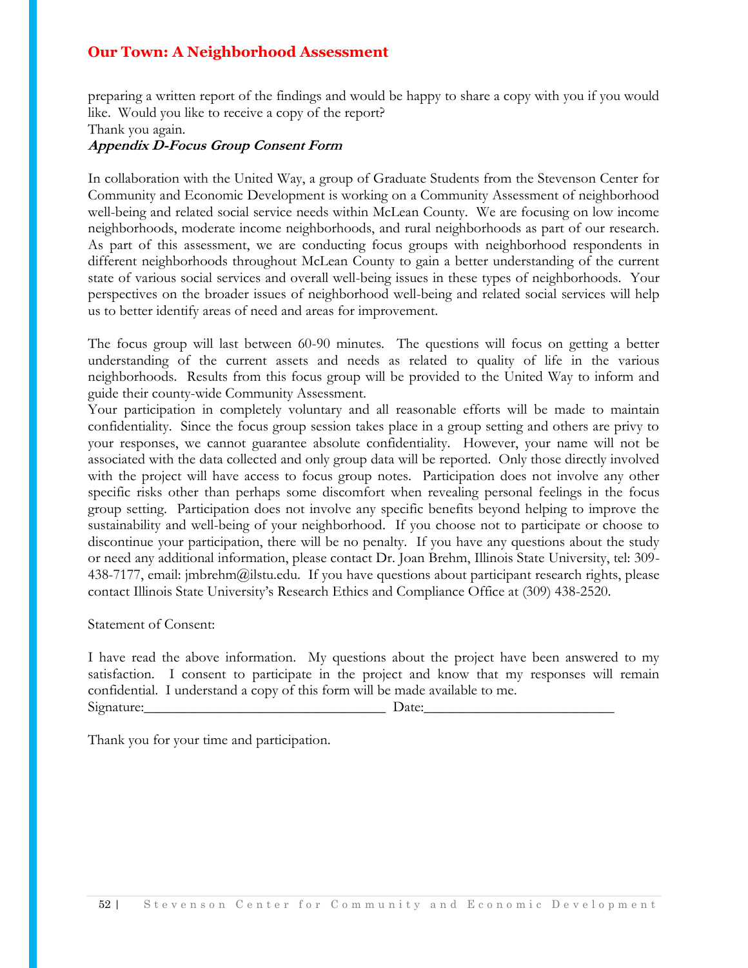preparing a written report of the findings and would be happy to share a copy with you if you would like. Would you like to receive a copy of the report?

#### **Appendix D-Focus Group Consent Form**

In collaboration with the United Way, a group of Graduate Students from the Stevenson Center for Community and Economic Development is working on a Community Assessment of neighborhood well-being and related social service needs within McLean County. We are focusing on low income neighborhoods, moderate income neighborhoods, and rural neighborhoods as part of our research. As part of this assessment, we are conducting focus groups with neighborhood respondents in different neighborhoods throughout McLean County to gain a better understanding of the current state of various social services and overall well-being issues in these types of neighborhoods. Your perspectives on the broader issues of neighborhood well-being and related social services will help us to better identify areas of need and areas for improvement.

The focus group will last between 60-90 minutes. The questions will focus on getting a better understanding of the current assets and needs as related to quality of life in the various neighborhoods. Results from this focus group will be provided to the United Way to inform and guide their county-wide Community Assessment.

Your participation in completely voluntary and all reasonable efforts will be made to maintain confidentiality. Since the focus group session takes place in a group setting and others are privy to your responses, we cannot guarantee absolute confidentiality. However, your name will not be associated with the data collected and only group data will be reported. Only those directly involved with the project will have access to focus group notes. Participation does not involve any other specific risks other than perhaps some discomfort when revealing personal feelings in the focus group setting. Participation does not involve any specific benefits beyond helping to improve the sustainability and well-being of your neighborhood. If you choose not to participate or choose to discontinue your participation, there will be no penalty. If you have any questions about the study or need any additional information, please contact Dr. Joan Brehm, Illinois State University, tel: 309- 438-7177, email: jmbrehm@ilstu.edu. If you have questions about participant research rights, please contact Illinois State University's Research Ethics and Compliance Office at (309) 438-2520.

#### Statement of Consent:

I have read the above information. My questions about the project have been answered to my satisfaction. I consent to participate in the project and know that my responses will remain confidential. I understand a copy of this form will be made available to me. Signature:\_\_\_\_\_\_\_\_\_\_\_\_\_\_\_\_\_\_\_\_\_\_\_\_\_\_\_\_\_\_\_\_\_ Date:\_\_\_\_\_\_\_\_\_\_\_\_\_\_\_\_\_\_\_\_\_\_\_\_\_\_

Thank you for your time and participation.

Thank you again.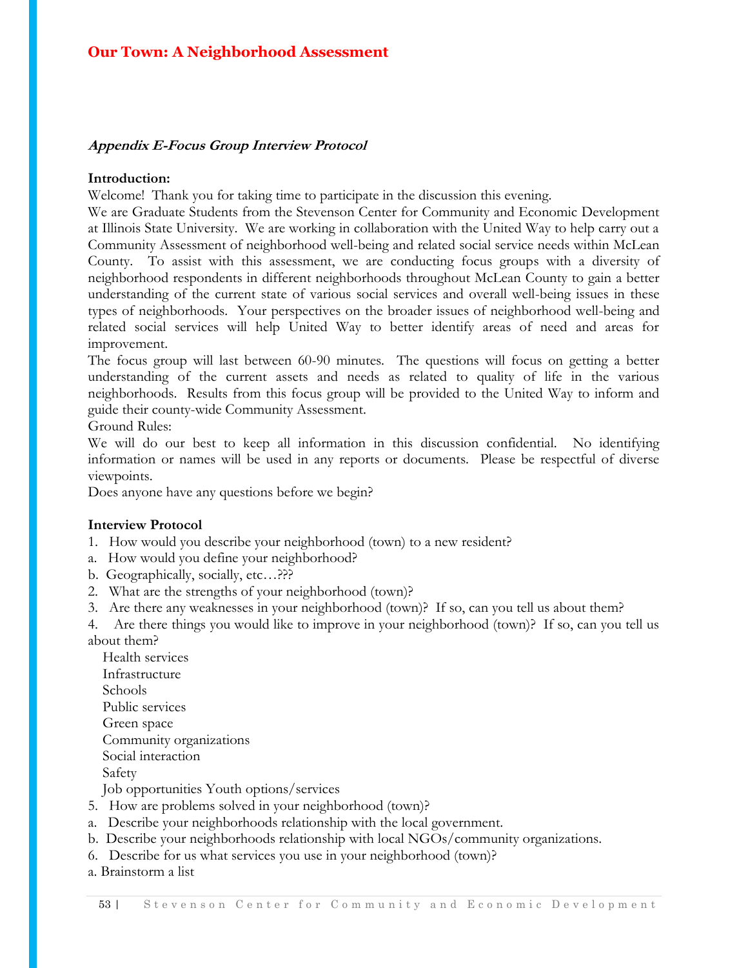#### **Appendix E-Focus Group Interview Protocol**

#### **Introduction:**

Welcome! Thank you for taking time to participate in the discussion this evening.

We are Graduate Students from the Stevenson Center for Community and Economic Development at Illinois State University. We are working in collaboration with the United Way to help carry out a Community Assessment of neighborhood well-being and related social service needs within McLean County. To assist with this assessment, we are conducting focus groups with a diversity of neighborhood respondents in different neighborhoods throughout McLean County to gain a better understanding of the current state of various social services and overall well-being issues in these types of neighborhoods. Your perspectives on the broader issues of neighborhood well-being and related social services will help United Way to better identify areas of need and areas for improvement.

The focus group will last between 60-90 minutes. The questions will focus on getting a better understanding of the current assets and needs as related to quality of life in the various neighborhoods. Results from this focus group will be provided to the United Way to inform and guide their county-wide Community Assessment.

Ground Rules:

We will do our best to keep all information in this discussion confidential. No identifying information or names will be used in any reports or documents. Please be respectful of diverse viewpoints.

Does anyone have any questions before we begin?

#### **Interview Protocol**

- 1. How would you describe your neighborhood (town) to a new resident?
- a. How would you define your neighborhood?
- b. Geographically, socially, etc…???
- 2. What are the strengths of your neighborhood (town)?
- 3. Are there any weaknesses in your neighborhood (town)? If so, can you tell us about them?

4. Are there things you would like to improve in your neighborhood (town)? If so, can you tell us about them?

- Health services Infrastructure Schools Public services Green space Community organizations Social interaction Safety Job opportunities Youth options/services
- 5. How are problems solved in your neighborhood (town)?
- a. Describe your neighborhoods relationship with the local government.
- b. Describe your neighborhoods relationship with local NGOs/community organizations.
- 6. Describe for us what services you use in your neighborhood (town)?
- a. Brainstorm a list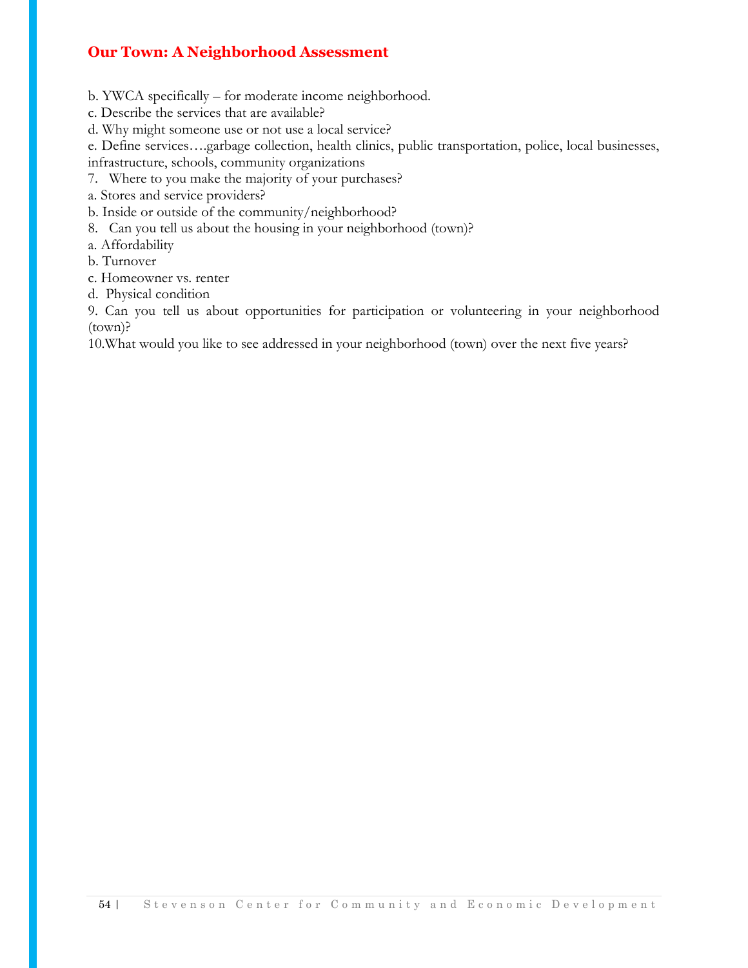b. YWCA specifically – for moderate income neighborhood.

c. Describe the services that are available?

d. Why might someone use or not use a local service?

e. Define services….garbage collection, health clinics, public transportation, police, local businesses,

infrastructure, schools, community organizations

7. Where to you make the majority of your purchases?

a. Stores and service providers?

b. Inside or outside of the community/neighborhood?

8. Can you tell us about the housing in your neighborhood (town)?

a. Affordability

b. Turnover

c. Homeowner vs. renter

d. Physical condition

9. Can you tell us about opportunities for participation or volunteering in your neighborhood (town)?

10.What would you like to see addressed in your neighborhood (town) over the next five years?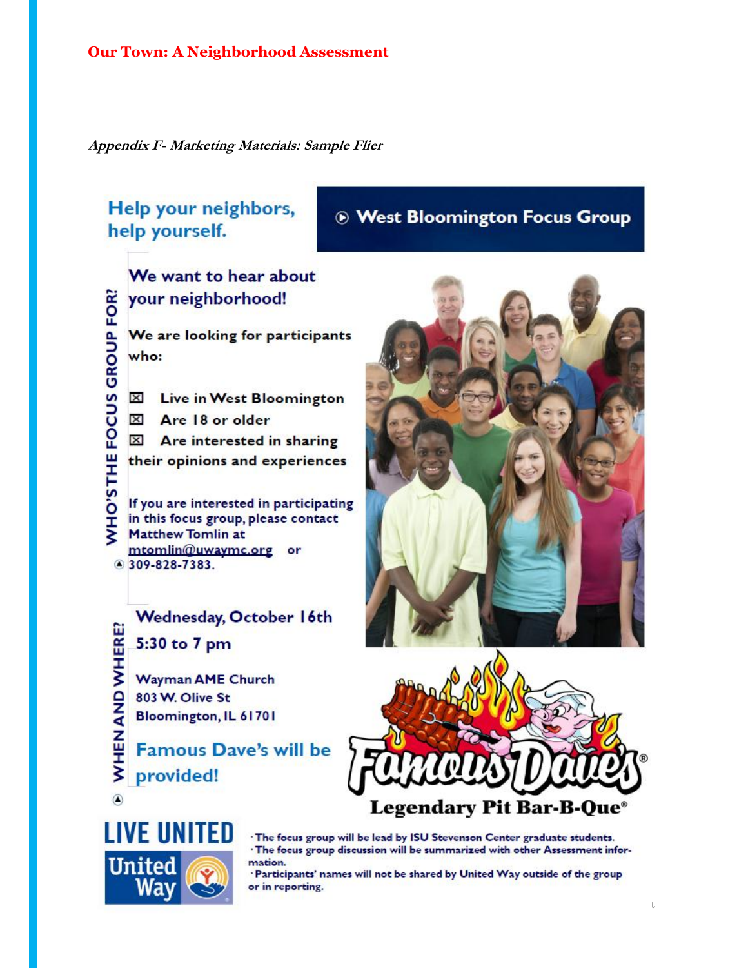**Appendix F- Marketing Materials: Sample Flier**

## Help your neighbors, help yourself.

## **& West Bloomington Focus Group**

We want to hear about your neighborhood! WHO'S THE FOCUS GROUP FOR? We are looking for participants who: Live in West Bloomington  $\mathbf{x}$ X Are 18 or older  $\boxtimes$  Are interested in sharing their opinions and experiences If you are interested in participating in this focus group, please contact **Matthew Tomlin at** mtomlin@uwaymc.org or ◎ 309-828-7383.

Wednesday, October 16th WHEN AND WHERE? 5:30 to 7 pm **Wayman AME Church** 803 W. Olive St Bloomington, IL 61701 **Famous Dave's will be** 

provided!



'The focus group will be lead by ISU Stevenson Center graduate students. · The focus group discussion will be summarized with other Assessment information.

'Participants' names will not be shared by United Way outside of the group or in reporting.



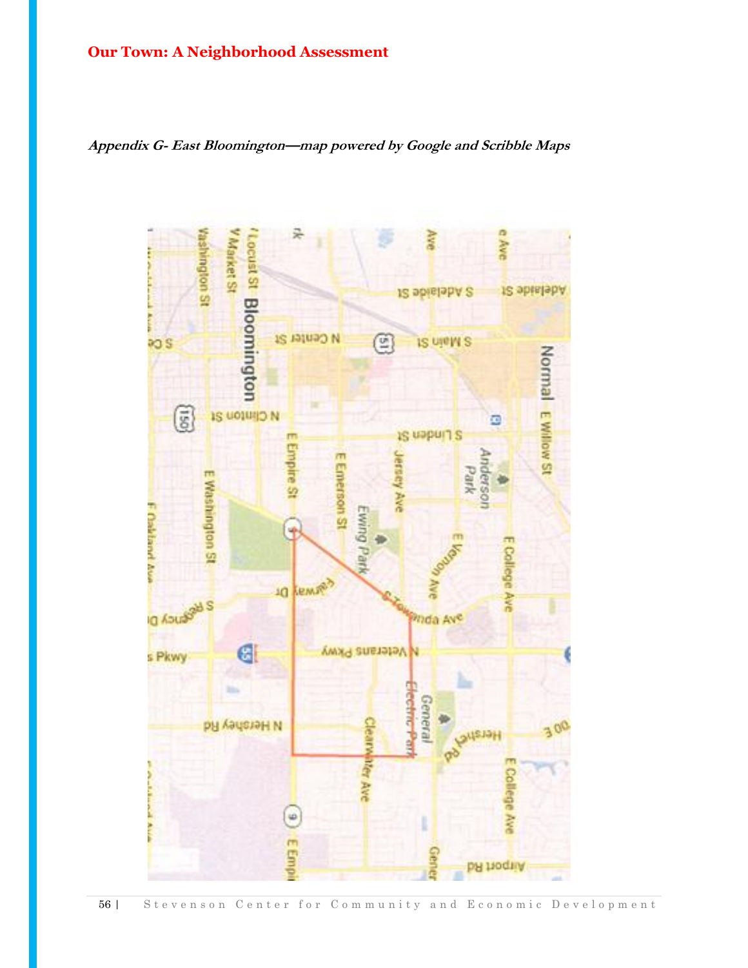**Appendix G- East Bloomington—map powered by Google and Scribble Maps** 

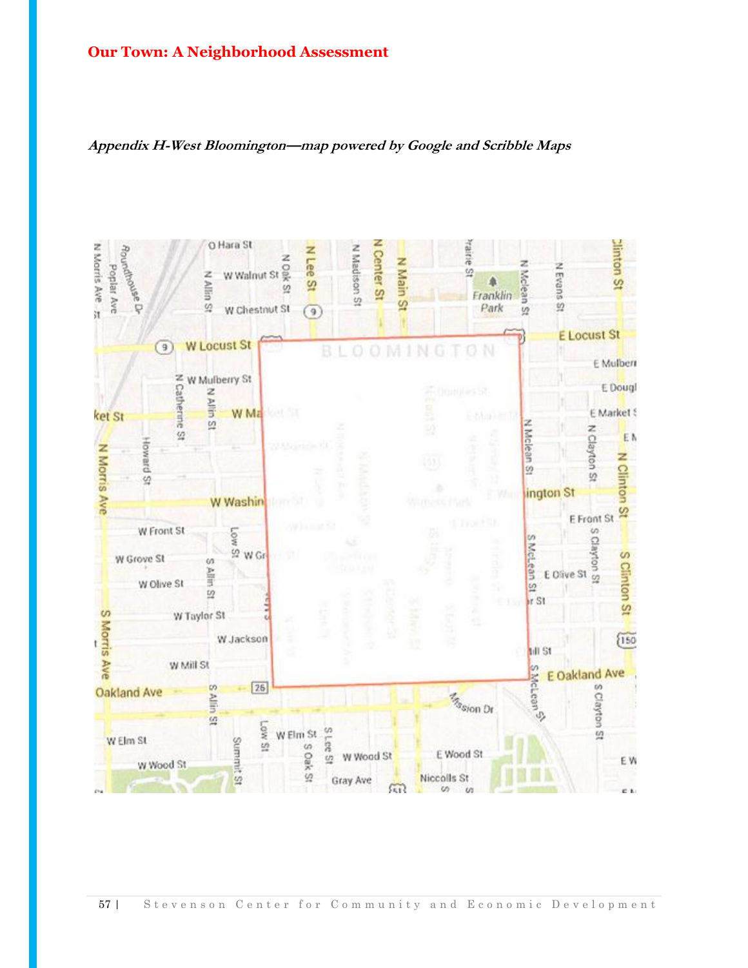

#### **Appendix H-West Bloomington—map powered by Google and Scribble Maps**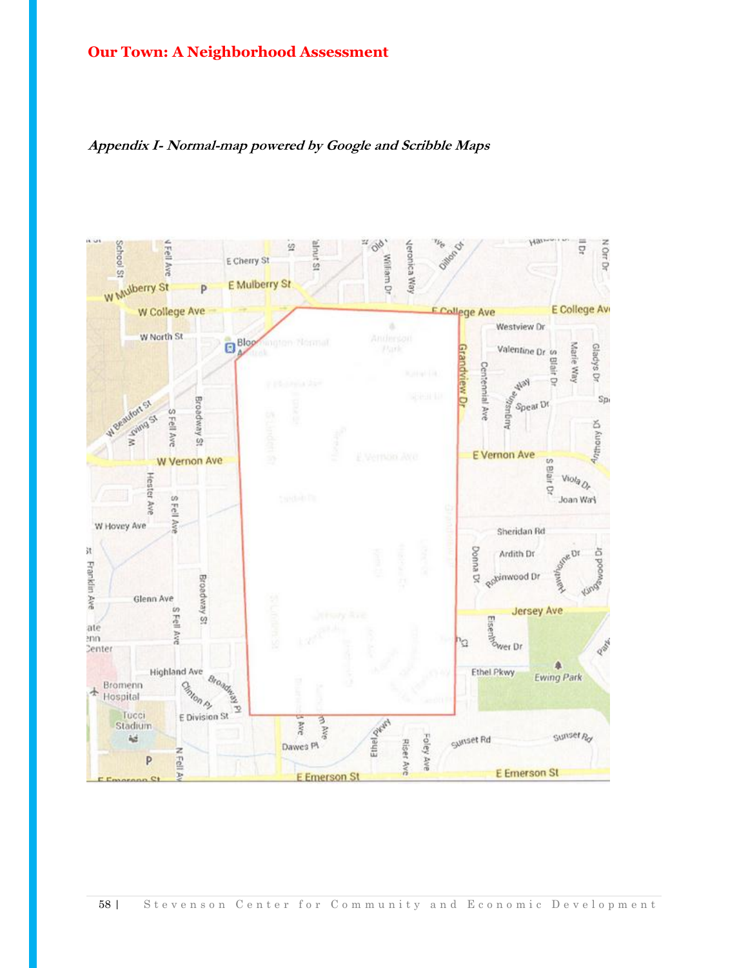

#### **Appendix I- Normal-map powered by Google and Scribble Maps**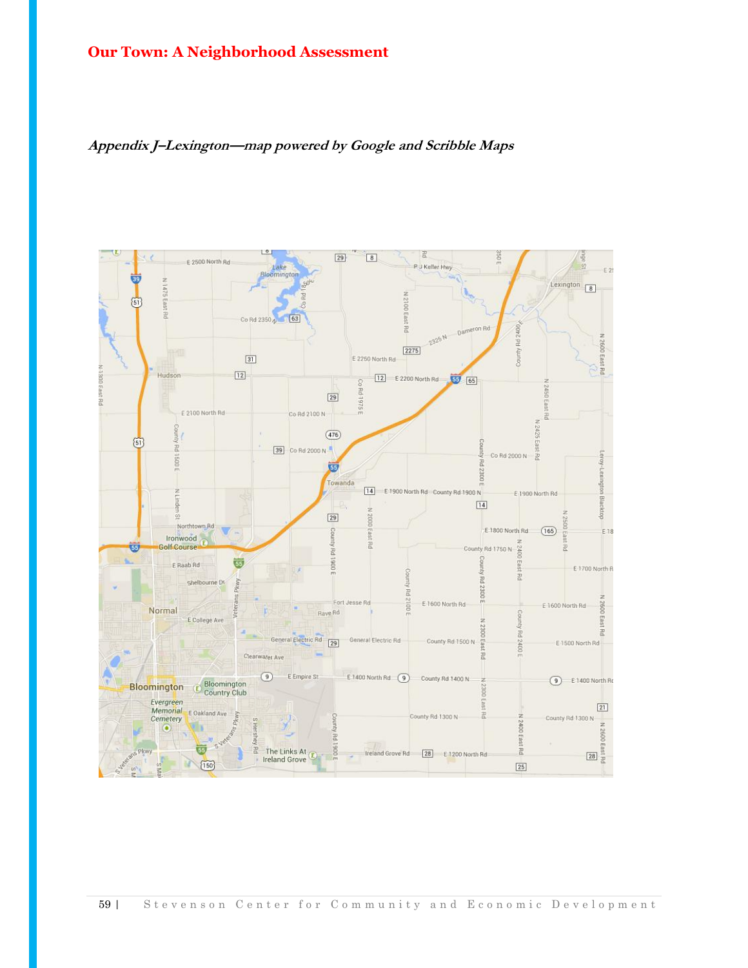

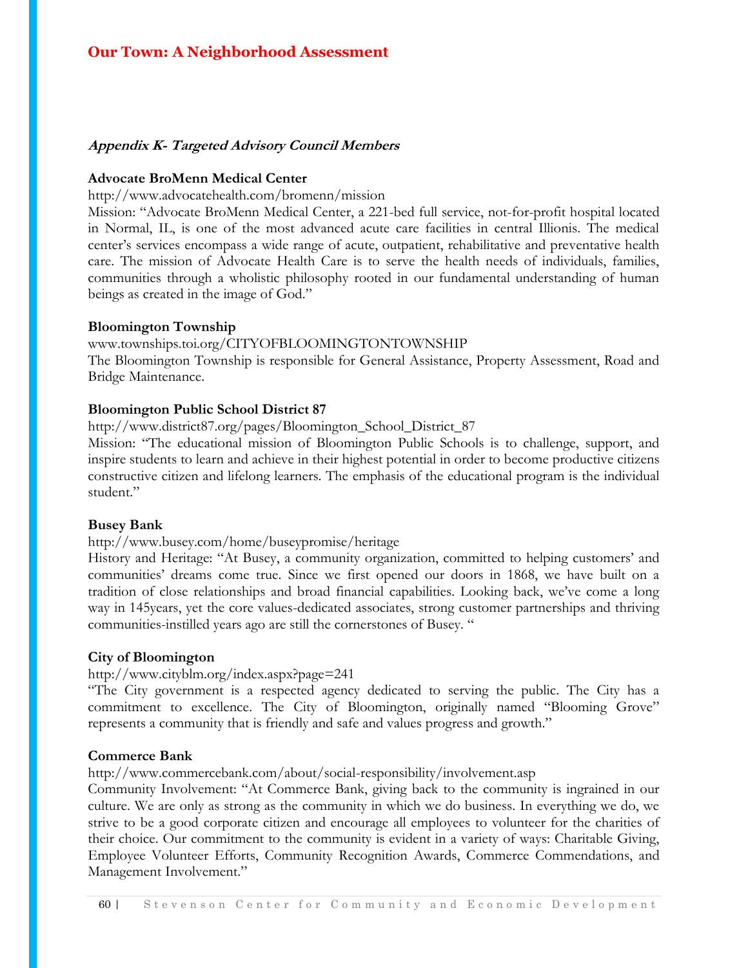#### **Appendix K- Targeted Advisory Council Members**

#### **Advocate BroMenn Medical Center**

http://www.advocatehealth.com/bromenn/mission

Mission: "Advocate BroMenn Medical Center, a 221-bed full service, not-for-profit hospital located in Normal, IL, is one of the most advanced acute care facilities in central Illionis. The medical center's services encompass a wide range of acute, outpatient, rehabilitative and preventative health care. The mission of Advocate Health Care is to serve the health needs of individuals, families, communities through a wholistic philosophy rooted in our fundamental understanding of human beings as created in the image of God."

#### **Bloomington Township**

#### www.townships.toi.org/CITYOFBLOOMINGTONTOWNSHIP

The Bloomington Township is responsible for General Assistance, Property Assessment, Road and Bridge Maintenance.

#### **Bloomington Public School District 87**

http://www.district87.org/pages/Bloomington\_School\_District\_87

Mission: "The educational mission of Bloomington Public Schools is to challenge, support, and inspire students to learn and achieve in their highest potential in order to become productive citizens constructive citizen and lifelong learners. The emphasis of the educational program is the individual student."

#### **Busey Bank**

#### http://www.busey.com/home/buseypromise/heritage

History and Heritage: "At Busey, a community organization, committed to helping customers' and communities' dreams come true. Since we first opened our doors in 1868, we have built on a tradition of close relationships and broad financial capabilities. Looking back, we've come a long way in 145years, yet the core values-dedicated associates, strong customer partnerships and thriving communities-instilled years ago are still the cornerstones of Busey. "

#### **City of Bloomington**

#### http://www.cityblm.org/index.aspx?page=241

"The City government is a respected agency dedicated to serving the public. The City has a commitment to excellence. The City of Bloomington, originally named "Blooming Grove" represents a community that is friendly and safe and values progress and growth."

#### **Commerce Bank**

http://www.commercebank.com/about/social-responsibility/involvement.asp

Community Involvement: "At Commerce Bank, giving back to the community is ingrained in our culture. We are only as strong as the community in which we do business. In everything we do, we strive to be a good corporate citizen and encourage all employees to volunteer for the charities of their choice. Our commitment to the community is evident in a variety of ways: Charitable Giving, Employee Volunteer Efforts, Community Recognition Awards, Commerce Commendations, and Management Involvement."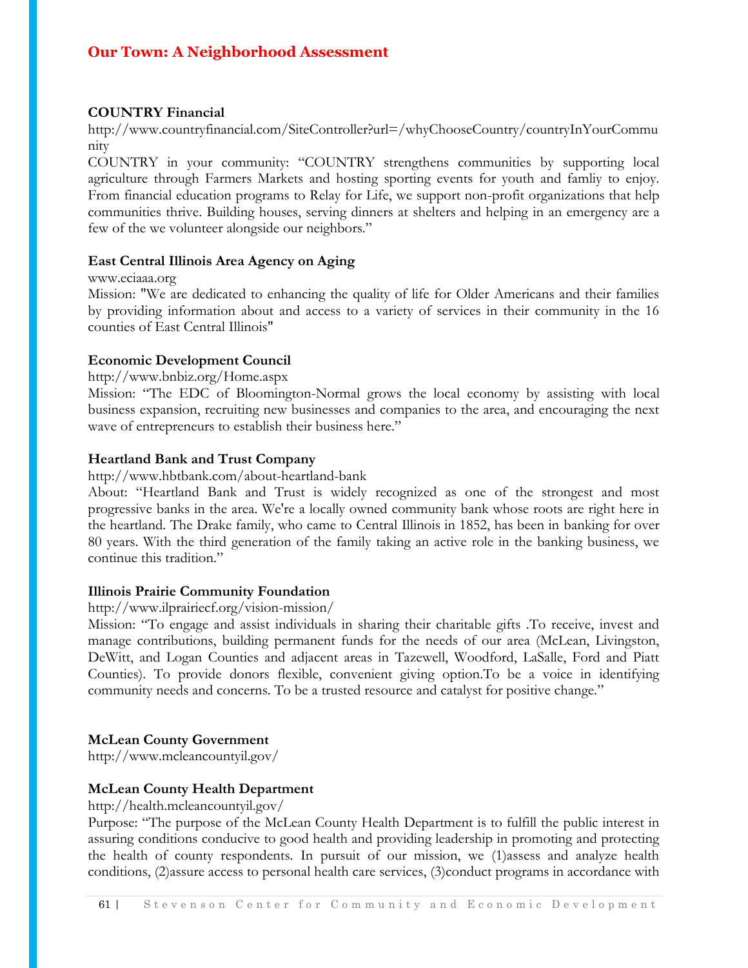#### **COUNTRY Financial**

http://www.countryfinancial.com/SiteController?url=/whyChooseCountry/countryInYourCommu nity

COUNTRY in your community: "COUNTRY strengthens communities by supporting local agriculture through Farmers Markets and hosting sporting events for youth and famliy to enjoy. From financial education programs to Relay for Life, we support non-profit organizations that help communities thrive. Building houses, serving dinners at shelters and helping in an emergency are a few of the we volunteer alongside our neighbors."

#### **East Central Illinois Area Agency on Aging**

#### www.eciaaa.org

Mission: "We are dedicated to enhancing the quality of life for Older Americans and their families by providing information about and access to a variety of services in their community in the 16 counties of East Central Illinois"

#### **Economic Development Council**

http://www.bnbiz.org/Home.aspx

Mission: "The EDC of Bloomington-Normal grows the local economy by assisting with local business expansion, recruiting new businesses and companies to the area, and encouraging the next wave of entrepreneurs to establish their business here."

#### **Heartland Bank and Trust Company**

http://www.hbtbank.com/about-heartland-bank

About: "Heartland Bank and Trust is widely recognized as one of the strongest and most progressive banks in the area. We're a locally owned community bank whose roots are right here in the heartland. The Drake family, who came to Central Illinois in 1852, has been in banking for over 80 years. With the third generation of the family taking an active role in the banking business, we continue this tradition."

#### **Illinois Prairie Community Foundation**

#### http://www.ilprairiecf.org/vision-mission/

Mission: "To engage and assist individuals in sharing their charitable gifts .To receive, invest and manage contributions, building permanent funds for the needs of our area (McLean, Livingston, DeWitt, and Logan Counties and adjacent areas in Tazewell, Woodford, LaSalle, Ford and Piatt Counties). To provide donors flexible, convenient giving option.To be a voice in identifying community needs and concerns. To be a trusted resource and catalyst for positive change."

#### **McLean County Government**

http://www.mcleancountyil.gov/

#### **McLean County Health Department**

#### http://health.mcleancountyil.gov/

Purpose: "The purpose of the McLean County Health Department is to fulfill the public interest in assuring conditions conducive to good health and providing leadership in promoting and protecting the health of county respondents. In pursuit of our mission, we (1)assess and analyze health conditions, (2)assure access to personal health care services, (3)conduct programs in accordance with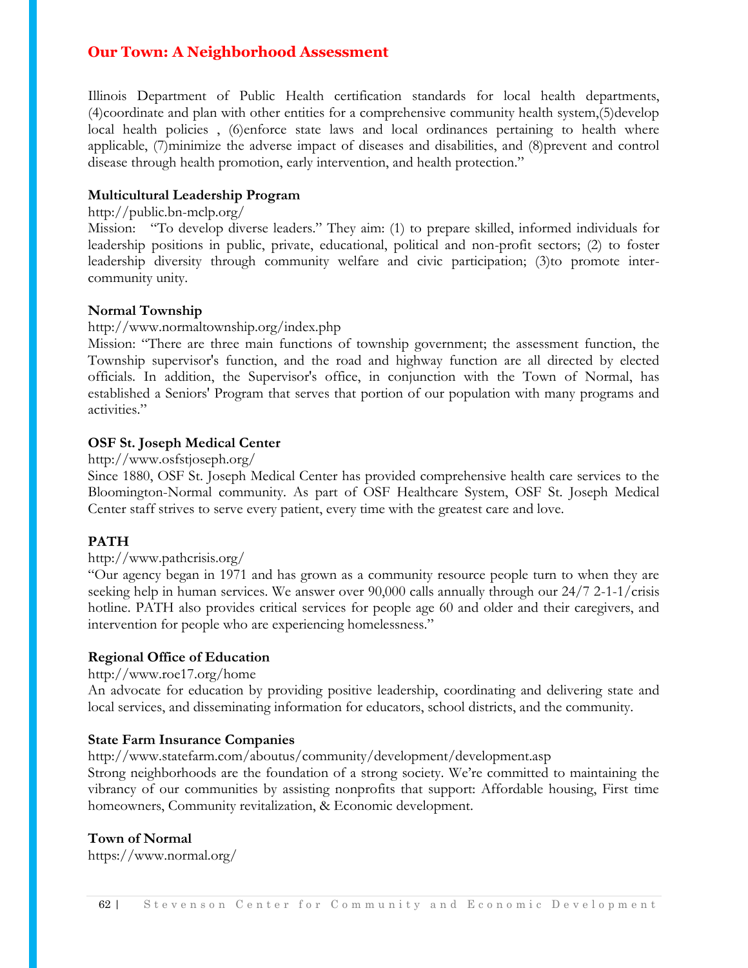Illinois Department of Public Health certification standards for local health departments, (4)coordinate and plan with other entities for a comprehensive community health system,(5)develop local health policies, (6)enforce state laws and local ordinances pertaining to health where applicable, (7)minimize the adverse impact of diseases and disabilities, and (8)prevent and control disease through health promotion, early intervention, and health protection."

#### **Multicultural Leadership Program**

#### http://public.bn-mclp.org/

Mission: "To develop diverse leaders." They aim: (1) to prepare skilled, informed individuals for leadership positions in public, private, educational, political and non-profit sectors; (2) to foster leadership diversity through community welfare and civic participation; (3)to promote intercommunity unity.

#### **Normal Township**

#### http://www.normaltownship.org/index.php

Mission: "There are three main functions of township government; the assessment function, the Township supervisor's function, and the road and highway function are all directed by elected officials. In addition, the Supervisor's office, in conjunction with the Town of Normal, has established a Seniors' Program that serves that portion of our population with many programs and activities."

#### **OSF St. Joseph Medical Center**

http://www.osfstjoseph.org/

Since 1880, OSF St. Joseph Medical Center has provided comprehensive health care services to the Bloomington-Normal community. As part of OSF Healthcare System, OSF St. Joseph Medical Center staff strives to serve every patient, every time with the greatest care and love.

#### **PATH**

#### http://www.pathcrisis.org/

"Our agency began in 1971 and has grown as a community resource people turn to when they are seeking help in human services. We answer over 90,000 calls annually through our 24/7 2-1-1/crisis hotline. PATH also provides critical services for people age 60 and older and their caregivers, and intervention for people who are experiencing homelessness."

#### **Regional Office of Education**

#### http://www.roe17.org/home

An advocate for education by providing positive leadership, coordinating and delivering state and local services, and disseminating information for educators, school districts, and the community.

#### **State Farm Insurance Companies**

http://www.statefarm.com/aboutus/community/development/development.asp

Strong neighborhoods are the foundation of a strong society. We're committed to maintaining the vibrancy of our communities by assisting nonprofits that support: Affordable housing, First time homeowners, Community revitalization, & Economic development.

#### **Town of Normal**

https://www.normal.org/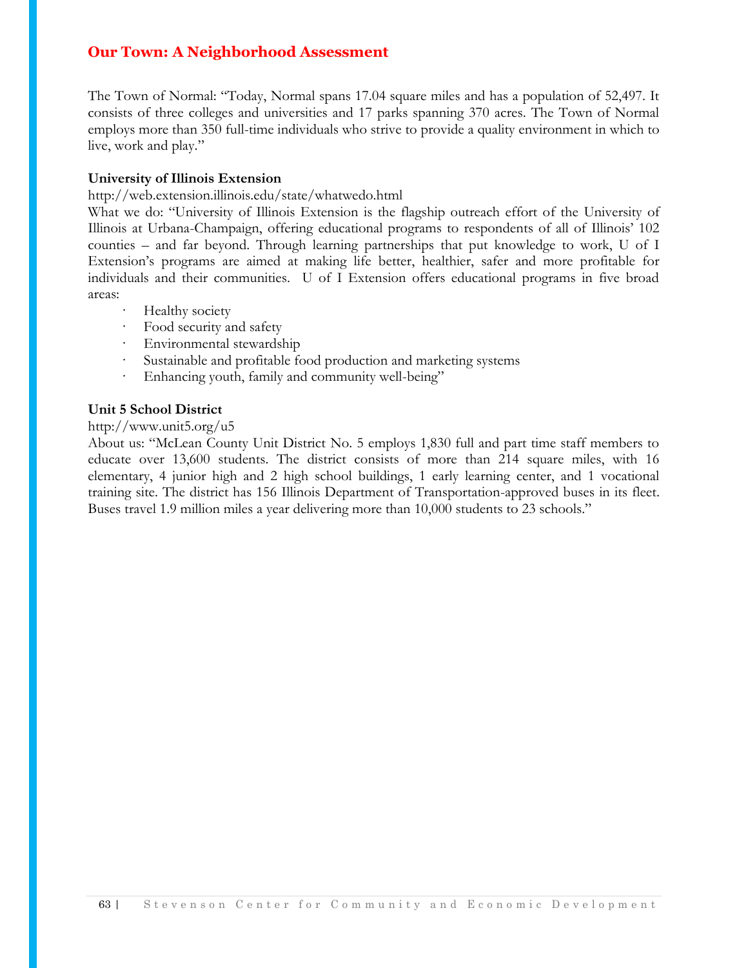The Town of Normal: "Today, Normal spans 17.04 square miles and has a population of 52,497. It consists of three colleges and universities and 17 parks spanning 370 acres. The Town of Normal employs more than 350 full-time individuals who strive to provide a quality environment in which to live, work and play."

#### **University of Illinois Extension**

http://web.extension.illinois.edu/state/whatwedo.html

What we do: "University of Illinois Extension is the flagship outreach effort of the University of Illinois at Urbana-Champaign, offering educational programs to respondents of all of Illinois' 102 counties – and far beyond. Through learning partnerships that put knowledge to work, U of I Extension's programs are aimed at making life better, healthier, safer and more profitable for individuals and their communities. U of I Extension offers educational programs in five broad areas:

- Healthy society
- · Food security and safety
- · Environmental stewardship
- Sustainable and profitable food production and marketing systems
- · Enhancing youth, family and community well-being"

#### **Unit 5 School District**

#### http://www.unit5.org/u5

About us: "McLean County Unit District No. 5 employs 1,830 full and part time staff members to educate over 13,600 students. The district consists of more than 214 square miles, with 16 elementary, 4 junior high and 2 high school buildings, 1 early learning center, and 1 vocational training site. The district has 156 Illinois Department of Transportation-approved buses in its fleet. Buses travel 1.9 million miles a year delivering more than 10,000 students to 23 schools."